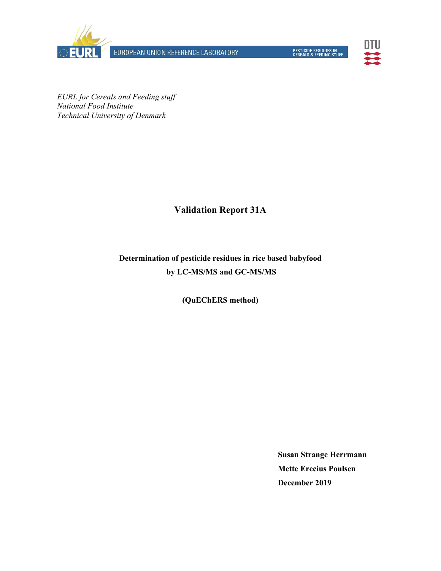

EUROPEAN UNION REFERENCE LABORATORY



*EURL for Cereals and Feeding stuff National Food Institute Technical University of Denmark* 

### **Validation Report 31A**

## **Determination of pesticide residues in rice based babyfood by LC-MS/MS and GC-MS/MS**

**(QuEChERS method)** 

**Susan Strange Herrmann Mette Erecius Poulsen December 2019**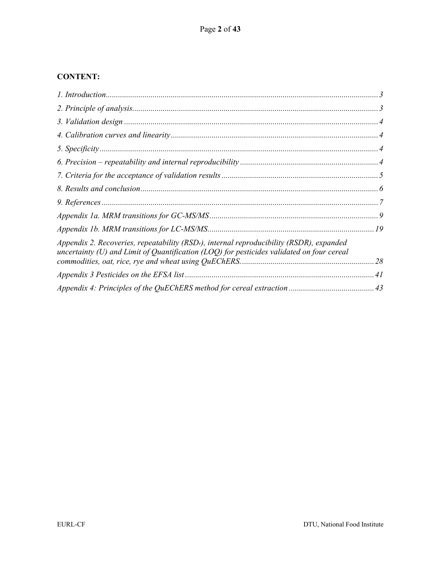#### **CONTENT:**

| Appendix 2. Recoveries, repeatability (RSD <sub>r</sub> ), internal reproducibility (RSDR), expanded<br>uncertainty (U) and Limit of Quantification (LOQ) for pesticides validated on four cereal |  |
|---------------------------------------------------------------------------------------------------------------------------------------------------------------------------------------------------|--|
|                                                                                                                                                                                                   |  |
|                                                                                                                                                                                                   |  |
|                                                                                                                                                                                                   |  |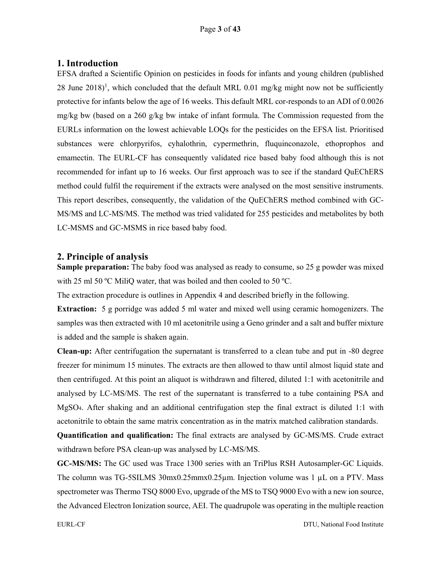#### **1. Introduction**

EFSA drafted a Scientific Opinion on pesticides in foods for infants and young children (published 28 June 2018)<sup>1</sup>, which concluded that the default MRL 0.01 mg/kg might now not be sufficiently protective for infants below the age of 16 weeks. This default MRL cor-responds to an ADI of 0.0026 mg/kg bw (based on a 260 g/kg bw intake of infant formula. The Commission requested from the EURLs information on the lowest achievable LOQs for the pesticides on the EFSA list. Prioritised substances were chlorpyrifos, cyhalothrin, cypermethrin, fluquinconazole, ethoprophos and emamectin. The EURL-CF has consequently validated rice based baby food although this is not recommended for infant up to 16 weeks. Our first approach was to see if the standard QuEChERS method could fulfil the requirement if the extracts were analysed on the most sensitive instruments. This report describes, consequently, the validation of the QuEChERS method combined with GC-MS/MS and LC-MS/MS. The method was tried validated for 255 pesticides and metabolites by both LC-MSMS and GC-MSMS in rice based baby food.

#### **2. Principle of analysis**

**Sample preparation:** The baby food was analysed as ready to consume, so 25 g powder was mixed with 25 ml 50 °C MiliQ water, that was boiled and then cooled to 50 °C.

The extraction procedure is outlines in Appendix 4 and described briefly in the following.

**Extraction:** 5 g porridge was added 5 ml water and mixed well using ceramic homogenizers. The samples was then extracted with 10 ml acetonitrile using a Geno grinder and a salt and buffer mixture is added and the sample is shaken again.

**Clean-up:** After centrifugation the supernatant is transferred to a clean tube and put in -80 degree freezer for minimum 15 minutes. The extracts are then allowed to thaw until almost liquid state and then centrifuged. At this point an aliquot is withdrawn and filtered, diluted 1:1 with acetonitrile and analysed by LC-MS/MS. The rest of the supernatant is transferred to a tube containing PSA and MgSO4. After shaking and an additional centrifugation step the final extract is diluted 1:1 with acetonitrile to obtain the same matrix concentration as in the matrix matched calibration standards.

**Quantification and qualification:** The final extracts are analysed by GC-MS/MS. Crude extract withdrawn before PSA clean-up was analysed by LC-MS/MS.

**GC-MS/MS:** The GC used was Trace 1300 series with an TriPlus RSH Autosampler-GC Liquids. The column was TG-5SILMS 30mx0.25mmx0.25µm. Injection volume was 1 µL on a PTV. Mass spectrometer was Thermo TSQ 8000 Evo, upgrade of the MS to TSQ 9000 Evo with a new ion source, the Advanced Electron Ionization source, AEI. The quadrupole was operating in the multiple reaction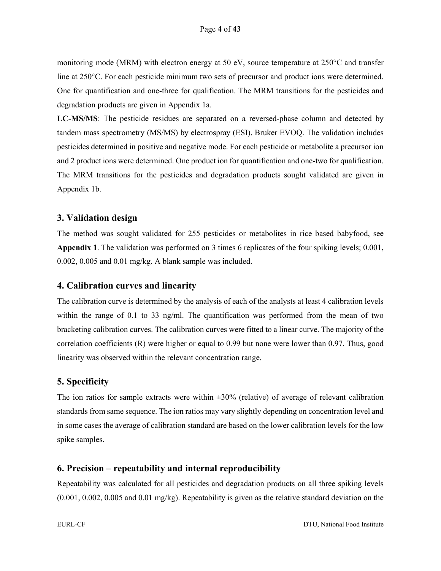monitoring mode (MRM) with electron energy at 50 eV, source temperature at 250°C and transfer line at 250°C. For each pesticide minimum two sets of precursor and product ions were determined. One for quantification and one-three for qualification. The MRM transitions for the pesticides and degradation products are given in Appendix 1a.

**LC-MS/MS**: The pesticide residues are separated on a reversed-phase column and detected by tandem mass spectrometry (MS/MS) by electrospray (ESI), Bruker EVOQ. The validation includes pesticides determined in positive and negative mode. For each pesticide or metabolite a precursor ion and 2 product ions were determined. One product ion for quantification and one-two for qualification. The MRM transitions for the pesticides and degradation products sought validated are given in Appendix 1b.

#### **3. Validation design**

The method was sought validated for 255 pesticides or metabolites in rice based babyfood, see **Appendix 1**. The validation was performed on 3 times 6 replicates of the four spiking levels; 0.001, 0.002, 0.005 and 0.01 mg/kg. A blank sample was included.

#### **4. Calibration curves and linearity**

The calibration curve is determined by the analysis of each of the analysts at least 4 calibration levels within the range of 0.1 to 33 ng/ml. The quantification was performed from the mean of two bracketing calibration curves. The calibration curves were fitted to a linear curve. The majority of the correlation coefficients (R) were higher or equal to 0.99 but none were lower than 0.97. Thus, good linearity was observed within the relevant concentration range.

#### **5. Specificity**

The ion ratios for sample extracts were within  $\pm 30\%$  (relative) of average of relevant calibration standards from same sequence. The ion ratios may vary slightly depending on concentration level and in some cases the average of calibration standard are based on the lower calibration levels for the low spike samples.

#### **6. Precision – repeatability and internal reproducibility**

Repeatability was calculated for all pesticides and degradation products on all three spiking levels (0.001, 0.002, 0.005 and 0.01 mg/kg). Repeatability is given as the relative standard deviation on the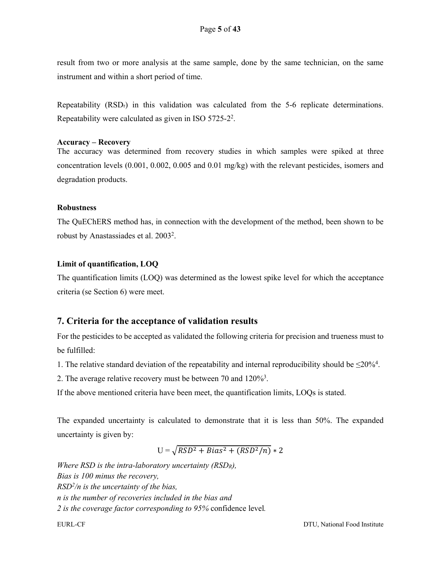result from two or more analysis at the same sample, done by the same technician, on the same instrument and within a short period of time.

Repeatability  $(RSD<sub>r</sub>)$  in this validation was calculated from the 5-6 replicate determinations. Repeatability were calculated as given in ISO 5725-22.

#### **Accuracy – Recovery**

The accuracy was determined from recovery studies in which samples were spiked at three concentration levels (0.001, 0.002, 0.005 and 0.01 mg/kg) with the relevant pesticides, isomers and degradation products.

#### **Robustness**

The QuEChERS method has, in connection with the development of the method, been shown to be robust by Anastassiades et al. 20032.

#### **Limit of quantification, LOQ**

The quantification limits (LOQ) was determined as the lowest spike level for which the acceptance criteria (se Section 6) were meet.

#### **7. Criteria for the acceptance of validation results**

For the pesticides to be accepted as validated the following criteria for precision and trueness must to be fulfilled:

1. The relative standard deviation of the repeatability and internal reproducibility should be  $\leq 20\%$ <sup>4</sup>.

2. The average relative recovery must be between 70 and  $120\%$ <sup>3</sup>.

If the above mentioned criteria have been meet, the quantification limits, LOQs is stated.

The expanded uncertainty is calculated to demonstrate that it is less than 50%. The expanded uncertainty is given by:

$$
U = \sqrt{RSD^2 + Bias^2 + (RSD^2/n)} * 2
$$

*Where RSD is the intra-laboratory uncertainty (RSDR), Bias is 100 minus the recovery, RSD2/n is the uncertainty of the bias, n is the number of recoveries included in the bias and 2 is the coverage factor corresponding to 95%* confidence level*.*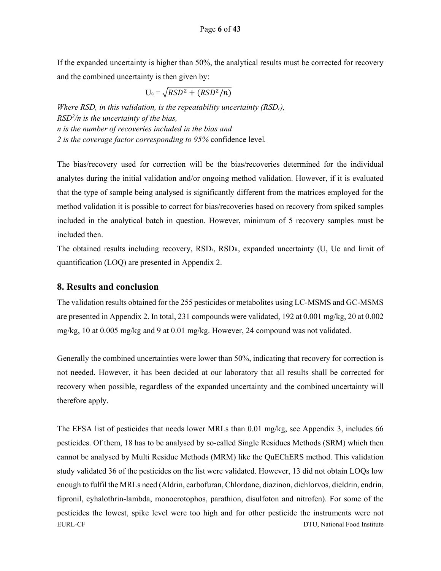If the expanded uncertainty is higher than 50%, the analytical results must be corrected for recovery and the combined uncertainty is then given by:

$$
U_c = \sqrt{RSD^2 + (RSD^2/n)}
$$

*Where RSD, in this validation, is the repeatability uncertainty (RSDr), RSD2 /n is the uncertainty of the bias, n is the number of recoveries included in the bias and 2 is the coverage factor corresponding to 95%* confidence level*.*

The bias/recovery used for correction will be the bias/recoveries determined for the individual analytes during the initial validation and/or ongoing method validation. However, if it is evaluated that the type of sample being analysed is significantly different from the matrices employed for the method validation it is possible to correct for bias/recoveries based on recovery from spiked samples included in the analytical batch in question. However, minimum of 5 recovery samples must be included then.

The obtained results including recovery,  $RSD<sub>r</sub>$ ,  $RSD<sub>R</sub>$ , expanded uncertainty (U, Uc and limit of quantification (LOQ) are presented in Appendix 2.

#### **8. Results and conclusion**

The validation results obtained for the 255 pesticides or metabolites using LC-MSMS and GC-MSMS are presented in Appendix 2. In total, 231 compounds were validated, 192 at 0.001 mg/kg, 20 at 0.002 mg/kg, 10 at 0.005 mg/kg and 9 at 0.01 mg/kg. However, 24 compound was not validated.

Generally the combined uncertainties were lower than 50%, indicating that recovery for correction is not needed. However, it has been decided at our laboratory that all results shall be corrected for recovery when possible, regardless of the expanded uncertainty and the combined uncertainty will therefore apply.

EURL-CF DTU, National Food Institute The EFSA list of pesticides that needs lower MRLs than 0.01 mg/kg, see Appendix 3, includes 66 pesticides. Of them, 18 has to be analysed by so-called Single Residues Methods (SRM) which then cannot be analysed by Multi Residue Methods (MRM) like the QuEChERS method. This validation study validated 36 of the pesticides on the list were validated. However, 13 did not obtain LOQs low enough to fulfil the MRLs need (Aldrin, carbofuran, Chlordane, diazinon, dichlorvos, dieldrin, endrin, fipronil, cyhalothrin-lambda, monocrotophos, parathion, disulfoton and nitrofen). For some of the pesticides the lowest, spike level were too high and for other pesticide the instruments were not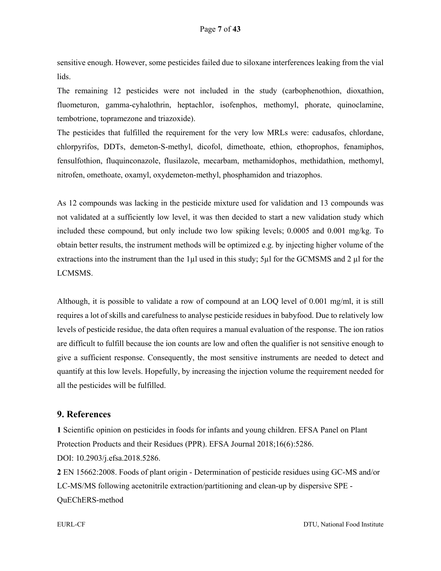sensitive enough. However, some pesticides failed due to siloxane interferences leaking from the vial lids.

The remaining 12 pesticides were not included in the study (carbophenothion, dioxathion, fluometuron, gamma-cyhalothrin, heptachlor, isofenphos, methomyl, phorate, quinoclamine, tembotrione, topramezone and triazoxide).

The pesticides that fulfilled the requirement for the very low MRLs were: cadusafos, chlordane, chlorpyrifos, DDTs, demeton-S-methyl, dicofol, dimethoate, ethion, ethoprophos, fenamiphos, fensulfothion, fluquinconazole, flusilazole, mecarbam, methamidophos, methidathion, methomyl, nitrofen, omethoate, oxamyl, oxydemeton-methyl, phosphamidon and triazophos.

As 12 compounds was lacking in the pesticide mixture used for validation and 13 compounds was not validated at a sufficiently low level, it was then decided to start a new validation study which included these compound, but only include two low spiking levels; 0.0005 and 0.001 mg/kg. To obtain better results, the instrument methods will be optimized e.g. by injecting higher volume of the extractions into the instrument than the 1µl used in this study; 5µl for the GCMSMS and 2 µl for the LCMSMS.

Although, it is possible to validate a row of compound at an LOQ level of 0.001 mg/ml, it is still requires a lot of skills and carefulness to analyse pesticide residues in babyfood. Due to relatively low levels of pesticide residue, the data often requires a manual evaluation of the response. The ion ratios are difficult to fulfill because the ion counts are low and often the qualifier is not sensitive enough to give a sufficient response. Consequently, the most sensitive instruments are needed to detect and quantify at this low levels. Hopefully, by increasing the injection volume the requirement needed for all the pesticides will be fulfilled.

#### **9. References**

**1** Scientific opinion on pesticides in foods for infants and young children. EFSA Panel on Plant Protection Products and their Residues (PPR). EFSA Journal 2018;16(6):5286. DOI: 10.2903/j.efsa.2018.5286.

**2** EN 15662:2008. Foods of plant origin - Determination of pesticide residues using GC-MS and/or LC-MS/MS following acetonitrile extraction/partitioning and clean-up by dispersive SPE - QuEChERS-method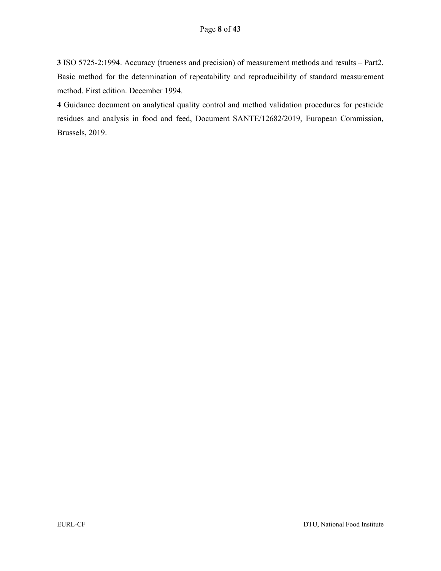**3** ISO 5725-2:1994. Accuracy (trueness and precision) of measurement methods and results – Part2. Basic method for the determination of repeatability and reproducibility of standard measurement method. First edition. December 1994.

**4** Guidance document on analytical quality control and method validation procedures for pesticide residues and analysis in food and feed, Document SANTE/12682/2019, European Commission, Brussels, 2019.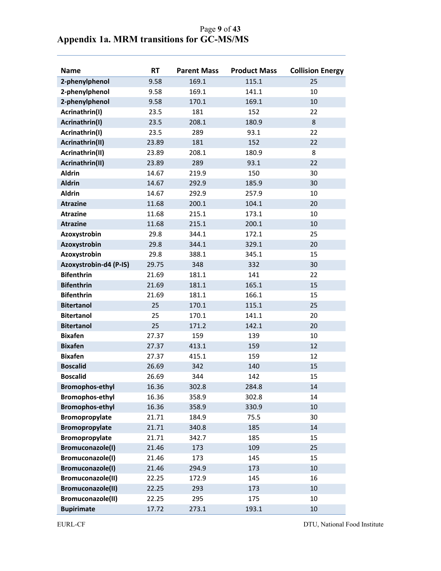|                                           | Page 9 of 43 |
|-------------------------------------------|--------------|
| Appendix 1a. MRM transitions for GC-MS/MS |              |

| <b>Name</b>            | <b>RT</b> | <b>Parent Mass</b> | <b>Product Mass</b> | <b>Collision Energy</b> |
|------------------------|-----------|--------------------|---------------------|-------------------------|
| 2-phenylphenol         | 9.58      | 169.1              | 115.1               | 25                      |
| 2-phenylphenol         | 9.58      | 169.1              | 141.1               | 10                      |
| 2-phenylphenol         | 9.58      | 170.1              | 169.1               | 10                      |
| Acrinathrin(I)         | 23.5      | 181                | 152                 | 22                      |
| Acrinathrin(I)         | 23.5      | 208.1              | 180.9               | 8                       |
| Acrinathrin(I)         | 23.5      | 289                | 93.1                | 22                      |
| Acrinathrin(II)        | 23.89     | 181                | 152                 | 22                      |
| Acrinathrin(II)        | 23.89     | 208.1              | 180.9               | 8                       |
| Acrinathrin(II)        | 23.89     | 289                | 93.1                | 22                      |
| <b>Aldrin</b>          | 14.67     | 219.9              | 150                 | 30                      |
| <b>Aldrin</b>          | 14.67     | 292.9              | 185.9               | 30                      |
| <b>Aldrin</b>          | 14.67     | 292.9              | 257.9               | 10                      |
| <b>Atrazine</b>        | 11.68     | 200.1              | 104.1               | 20                      |
| <b>Atrazine</b>        | 11.68     | 215.1              | 173.1               | 10                      |
| <b>Atrazine</b>        | 11.68     | 215.1              | 200.1               | 10                      |
| Azoxystrobin           | 29.8      | 344.1              | 172.1               | 25                      |
| Azoxystrobin           | 29.8      | 344.1              | 329.1               | 20                      |
| Azoxystrobin           | 29.8      | 388.1              | 345.1               | 15                      |
| Azoxystrobin-d4 (P-IS) | 29.75     | 348                | 332                 | 30                      |
| <b>Bifenthrin</b>      | 21.69     | 181.1              | 141                 | 22                      |
| <b>Bifenthrin</b>      | 21.69     | 181.1              | 165.1               | 15                      |
| <b>Bifenthrin</b>      | 21.69     | 181.1              | 166.1               | 15                      |
| <b>Bitertanol</b>      | 25        | 170.1              | 115.1               | 25                      |
| <b>Bitertanol</b>      | 25        | 170.1              | 141.1               | 20                      |
| <b>Bitertanol</b>      | 25        | 171.2              | 142.1               | 20                      |
| <b>Bixafen</b>         | 27.37     | 159                | 139                 | 10                      |
| <b>Bixafen</b>         | 27.37     | 413.1              | 159                 | 12                      |
| <b>Bixafen</b>         | 27.37     | 415.1              | 159                 | 12                      |
| <b>Boscalid</b>        | 26.69     | 342                | 140                 | 15                      |
| <b>Boscalid</b>        | 26.69     | 344                | 142                 | 15                      |
| <b>Bromophos-ethyl</b> | 16.36     | 302.8              | 284.8               | 14                      |
| <b>Bromophos-ethyl</b> | 16.36     | 358.9              | 302.8               | 14                      |
| <b>Bromophos-ethyl</b> | 16.36     | 358.9              | 330.9               | 10                      |
| Bromopropylate         | 21.71     | 184.9              | 75.5                | 30                      |
| Bromopropylate         | 21.71     | 340.8              | 185                 | 14                      |
| Bromopropylate         | 21.71     | 342.7              | 185                 | 15                      |
| Bromuconazole(I)       | 21.46     | 173                | 109                 | 25                      |
| Bromuconazole(I)       | 21.46     | 173                | 145                 | 15                      |
| Bromuconazole(I)       | 21.46     | 294.9              | 173                 | 10                      |
| Bromuconazole(II)      | 22.25     | 172.9              | 145                 | 16                      |
| Bromuconazole(II)      | 22.25     | 293                | 173                 | 10                      |
| Bromuconazole(II)      | 22.25     | 295                | 175                 | 10                      |
| <b>Bupirimate</b>      | 17.72     | 273.1              | 193.1               | 10                      |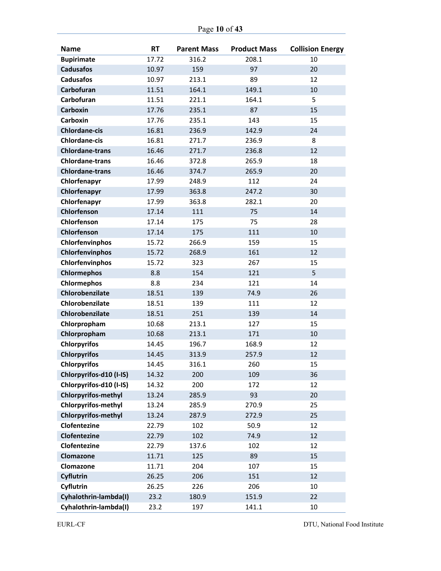| <b>Name</b>                | <b>RT</b> | <b>Parent Mass</b> | <b>Product Mass</b> | <b>Collision Energy</b> |
|----------------------------|-----------|--------------------|---------------------|-------------------------|
| <b>Bupirimate</b>          | 17.72     | 316.2              | 208.1               | 10                      |
| <b>Cadusafos</b>           | 10.97     | 159                | 97                  | 20                      |
| <b>Cadusafos</b>           | 10.97     | 213.1              | 89                  | 12                      |
| Carbofuran                 | 11.51     | 164.1              | 149.1               | 10                      |
| Carbofuran                 | 11.51     | 221.1              | 164.1               | 5                       |
| <b>Carboxin</b>            | 17.76     | 235.1              | 87                  | 15                      |
| <b>Carboxin</b>            | 17.76     | 235.1              | 143                 | 15                      |
| <b>Chlordane-cis</b>       | 16.81     | 236.9              | 142.9               | 24                      |
| <b>Chlordane-cis</b>       | 16.81     | 271.7              | 236.9               | 8                       |
| <b>Chlordane-trans</b>     | 16.46     | 271.7              | 236.8               | 12                      |
| <b>Chlordane-trans</b>     | 16.46     | 372.8              | 265.9               | 18                      |
| <b>Chlordane-trans</b>     | 16.46     | 374.7              | 265.9               | 20                      |
| Chlorfenapyr               | 17.99     | 248.9              | 112                 | 24                      |
| Chlorfenapyr               | 17.99     | 363.8              | 247.2               | 30                      |
| Chlorfenapyr               | 17.99     | 363.8              | 282.1               | 20                      |
| Chlorfenson                | 17.14     | 111                | 75                  | 14                      |
| Chlorfenson                | 17.14     | 175                | 75                  | 28                      |
| Chlorfenson                | 17.14     | 175                | 111                 | 10                      |
| Chlorfenvinphos            | 15.72     | 266.9              | 159                 | 15                      |
| Chlorfenvinphos            | 15.72     | 268.9              | 161                 | 12                      |
| Chlorfenvinphos            | 15.72     | 323                | 267                 | 15                      |
| <b>Chlormephos</b>         | 8.8       | 154                | 121                 | 5                       |
| <b>Chlormephos</b>         | 8.8       | 234                | 121                 | 14                      |
| Chlorobenzilate            | 18.51     | 139                | 74.9                | 26                      |
| Chlorobenzilate            | 18.51     | 139                | 111                 | 12                      |
| Chlorobenzilate            | 18.51     | 251                | 139                 | 14                      |
| Chlorpropham               | 10.68     | 213.1              | 127                 | 15                      |
| Chlorpropham               | 10.68     | 213.1              | 171                 | 10                      |
| <b>Chlorpyrifos</b>        | 14.45     | 196.7              | 168.9               | 12                      |
| <b>Chlorpyrifos</b>        | 14.45     | 313.9              | 257.9               | 12                      |
| <b>Chlorpyrifos</b>        | 14.45     | 316.1              | 260                 | 15                      |
| Chlorpyrifos-d10 (I-IS)    | 14.32     | 200                | 109                 | 36                      |
| Chlorpyrifos-d10 (I-IS)    | 14.32     | 200                | 172                 | 12                      |
| <b>Chlorpyrifos-methyl</b> | 13.24     | 285.9              | 93                  | 20                      |
| <b>Chlorpyrifos-methyl</b> | 13.24     | 285.9              | 270.9               | 25                      |
| <b>Chlorpyrifos-methyl</b> | 13.24     | 287.9              | 272.9               | 25                      |
| Clofentezine               | 22.79     | 102                | 50.9                | 12                      |
| Clofentezine               | 22.79     | 102                | 74.9                | 12                      |
| Clofentezine               | 22.79     | 137.6              | 102                 | 12                      |
| Clomazone                  | 11.71     | 125                | 89                  | 15                      |
| Clomazone                  | 11.71     | 204                | 107                 | 15                      |
| Cyflutrin                  | 26.25     | 206                | 151                 | 12                      |
| Cyflutrin                  | 26.25     | 226                | 206                 | 10                      |
| Cyhalothrin-lambda(I)      | 23.2      | 180.9              | 151.9               | 22                      |
| Cyhalothrin-lambda(I)      | 23.2      | 197                | 141.1               | 10                      |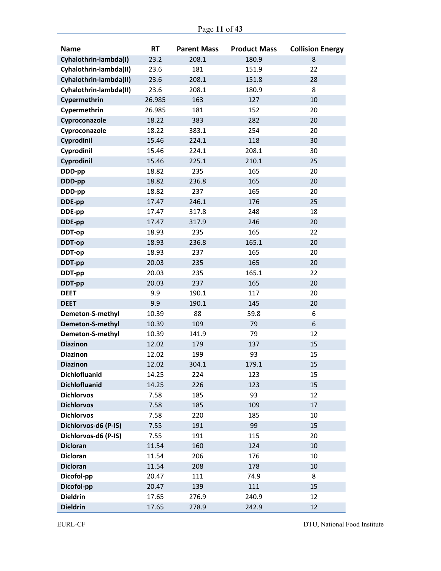| Page 11 of 43 |
|---------------|
|---------------|

| <b>Name</b>            | <b>RT</b> | <b>Parent Mass</b> | <b>Product Mass</b> | <b>Collision Energy</b> |
|------------------------|-----------|--------------------|---------------------|-------------------------|
| Cyhalothrin-lambda(I)  | 23.2      | 208.1              | 180.9               | 8                       |
| Cyhalothrin-lambda(II) | 23.6      | 181                | 151.9               | 22                      |
| Cyhalothrin-lambda(II) | 23.6      | 208.1              | 151.8               | 28                      |
| Cyhalothrin-lambda(II) | 23.6      | 208.1              | 180.9               | 8                       |
| Cypermethrin           | 26.985    | 163                | 127                 | 10                      |
| Cypermethrin           | 26.985    | 181                | 152                 | 20                      |
| Cyproconazole          | 18.22     | 383                | 282                 | 20                      |
| Cyproconazole          | 18.22     | 383.1              | 254                 | 20                      |
| Cyprodinil             | 15.46     | 224.1              | 118                 | 30                      |
| Cyprodinil             | 15.46     | 224.1              | 208.1               | 30                      |
| Cyprodinil             | 15.46     | 225.1              | 210.1               | 25                      |
| DDD-pp                 | 18.82     | 235                | 165                 | 20                      |
| DDD-pp                 | 18.82     | 236.8              | 165                 | 20                      |
| DDD-pp                 | 18.82     | 237                | 165                 | 20                      |
| DDE-pp                 | 17.47     | 246.1              | 176                 | 25                      |
| DDE-pp                 | 17.47     | 317.8              | 248                 | 18                      |
| DDE-pp                 | 17.47     | 317.9              | 246                 | 20                      |
| DDT-op                 | 18.93     | 235                | 165                 | 22                      |
| DDT-op                 | 18.93     | 236.8              | 165.1               | 20                      |
| DDT-op                 | 18.93     | 237                | 165                 | 20                      |
| DDT-pp                 | 20.03     | 235                | 165                 | 20                      |
| DDT-pp                 | 20.03     | 235                | 165.1               | 22                      |
| DDT-pp                 | 20.03     | 237                | 165                 | 20                      |
| <b>DEET</b>            | 9.9       | 190.1              | 117                 | 20                      |
| <b>DEET</b>            | 9.9       | 190.1              | 145                 | 20                      |
| Demeton-S-methyl       | 10.39     | 88                 | 59.8                | 6                       |
| Demeton-S-methyl       | 10.39     | 109                | 79                  | 6                       |
| Demeton-S-methyl       | 10.39     | 141.9              | 79                  | 12                      |
| <b>Diazinon</b>        | 12.02     | 179                | 137                 | 15                      |
| <b>Diazinon</b>        | 12.02     | 199                | 93                  | 15                      |
| <b>Diazinon</b>        | 12.02     | 304.1              | 179.1               | 15                      |
| <b>Dichlofluanid</b>   | 14.25     | 224                | 123                 | 15                      |
| <b>Dichlofluanid</b>   | 14.25     | 226                | 123                 | 15                      |
| <b>Dichlorvos</b>      | 7.58      | 185                | 93                  | 12                      |
| <b>Dichlorvos</b>      | 7.58      | 185                | 109                 | 17                      |
| <b>Dichlorvos</b>      | 7.58      | 220                | 185                 | $10\,$                  |
| Dichlorvos-d6 (P-IS)   | 7.55      | 191                | 99                  | 15                      |
| Dichlorvos-d6 (P-IS)   | 7.55      | 191                | 115                 | 20                      |
| <b>Dicloran</b>        | 11.54     | 160                | 124                 | 10                      |
| <b>Dicloran</b>        | 11.54     | 206                | 176                 | 10                      |
| <b>Dicloran</b>        | 11.54     | 208                | 178                 | 10                      |
| Dicofol-pp             | 20.47     | 111                | 74.9                | 8                       |
| Dicofol-pp             | 20.47     | 139                | 111                 | 15                      |
| <b>Dieldrin</b>        | 17.65     | 276.9              | 240.9               | 12                      |
| <b>Dieldrin</b>        | 17.65     | 278.9              | 242.9               | 12                      |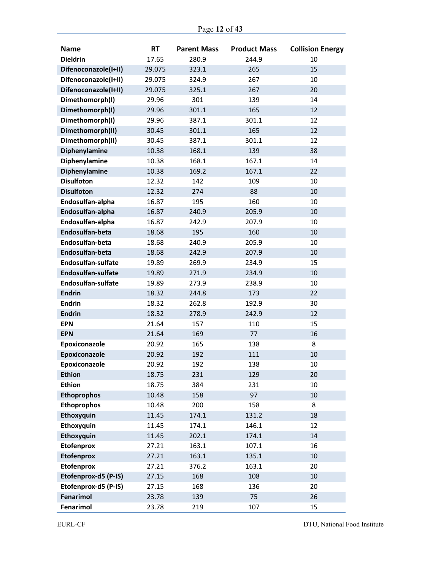| Page 12 of 43 |  |  |
|---------------|--|--|
|---------------|--|--|

| <b>Name</b>               | <b>RT</b> | <b>Parent Mass</b> | <b>Product Mass</b> | <b>Collision Energy</b> |
|---------------------------|-----------|--------------------|---------------------|-------------------------|
| <b>Dieldrin</b>           | 17.65     | 280.9              | 244.9               | 10                      |
| Difenoconazole(I+II)      | 29.075    | 323.1              | 265                 | 15                      |
| Difenoconazole(I+II)      | 29.075    | 324.9              | 267                 | 10                      |
| Difenoconazole(I+II)      | 29.075    | 325.1              | 267                 | 20                      |
| Dimethomorph(I)           | 29.96     | 301                | 139                 | 14                      |
| Dimethomorph(I)           | 29.96     | 301.1              | 165                 | 12                      |
| Dimethomorph(I)           | 29.96     | 387.1              | 301.1               | 12                      |
| Dimethomorph(II)          | 30.45     | 301.1              | 165                 | 12                      |
| Dimethomorph(II)          | 30.45     | 387.1              | 301.1               | 12                      |
| Diphenylamine             | 10.38     | 168.1              | 139                 | 38                      |
| Diphenylamine             | 10.38     | 168.1              | 167.1               | 14                      |
| Diphenylamine             | 10.38     | 169.2              | 167.1               | 22                      |
| <b>Disulfoton</b>         | 12.32     | 142                | 109                 | 10                      |
| <b>Disulfoton</b>         | 12.32     | 274                | 88                  | 10                      |
| Endosulfan-alpha          | 16.87     | 195                | 160                 | 10                      |
| Endosulfan-alpha          | 16.87     | 240.9              | 205.9               | 10                      |
| Endosulfan-alpha          | 16.87     | 242.9              | 207.9               | 10                      |
| Endosulfan-beta           | 18.68     | 195                | 160                 | 10                      |
| Endosulfan-beta           | 18.68     | 240.9              | 205.9               | 10                      |
| Endosulfan-beta           | 18.68     | 242.9              | 207.9               | 10                      |
| <b>Endosulfan-sulfate</b> | 19.89     | 269.9              | 234.9               | 15                      |
| <b>Endosulfan-sulfate</b> | 19.89     | 271.9              | 234.9               | 10                      |
| Endosulfan-sulfate        | 19.89     | 273.9              | 238.9               | 10                      |
| <b>Endrin</b>             | 18.32     | 244.8              | 173                 | 22                      |
| <b>Endrin</b>             | 18.32     | 262.8              | 192.9               | 30                      |
| <b>Endrin</b>             | 18.32     | 278.9              | 242.9               | 12                      |
| <b>EPN</b>                | 21.64     | 157                | 110                 | 15                      |
| <b>EPN</b>                | 21.64     | 169                | 77                  | 16                      |
| Epoxiconazole             | 20.92     | 165                | 138                 | 8                       |
| Epoxiconazole             | 20.92     | 192                | 111                 | 10                      |
| Epoxiconazole             | 20.92     | 192                | 138                 | 10                      |
| <b>Ethion</b>             | 18.75     | 231                | 129                 | 20                      |
| <b>Ethion</b>             | 18.75     | 384                | 231                 | $10\,$                  |
| <b>Ethoprophos</b>        | 10.48     | 158                | 97                  | 10                      |
| <b>Ethoprophos</b>        | 10.48     | 200                | 158                 | 8                       |
| Ethoxyquin                | 11.45     | 174.1              | 131.2               | 18                      |
| Ethoxyquin                | 11.45     | 174.1              | 146.1               | 12                      |
| Ethoxyquin                | 11.45     | 202.1              | 174.1               | 14                      |
| <b>Etofenprox</b>         | 27.21     | 163.1              | 107.1               | 16                      |
| <b>Etofenprox</b>         | 27.21     | 163.1              | 135.1               | 10                      |
| <b>Etofenprox</b>         | 27.21     | 376.2              | 163.1               | 20                      |
| Etofenprox-d5 (P-IS)      | 27.15     | 168                | 108                 | $10\,$                  |
| Etofenprox-d5 (P-IS)      | 27.15     | 168                | 136                 | 20                      |
| Fenarimol                 | 23.78     | 139                | 75                  | 26                      |
| Fenarimol                 | 23.78     | 219                | 107                 | 15                      |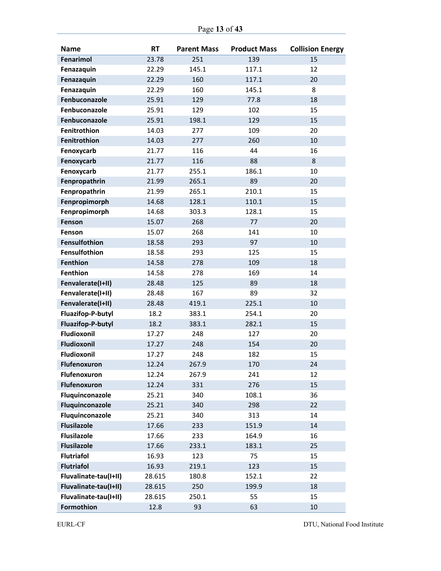| <b>Name</b>              | <b>RT</b> | <b>Parent Mass</b> | <b>Product Mass</b> | <b>Collision Energy</b> |
|--------------------------|-----------|--------------------|---------------------|-------------------------|
| Fenarimol                | 23.78     | 251                | 139                 | 15                      |
| Fenazaquin               | 22.29     | 145.1              | 117.1               | 12                      |
| Fenazaquin               | 22.29     | 160                | 117.1               | 20                      |
| Fenazaquin               | 22.29     | 160                | 145.1               | 8                       |
| Fenbuconazole            | 25.91     | 129                | 77.8                | 18                      |
| Fenbuconazole            | 25.91     | 129                | 102                 | 15                      |
| Fenbuconazole            | 25.91     | 198.1              | 129                 | 15                      |
| Fenitrothion             | 14.03     | 277                | 109                 | 20                      |
| Fenitrothion             | 14.03     | 277                | 260                 | 10                      |
| Fenoxycarb               | 21.77     | 116                | 44                  | 16                      |
| Fenoxycarb               | 21.77     | 116                | 88                  | $\,8\,$                 |
| Fenoxycarb               | 21.77     | 255.1              | 186.1               | 10                      |
| Fenpropathrin            | 21.99     | 265.1              | 89                  | 20                      |
| Fenpropathrin            | 21.99     | 265.1              | 210.1               | 15                      |
| Fenpropimorph            | 14.68     | 128.1              | 110.1               | 15                      |
| Fenpropimorph            | 14.68     | 303.3              | 128.1               | 15                      |
| Fenson                   | 15.07     | 268                | 77                  | 20                      |
| Fenson                   | 15.07     | 268                | 141                 | 10                      |
| <b>Fensulfothion</b>     | 18.58     | 293                | 97                  | 10                      |
| <b>Fensulfothion</b>     | 18.58     | 293                | 125                 | 15                      |
| <b>Fenthion</b>          | 14.58     | 278                | 109                 | 18                      |
| <b>Fenthion</b>          | 14.58     | 278                | 169                 | 14                      |
| Fenvalerate(I+II)        | 28.48     | 125                | 89                  | 18                      |
| Fenvalerate(I+II)        | 28.48     | 167                | 89                  | 32                      |
| Fenvalerate(I+II)        | 28.48     | 419.1              | 225.1               | 10                      |
| Fluazifop-P-butyl        | 18.2      | 383.1              | 254.1               | 20                      |
| <b>Fluazifop-P-butyl</b> | 18.2      | 383.1              | 282.1               | 15                      |
| Fludioxonil              | 17.27     | 248                | 127                 | 20                      |
| Fludioxonil              | 17.27     | 248                | 154                 | 20                      |
| Fludioxonil              | 17.27     | 248                | 182                 | 15                      |
| <b>Flufenoxuron</b>      | 12.24     | 267.9              | 170                 | 24                      |
| Flufenoxuron             | 12.24     | 267.9              | 241                 | 12                      |
| Flufenoxuron             | 12.24     | 331                | 276                 | 15                      |
| Fluquinconazole          | 25.21     | 340                | 108.1               | 36                      |
| Fluquinconazole          | 25.21     | 340                | 298                 | 22                      |
| Fluquinconazole          | 25.21     | 340                | 313                 | 14                      |
| <b>Flusilazole</b>       | 17.66     | 233                | 151.9               | 14                      |
| <b>Flusilazole</b>       | 17.66     | 233                | 164.9               | 16                      |
| <b>Flusilazole</b>       | 17.66     | 233.1              | 183.1               | 25                      |
| <b>Flutriafol</b>        | 16.93     | 123                | 75                  | 15                      |
| <b>Flutriafol</b>        | 16.93     | 219.1              | 123                 | 15                      |
| Fluvalinate-tau(I+II)    | 28.615    | 180.8              | 152.1               | 22                      |
| Fluvalinate-tau(I+II)    | 28.615    | 250                | 199.9               | 18                      |
| Fluvalinate-tau(I+II)    | 28.615    | 250.1              | 55                  | 15                      |
| Formothion               | 12.8      | 93                 | 63                  | 10                      |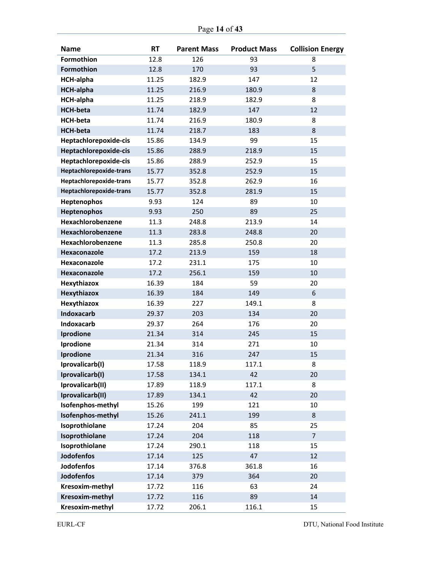| <b>Name</b>             | <b>RT</b> | <b>Parent Mass</b> | <b>Product Mass</b> | <b>Collision Energy</b> |
|-------------------------|-----------|--------------------|---------------------|-------------------------|
| <b>Formothion</b>       | 12.8      | 126                | 93                  | 8                       |
| Formothion              | 12.8      | 170                | 93                  | 5                       |
| <b>HCH-alpha</b>        | 11.25     | 182.9              | 147                 | 12                      |
| <b>HCH-alpha</b>        | 11.25     | 216.9              | 180.9               | 8                       |
| <b>HCH-alpha</b>        | 11.25     | 218.9              | 182.9               | 8                       |
| <b>HCH-beta</b>         | 11.74     | 182.9              | 147                 | 12                      |
| <b>HCH-beta</b>         | 11.74     | 216.9              | 180.9               | 8                       |
| <b>HCH-beta</b>         | 11.74     | 218.7              | 183                 | 8                       |
| Heptachlorepoxide-cis   | 15.86     | 134.9              | 99                  | 15                      |
| Heptachlorepoxide-cis   | 15.86     | 288.9              | 218.9               | 15                      |
| Heptachlorepoxide-cis   | 15.86     | 288.9              | 252.9               | 15                      |
| Heptachlorepoxide-trans | 15.77     | 352.8              | 252.9               | 15                      |
| Heptachlorepoxide-trans | 15.77     | 352.8              | 262.9               | 16                      |
| Heptachlorepoxide-trans | 15.77     | 352.8              | 281.9               | 15                      |
| Heptenophos             | 9.93      | 124                | 89                  | 10                      |
| Heptenophos             | 9.93      | 250                | 89                  | 25                      |
| Hexachlorobenzene       | 11.3      | 248.8              | 213.9               | 14                      |
| Hexachlorobenzene       | 11.3      | 283.8              | 248.8               | 20                      |
| Hexachlorobenzene       | 11.3      | 285.8              | 250.8               | 20                      |
| Hexaconazole            | 17.2      | 213.9              | 159                 | 18                      |
| Hexaconazole            | 17.2      | 231.1              | 175                 | 10                      |
| Hexaconazole            | 17.2      | 256.1              | 159                 | 10                      |
| Hexythiazox             | 16.39     | 184                | 59                  | 20                      |
| Hexythiazox             | 16.39     | 184                | 149                 | 6                       |
| Hexythiazox             | 16.39     | 227                | 149.1               | 8                       |
| <b>Indoxacarb</b>       | 29.37     | 203                | 134                 | 20                      |
| <b>Indoxacarb</b>       | 29.37     | 264                | 176                 | 20                      |
| Iprodione               | 21.34     | 314                | 245                 | 15                      |
| Iprodione               | 21.34     | 314                | 271                 | 10                      |
| Iprodione               | 21.34     | 316                | 247                 | 15                      |
| Iprovalicarb(I)         | 17.58     | 118.9              | 117.1               | 8                       |
| Iprovalicarb(I)         | 17.58     | 134.1              | 42                  | 20                      |
| Iprovalicarb(II)        | 17.89     | 118.9              | 117.1               | 8                       |
| Iprovalicarb(II)        | 17.89     | 134.1              | 42                  | 20                      |
| Isofenphos-methyl       | 15.26     | 199                | 121                 | 10                      |
| Isofenphos-methyl       | 15.26     | 241.1              | 199                 | 8                       |
| Isoprothiolane          | 17.24     | 204                | 85                  | 25                      |
| Isoprothiolane          | 17.24     | 204                | 118                 | $\overline{7}$          |
| Isoprothiolane          | 17.24     | 290.1              | 118                 | 15                      |
| <b>Jodofenfos</b>       | 17.14     | 125                | 47                  | 12                      |
| <b>Jodofenfos</b>       | 17.14     | 376.8              | 361.8               | 16                      |
| <b>Jodofenfos</b>       | 17.14     | 379                | 364                 | 20                      |
| Kresoxim-methyl         | 17.72     | 116                | 63                  | 24                      |
| Kresoxim-methyl         | 17.72     | 116                | 89                  | 14                      |
| Kresoxim-methyl         | 17.72     | 206.1              | 116.1               | 15                      |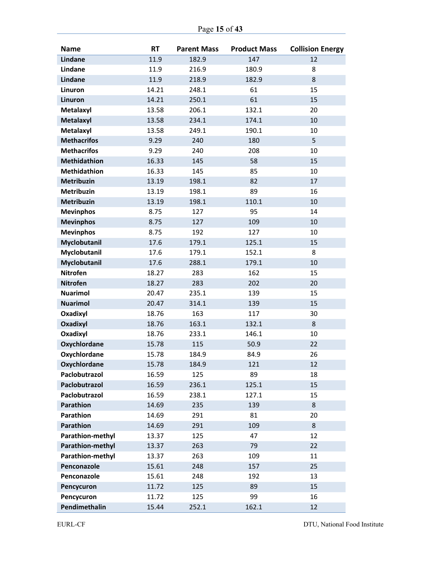| <b>Name</b>         | <b>RT</b> | <b>Parent Mass</b> | <b>Product Mass</b> | <b>Collision Energy</b> |
|---------------------|-----------|--------------------|---------------------|-------------------------|
| <b>Lindane</b>      | 11.9      | 182.9              | 147                 | 12                      |
| Lindane             | 11.9      | 216.9              | 180.9               | 8                       |
| <b>Lindane</b>      | 11.9      | 218.9              | 182.9               | 8                       |
| Linuron             | 14.21     | 248.1              | 61                  | 15                      |
| Linuron             | 14.21     | 250.1              | 61                  | 15                      |
| Metalaxyl           | 13.58     | 206.1              | 132.1               | 20                      |
| Metalaxyl           | 13.58     | 234.1              | 174.1               | 10                      |
| Metalaxyl           | 13.58     | 249.1              | 190.1               | 10                      |
| <b>Methacrifos</b>  | 9.29      | 240                | 180                 | 5                       |
| <b>Methacrifos</b>  | 9.29      | 240                | 208                 | 10                      |
| <b>Methidathion</b> | 16.33     | 145                | 58                  | 15                      |
| <b>Methidathion</b> | 16.33     | 145                | 85                  | 10                      |
| <b>Metribuzin</b>   | 13.19     | 198.1              | 82                  | 17                      |
| <b>Metribuzin</b>   | 13.19     | 198.1              | 89                  | 16                      |
| <b>Metribuzin</b>   | 13.19     | 198.1              | 110.1               | 10                      |
| <b>Mevinphos</b>    | 8.75      | 127                | 95                  | 14                      |
| <b>Mevinphos</b>    | 8.75      | 127                | 109                 | 10                      |
| <b>Mevinphos</b>    | 8.75      | 192                | 127                 | 10                      |
| Myclobutanil        | 17.6      | 179.1              | 125.1               | 15                      |
| Myclobutanil        | 17.6      | 179.1              | 152.1               | 8                       |
| Myclobutanil        | 17.6      | 288.1              | 179.1               | 10                      |
| <b>Nitrofen</b>     | 18.27     | 283                | 162                 | 15                      |
| <b>Nitrofen</b>     | 18.27     | 283                | 202                 | 20                      |
| <b>Nuarimol</b>     | 20.47     | 235.1              | 139                 | 15                      |
| <b>Nuarimol</b>     | 20.47     | 314.1              | 139                 | 15                      |
| Oxadixyl            | 18.76     | 163                | 117                 | 30                      |
| Oxadixyl            | 18.76     | 163.1              | 132.1               | 8                       |
| Oxadixyl            | 18.76     | 233.1              | 146.1               | 10                      |
| <b>Oxychlordane</b> | 15.78     | 115                | 50.9                | 22                      |
| <b>Oxychlordane</b> | 15.78     | 184.9              | 84.9                | 26                      |
| Oxychlordane        | 15.78     | 184.9              | 121                 | 12                      |
| Paclobutrazol       | 16.59     | 125                | 89                  | 18                      |
| Paclobutrazol       | 16.59     | 236.1              | 125.1               | 15                      |
| Paclobutrazol       | 16.59     | 238.1              | 127.1               | 15                      |
| Parathion           | 14.69     | 235                | 139                 | $\,8\,$                 |
| Parathion           | 14.69     | 291                | 81                  | 20                      |
| Parathion           | 14.69     | 291                | 109                 | 8                       |
| Parathion-methyl    | 13.37     | 125                | 47                  | 12                      |
| Parathion-methyl    | 13.37     | 263                | 79                  | 22                      |
| Parathion-methyl    | 13.37     | 263                | 109                 | 11                      |
| Penconazole         | 15.61     | 248                | 157                 | 25                      |
| Penconazole         | 15.61     | 248                | 192                 | 13                      |
| Pencycuron          | 11.72     | 125                | 89                  | 15                      |
| Pencycuron          | 11.72     | 125                | 99                  | 16                      |
| Pendimethalin       | 15.44     | 252.1              | 162.1               | 12                      |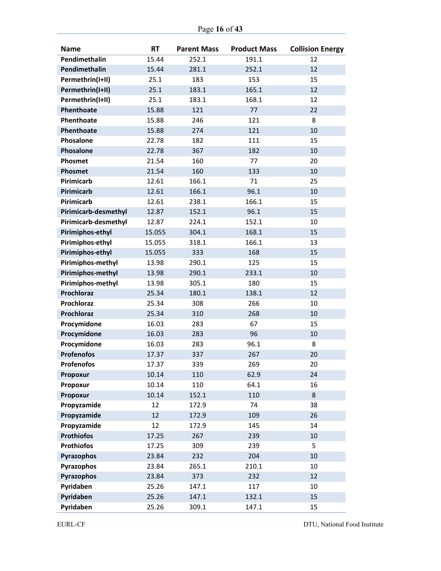| Page 16 of 43 |
|---------------|
|---------------|

| <b>Name</b>          | <b>RT</b> | <b>Parent Mass</b> | <b>Product Mass</b> | <b>Collision Energy</b> |
|----------------------|-----------|--------------------|---------------------|-------------------------|
| Pendimethalin        | 15.44     | 252.1              | 191.1               | 12                      |
| Pendimethalin        | 15.44     | 281.1              | 252.1               | 12                      |
| Permethrin(I+II)     | 25.1      | 183                | 153                 | 15                      |
| Permethrin(I+II)     | 25.1      | 183.1              | 165.1               | 12                      |
| Permethrin(I+II)     | 25.1      | 183.1              | 168.1               | 12                      |
| Phenthoate           | 15.88     | 121                | 77                  | 22                      |
| Phenthoate           | 15.88     | 246                | 121                 | 8                       |
| Phenthoate           | 15.88     | 274                | 121                 | 10                      |
| Phosalone            | 22.78     | 182                | 111                 | 15                      |
| Phosalone            | 22.78     | 367                | 182                 | 10                      |
| <b>Phosmet</b>       | 21.54     | 160                | 77                  | 20                      |
| Phosmet              | 21.54     | 160                | 133                 | 10                      |
| Pirimicarb           | 12.61     | 166.1              | 71                  | 25                      |
| <b>Pirimicarb</b>    | 12.61     | 166.1              | 96.1                | 10                      |
| Pirimicarb           | 12.61     | 238.1              | 166.1               | 15                      |
| Pirimicarb-desmethyl | 12.87     | 152.1              | 96.1                | 15                      |
| Pirimicarb-desmethyl | 12.87     | 224.1              | 152.1               | 10                      |
| Pirimiphos-ethyl     | 15.055    | 304.1              | 168.1               | 15                      |
| Pirimiphos-ethyl     | 15.055    | 318.1              | 166.1               | 13                      |
| Pirimiphos-ethyl     | 15.055    | 333                | 168                 | 15                      |
| Pirimiphos-methyl    | 13.98     | 290.1              | 125                 | 15                      |
| Pirimiphos-methyl    | 13.98     | 290.1              | 233.1               | 10                      |
| Pirimiphos-methyl    | 13.98     | 305.1              | 180                 | 15                      |
| <b>Prochloraz</b>    | 25.34     | 180.1              | 138.1               | 12                      |
| Prochloraz           | 25.34     | 308                | 266                 | 10                      |
| <b>Prochloraz</b>    | 25.34     | 310                | 268                 | 10                      |
| Procymidone          | 16.03     | 283                | 67                  | 15                      |
| Procymidone          | 16.03     | 283                | 96                  | 10                      |
| Procymidone          | 16.03     | 283                | 96.1                | 8                       |
| <b>Profenofos</b>    | 17.37     | 337                | 267                 | 20                      |
| <b>Profenofos</b>    | 17.37     | 339                | 269                 | 20                      |
| Propoxur             | 10.14     | 110                | 62.9                | 24                      |
| Propoxur             | 10.14     | 110                | 64.1                | 16                      |
| Propoxur             | 10.14     | 152.1              | 110                 | 8                       |
| Propyzamide          | 12        | 172.9              | 74                  | 38                      |
| Propyzamide          | 12        | 172.9              | 109                 | 26                      |
| Propyzamide          | 12        | 172.9              | 145                 | 14                      |
| <b>Prothiofos</b>    | 17.25     | 267                | 239                 | $10\,$                  |
| <b>Prothiofos</b>    | 17.25     | 309                | 239                 | 5                       |
| Pyrazophos           | 23.84     | 232                | 204                 | 10                      |
| Pyrazophos           | 23.84     | 265.1              | 210.1               | 10                      |
| Pyrazophos           | 23.84     | 373                | 232                 | 12                      |
| Pyridaben            | 25.26     | 147.1              | 117                 | 10                      |
| Pyridaben            | 25.26     | 147.1              | 132.1               | 15                      |
| Pyridaben            | 25.26     | 309.1              | 147.1               | 15                      |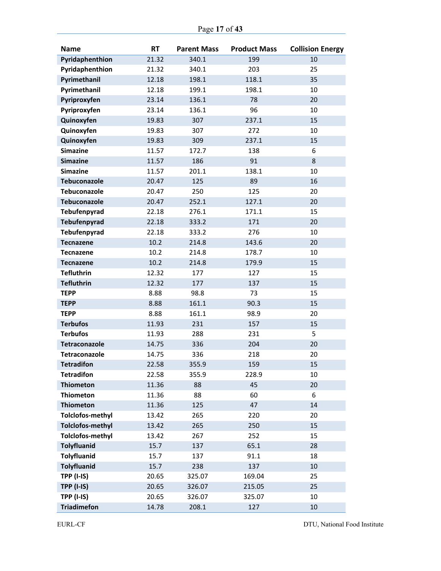|  |  | Page 17 of 43 |
|--|--|---------------|
|--|--|---------------|

| <b>Name</b>             | <b>RT</b> | <b>Parent Mass</b> | <b>Product Mass</b> | <b>Collision Energy</b> |
|-------------------------|-----------|--------------------|---------------------|-------------------------|
| Pyridaphenthion         | 21.32     | 340.1              | 199                 | 10                      |
| Pyridaphenthion         | 21.32     | 340.1              | 203                 | 25                      |
| Pyrimethanil            | 12.18     | 198.1              | 118.1               | 35                      |
| Pyrimethanil            | 12.18     | 199.1              | 198.1               | 10                      |
| Pyriproxyfen            | 23.14     | 136.1              | 78                  | 20                      |
| Pyriproxyfen            | 23.14     | 136.1              | 96                  | 10                      |
| Quinoxyfen              | 19.83     | 307                | 237.1               | 15                      |
| Quinoxyfen              | 19.83     | 307                | 272                 | 10                      |
| Quinoxyfen              | 19.83     | 309                | 237.1               | 15                      |
| <b>Simazine</b>         | 11.57     | 172.7              | 138                 | 6                       |
| <b>Simazine</b>         | 11.57     | 186                | 91                  | 8                       |
| <b>Simazine</b>         | 11.57     | 201.1              | 138.1               | 10                      |
| <b>Tebuconazole</b>     | 20.47     | 125                | 89                  | 16                      |
| <b>Tebuconazole</b>     | 20.47     | 250                | 125                 | 20                      |
| <b>Tebuconazole</b>     | 20.47     | 252.1              | 127.1               | 20                      |
| Tebufenpyrad            | 22.18     | 276.1              | 171.1               | 15                      |
| Tebufenpyrad            | 22.18     | 333.2              | 171                 | 20                      |
| Tebufenpyrad            | 22.18     | 333.2              | 276                 | 10                      |
| <b>Tecnazene</b>        | 10.2      | 214.8              | 143.6               | 20                      |
| Tecnazene               | 10.2      | 214.8              | 178.7               | 10                      |
| <b>Tecnazene</b>        | 10.2      | 214.8              | 179.9               | 15                      |
| <b>Tefluthrin</b>       | 12.32     | 177                | 127                 | 15                      |
| <b>Tefluthrin</b>       | 12.32     | 177                | 137                 | 15                      |
| <b>TEPP</b>             | 8.88      | 98.8               | 73                  | 15                      |
| <b>TEPP</b>             | 8.88      | 161.1              | 90.3                | 15                      |
| <b>TEPP</b>             | 8.88      | 161.1              | 98.9                | 20                      |
| <b>Terbufos</b>         | 11.93     | 231                | 157                 | 15                      |
| <b>Terbufos</b>         | 11.93     | 288                | 231                 | 5                       |
| <b>Tetraconazole</b>    | 14.75     | 336                | 204                 | 20                      |
| <b>Tetraconazole</b>    | 14.75     | 336                | 218                 | 20                      |
| <b>Tetradifon</b>       | 22.58     | 355.9              | 159                 | 15                      |
| <b>Tetradifon</b>       | 22.58     | 355.9              | 228.9               | 10                      |
| <b>Thiometon</b>        | 11.36     | 88                 | 45                  | 20                      |
| <b>Thiometon</b>        | 11.36     | 88                 | 60                  | 6                       |
| <b>Thiometon</b>        | 11.36     | 125                | 47                  | 14                      |
| <b>Tolclofos-methyl</b> | 13.42     | 265                | 220                 | 20                      |
| <b>Tolclofos-methyl</b> | 13.42     | 265                | 250                 | 15                      |
| <b>Tolclofos-methyl</b> | 13.42     | 267                | 252                 | 15                      |
| <b>Tolyfluanid</b>      | 15.7      | 137                | 65.1                | 28                      |
| <b>Tolyfluanid</b>      | 15.7      | 137                | 91.1                | 18                      |
| <b>Tolyfluanid</b>      | 15.7      | 238                | 137                 | 10                      |
| <b>TPP (I-IS)</b>       | 20.65     | 325.07             | 169.04              | 25                      |
| <b>TPP (I-IS)</b>       | 20.65     | 326.07             | 215.05              | 25                      |
| <b>TPP (I-IS)</b>       | 20.65     | 326.07             | 325.07              | 10                      |
| <b>Triadimefon</b>      | 14.78     | 208.1              | 127                 | 10                      |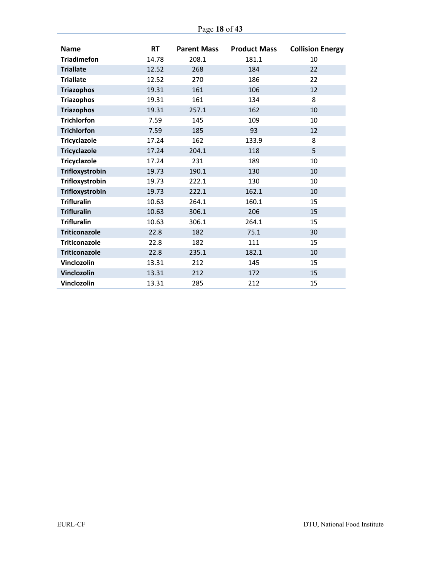| Page 18 of 43 |  |  |  |
|---------------|--|--|--|
|---------------|--|--|--|

| <b>Name</b>          | <b>RT</b> | <b>Parent Mass</b> | <b>Product Mass</b> | <b>Collision Energy</b> |
|----------------------|-----------|--------------------|---------------------|-------------------------|
| <b>Triadimefon</b>   | 14.78     | 208.1              | 181.1               | 10                      |
| <b>Triallate</b>     | 12.52     | 268                | 184                 | 22                      |
| <b>Triallate</b>     | 12.52     | 270                | 186                 | 22                      |
| <b>Triazophos</b>    | 19.31     | 161                | 106                 | 12                      |
| <b>Triazophos</b>    | 19.31     | 161                | 134                 | 8                       |
| <b>Triazophos</b>    | 19.31     | 257.1              | 162                 | 10                      |
| <b>Trichlorfon</b>   | 7.59      | 145                | 109                 | 10                      |
| <b>Trichlorfon</b>   | 7.59      | 185                | 93                  | 12                      |
| <b>Tricyclazole</b>  | 17.24     | 162                | 133.9               | 8                       |
| <b>Tricyclazole</b>  | 17.24     | 204.1              | 118                 | 5                       |
| <b>Tricyclazole</b>  | 17.24     | 231                | 189                 | 10                      |
| Trifloxystrobin      | 19.73     | 190.1              | 130                 | 10                      |
| Trifloxystrobin      | 19.73     | 222.1              | 130                 | 10                      |
| Trifloxystrobin      | 19.73     | 222.1              | 162.1               | 10                      |
| <b>Trifluralin</b>   | 10.63     | 264.1              | 160.1               | 15                      |
| <b>Trifluralin</b>   | 10.63     | 306.1              | 206                 | 15                      |
| <b>Trifluralin</b>   | 10.63     | 306.1              | 264.1               | 15                      |
| <b>Triticonazole</b> | 22.8      | 182                | 75.1                | 30                      |
| <b>Triticonazole</b> | 22.8      | 182                | 111                 | 15                      |
| <b>Triticonazole</b> | 22.8      | 235.1              | 182.1               | 10                      |
| Vinclozolin          | 13.31     | 212                | 145                 | 15                      |
| Vinclozolin          | 13.31     | 212                | 172                 | 15                      |
| Vinclozolin          | 13.31     | 285                | 212                 | 15                      |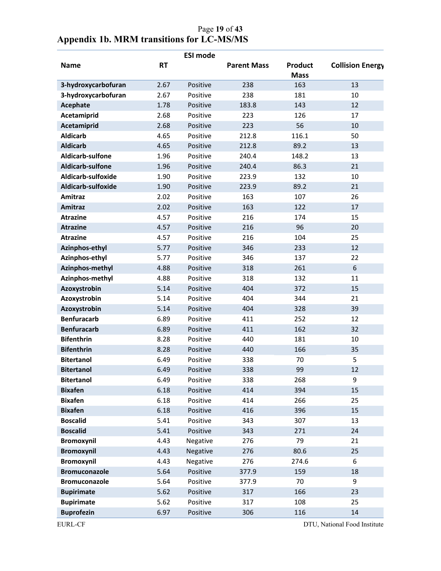|                      |           | <b>ESI mode</b> |                    |                        |                         |
|----------------------|-----------|-----------------|--------------------|------------------------|-------------------------|
| <b>Name</b>          | <b>RT</b> |                 | <b>Parent Mass</b> | Product<br><b>Mass</b> | <b>Collision Energy</b> |
| 3-hydroxycarbofuran  | 2.67      | Positive        | 238                | 163                    | 13                      |
| 3-hydroxycarbofuran  | 2.67      | Positive        | 238                | 181                    | 10                      |
| Acephate             | 1.78      | Positive        | 183.8              | 143                    | 12                      |
| Acetamiprid          | 2.68      | Positive        | 223                | 126                    | 17                      |
| Acetamiprid          | 2.68      | Positive        | 223                | 56                     | 10                      |
| <b>Aldicarb</b>      | 4.65      | Positive        | 212.8              | 116.1                  | 50                      |
| <b>Aldicarb</b>      | 4.65      | Positive        | 212.8              | 89.2                   | 13                      |
| Aldicarb-sulfone     | 1.96      | Positive        | 240.4              | 148.2                  | 13                      |
| Aldicarb-sulfone     | 1.96      | Positive        | 240.4              | 86.3                   | 21                      |
| Aldicarb-sulfoxide   | 1.90      | Positive        | 223.9              | 132                    | 10                      |
| Aldicarb-sulfoxide   | 1.90      | Positive        | 223.9              | 89.2                   | 21                      |
| Amitraz              | 2.02      | Positive        | 163                | 107                    | 26                      |
| <b>Amitraz</b>       | 2.02      | Positive        | 163                | 122                    | 17                      |
| <b>Atrazine</b>      | 4.57      | Positive        | 216                | 174                    | 15                      |
| <b>Atrazine</b>      | 4.57      | Positive        | 216                | 96                     | 20                      |
| <b>Atrazine</b>      | 4.57      | Positive        | 216                | 104                    | 25                      |
| Azinphos-ethyl       | 5.77      | Positive        | 346                | 233                    | 12                      |
| Azinphos-ethyl       | 5.77      | Positive        | 346                | 137                    | 22                      |
| Azinphos-methyl      | 4.88      | Positive        | 318                | 261                    | 6                       |
| Azinphos-methyl      | 4.88      | Positive        | 318                | 132                    | 11                      |
| Azoxystrobin         | 5.14      | Positive        | 404                | 372                    | 15                      |
| Azoxystrobin         | 5.14      | Positive        | 404                | 344                    | 21                      |
| Azoxystrobin         | 5.14      | Positive        | 404                | 328                    | 39                      |
| <b>Benfuracarb</b>   | 6.89      | Positive        | 411                | 252                    | 12                      |
| <b>Benfuracarb</b>   | 6.89      | Positive        | 411                | 162                    | 32                      |
| <b>Bifenthrin</b>    | 8.28      | Positive        | 440                | 181                    | 10                      |
| <b>Bifenthrin</b>    | 8.28      | Positive        | 440                | 166                    | 35                      |
| <b>Bitertanol</b>    | 6.49      | Positive        | 338                | 70                     | 5                       |
| <b>Bitertanol</b>    | 6.49      | Positive        | 338                | 99                     | 12                      |
| <b>Bitertanol</b>    | 6.49      | Positive        | 338                | 268                    | 9                       |
| <b>Bixafen</b>       | 6.18      | Positive        | 414                | 394                    | 15                      |
| <b>Bixafen</b>       | 6.18      | Positive        | 414                | 266                    | 25                      |
| <b>Bixafen</b>       | 6.18      | Positive        | 416                | 396                    | 15                      |
| <b>Boscalid</b>      | 5.41      | Positive        | 343                | 307                    | 13                      |
| <b>Boscalid</b>      | 5.41      | Positive        | 343                | 271                    | 24                      |
| <b>Bromoxynil</b>    | 4.43      | Negative        | 276                | 79                     | 21                      |
| <b>Bromoxynil</b>    | 4.43      | Negative        | 276                | 80.6                   | 25                      |
| <b>Bromoxynil</b>    | 4.43      | Negative        | 276                | 274.6                  | 6                       |
| <b>Bromuconazole</b> | 5.64      | Positive        | 377.9              | 159                    | 18                      |
| <b>Bromuconazole</b> | 5.64      | Positive        | 377.9              | 70                     | 9                       |
| <b>Bupirimate</b>    | 5.62      | Positive        | 317                | 166                    | 23                      |
| <b>Bupirimate</b>    | 5.62      | Positive        | 317                | 108                    | 25                      |
| <b>Buprofezin</b>    | 6.97      | Positive        | 306                | 116                    | 14                      |

## Page **19** of **43 Appendix 1b. MRM transitions for LC-MS/MS**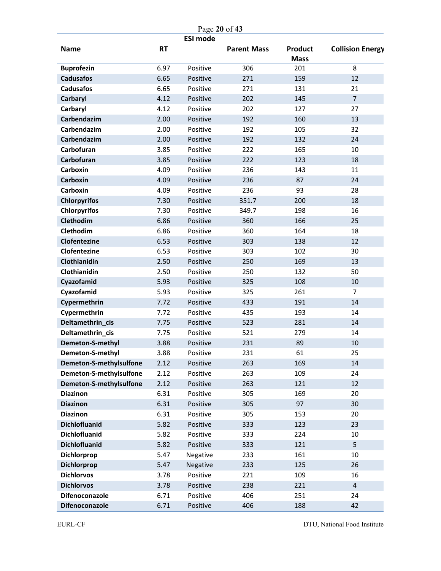|                                     | Page 20 of 43 |          |                    |                               |                         |  |  |
|-------------------------------------|---------------|----------|--------------------|-------------------------------|-------------------------|--|--|
| <b>ESI mode</b>                     |               |          |                    |                               |                         |  |  |
| <b>Name</b>                         | <b>RT</b>     |          | <b>Parent Mass</b> | <b>Product</b><br><b>Mass</b> | <b>Collision Energy</b> |  |  |
| <b>Buprofezin</b>                   | 6.97          | Positive | 306                | 201                           | 8                       |  |  |
| <b>Cadusafos</b>                    | 6.65          | Positive | 271                | 159                           | 12                      |  |  |
| <b>Cadusafos</b>                    | 6.65          | Positive | 271                | 131                           | 21                      |  |  |
| <b>Carbaryl</b>                     | 4.12          | Positive | 202                | 145                           | $\overline{7}$          |  |  |
| Carbaryl                            | 4.12          | Positive | 202                | 127                           | 27                      |  |  |
| Carbendazim                         | 2.00          | Positive | 192                | 160                           | 13                      |  |  |
| Carbendazim                         | 2.00          | Positive | 192                | 105                           | 32                      |  |  |
| Carbendazim                         | 2.00          | Positive | 192                | 132                           | 24                      |  |  |
| Carbofuran                          | 3.85          | Positive | 222                | 165                           | 10                      |  |  |
| Carbofuran                          | 3.85          | Positive | 222                | 123                           | 18                      |  |  |
| Carboxin                            | 4.09          | Positive | 236                | 143                           | 11                      |  |  |
| <b>Carboxin</b>                     | 4.09          | Positive | 236                | 87                            | 24                      |  |  |
| Carboxin                            | 4.09          | Positive | 236                | 93                            | 28                      |  |  |
| <b>Chlorpyrifos</b>                 | 7.30          | Positive | 351.7              | 200                           | 18                      |  |  |
| <b>Chlorpyrifos</b>                 | 7.30          | Positive | 349.7              | 198                           | 16                      |  |  |
| Clethodim                           | 6.86          | Positive | 360                | 166                           | 25                      |  |  |
| Clethodim                           | 6.86          | Positive | 360                | 164                           | 18                      |  |  |
| Clofentezine                        | 6.53          | Positive | 303                | 138                           | 12                      |  |  |
| Clofentezine                        | 6.53          | Positive | 303                | 102                           | 30                      |  |  |
| Clothianidin                        | 2.50          | Positive | 250                | 169                           | 13                      |  |  |
| Clothianidin                        | 2.50          | Positive | 250                | 132                           | 50                      |  |  |
| Cyazofamid                          | 5.93          | Positive | 325                | 108                           | 10                      |  |  |
| Cyazofamid                          | 5.93          | Positive | 325                | 261                           | $\overline{7}$          |  |  |
| Cypermethrin                        | 7.72          | Positive | 433                | 191                           | 14                      |  |  |
| Cypermethrin                        | 7.72          | Positive | 435                | 193                           | 14                      |  |  |
| Deltamethrin_cis                    | 7.75          | Positive | 523                | 281                           | 14                      |  |  |
| Deltamethrin_cis                    | 7.75          | Positive | 521                | 279                           | 14                      |  |  |
| Demeton-S-methyl                    | 3.88          | Positive | 231                | 89                            | 10                      |  |  |
| Demeton-S-methyl                    | 3.88          | Positive | 231                | 61                            | 25                      |  |  |
| Demeton-S-methylsulfone             | 2.12          | Positive | 263                | 169                           | 14                      |  |  |
| Demeton-S-methylsulfone             | 2.12          | Positive | 263                | 109                           | 24                      |  |  |
| Demeton-S-methylsulfone             | 2.12          | Positive | 263                | 121                           | 12                      |  |  |
| <b>Diazinon</b>                     | 6.31          | Positive | 305                | 169                           | 20                      |  |  |
| <b>Diazinon</b>                     | 6.31          | Positive | 305                | 97                            | 30                      |  |  |
| <b>Diazinon</b>                     | 6.31          | Positive | 305                | 153                           | 20                      |  |  |
| <b>Dichlofluanid</b>                | 5.82          | Positive | 333                | 123                           | 23                      |  |  |
| <b>Dichlofluanid</b>                | 5.82          | Positive | 333                | 224                           | $10\,$                  |  |  |
| <b>Dichlofluanid</b>                | 5.82          | Positive | 333                | 121                           | 5                       |  |  |
| Dichlorprop                         | 5.47          | Negative | 233                | 161                           | 10                      |  |  |
| <b>Dichlorprop</b>                  | 5.47          | Negative | 233                | 125                           | 26                      |  |  |
| <b>Dichlorvos</b>                   | 3.78          | Positive | 221                | 109                           | 16                      |  |  |
| <b>Dichlorvos</b><br>Difenoconazole | 3.78          | Positive | 238<br>406         | 221                           | 4<br>24                 |  |  |
|                                     | 6.71          | Positive |                    | 251                           |                         |  |  |
| Difenoconazole                      | 6.71          | Positive | 406                | 188                           | 42                      |  |  |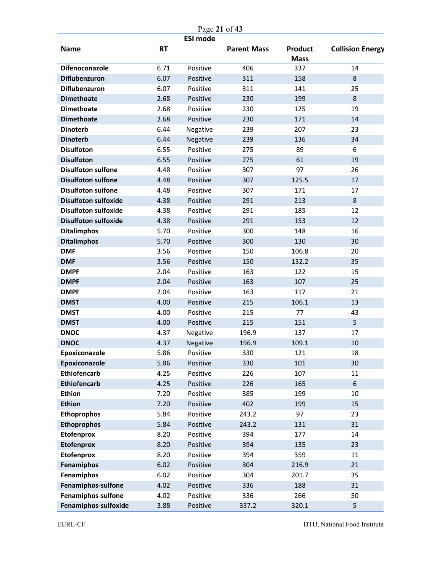|                             | Page 21 of 43 |                 |                    |                               |                         |  |
|-----------------------------|---------------|-----------------|--------------------|-------------------------------|-------------------------|--|
| <b>Name</b>                 | <b>RT</b>     | <b>ESI mode</b> | <b>Parent Mass</b> | <b>Product</b><br><b>Mass</b> | <b>Collision Energy</b> |  |
| <b>Difenoconazole</b>       | 6.71          | Positive        | 406                | 337                           | 14                      |  |
| Diflubenzuron               | 6.07          | Positive        | 311                | 158                           | 8                       |  |
| Diflubenzuron               | 6.07          | Positive        | 311                | 141                           | 25                      |  |
| <b>Dimethoate</b>           | 2.68          | Positive        | 230                | 199                           | 8                       |  |
| <b>Dimethoate</b>           | 2.68          | Positive        | 230                | 125                           | 19                      |  |
| <b>Dimethoate</b>           | 2.68          | Positive        | 230                | 171                           | 14                      |  |
| <b>Dinoterb</b>             | 6.44          | Negative        | 239                | 207                           | 23                      |  |
| <b>Dinoterb</b>             | 6.44          | Negative        | 239                | 136                           | 34                      |  |
| <b>Disulfoton</b>           | 6.55          | Positive        | 275                | 89                            | 6                       |  |
| <b>Disulfoton</b>           | 6.55          | Positive        | 275                | 61                            | 19                      |  |
| <b>Disulfoton sulfone</b>   | 4.48          | Positive        | 307                | 97                            | 26                      |  |
| <b>Disulfoton sulfone</b>   | 4.48          | Positive        | 307                | 125.5                         | 17                      |  |
| <b>Disulfoton sulfone</b>   | 4.48          | Positive        | 307                | 171                           | 17                      |  |
| <b>Disulfoton sulfoxide</b> | 4.38          | Positive        | 291                | 213                           | 8                       |  |
| <b>Disulfoton sulfoxide</b> | 4.38          | Positive        | 291                | 185                           | 12                      |  |
| <b>Disulfoton sulfoxide</b> | 4.38          | Positive        | 291                | 153                           | 12                      |  |
| <b>Ditalimphos</b>          | 5.70          | Positive        | 300                | 148                           | 16                      |  |
| <b>Ditalimphos</b>          | 5.70          | Positive        | 300                | 130                           | 30                      |  |
| <b>DMF</b>                  | 3.56          | Positive        | 150                | 106.8                         | 20                      |  |
| <b>DMF</b>                  | 3.56          | Positive        | 150                | 132.2                         | 35                      |  |
| <b>DMPF</b>                 | 2.04          | Positive        | 163                | 122                           | 15                      |  |
| <b>DMPF</b>                 | 2.04          | Positive        | 163                | 107                           | 25                      |  |
| <b>DMPF</b>                 | 2.04          | Positive        | 163                | 117                           | 21                      |  |
| <b>DMST</b>                 | 4.00          | Positive        | 215                | 106.1                         | 13                      |  |
| <b>DMST</b>                 | 4.00          | Positive        | 215                | 77                            | 43                      |  |
| <b>DMST</b>                 | 4.00          | Positive        | 215                | 151                           | 5                       |  |
| <b>DNOC</b>                 | 4.37          | Negative        | 196.9              | 137                           | 17                      |  |
| <b>DNOC</b>                 | 4.37          | Negative        | 196.9              | 109.1                         | 10                      |  |
| Epoxiconazole               | 5.86          | Positive        | 330                | 121                           | 18                      |  |
| Epoxiconazole               | 5.86          | Positive        | 330                | 101                           | 30                      |  |
| Ethiofencarb                | 4.25          | Positive        | 226                | 107                           | 11                      |  |
| <b>Ethiofencarb</b>         | 4.25          | Positive        | 226                | 165                           | 6                       |  |
| <b>Ethion</b>               | 7.20          | Positive        | 385                | 199                           | $10\,$                  |  |
| <b>Ethion</b>               | 7.20          | Positive        | 402                | 199                           | 15                      |  |
| <b>Ethoprophos</b>          | 5.84          | Positive        | 243.2              | 97                            | 23                      |  |
| <b>Ethoprophos</b>          | 5.84          | Positive        | 243.2              | 131                           | 31                      |  |
| <b>Etofenprox</b>           | 8.20          | Positive        | 394                | 177                           | 14                      |  |
| <b>Etofenprox</b>           | 8.20          | Positive        | 394                | 135                           | 23                      |  |
| <b>Etofenprox</b>           | 8.20          | Positive        | 394                | 359                           | 11                      |  |
| Fenamiphos                  | 6.02          | Positive        | 304                | 216.9                         | 21                      |  |
| Fenamiphos                  | 6.02          | Positive        | 304                | 201.7                         | 35                      |  |
| Fenamiphos-sulfone          | 4.02          | Positive        | 336                | 188                           | 31                      |  |
| Fenamiphos-sulfone          | 4.02          | Positive        | 336                | 266                           | 50                      |  |
| Fenamiphos-sulfoxide        | 3.88          | Positive        | 337.2              | 320.1                         | 5                       |  |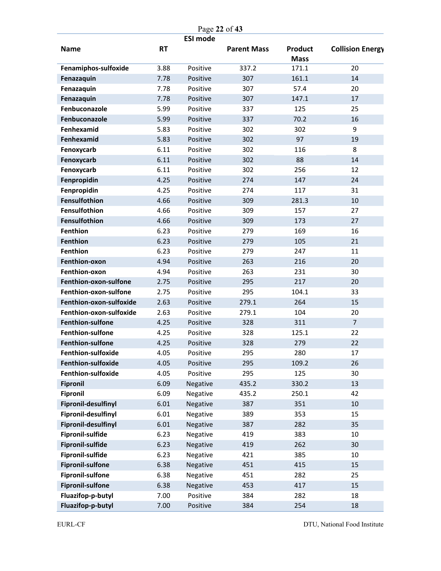|                            |           |                 | Page 22 of 43      |                        |                         |
|----------------------------|-----------|-----------------|--------------------|------------------------|-------------------------|
| <b>Name</b>                | <b>RT</b> | <b>ESI mode</b> | <b>Parent Mass</b> | Product<br><b>Mass</b> | <b>Collision Energy</b> |
| Fenamiphos-sulfoxide       | 3.88      | Positive        | 337.2              | 171.1                  | 20                      |
| Fenazaquin                 | 7.78      | Positive        | 307                | 161.1                  | 14                      |
| Fenazaquin                 | 7.78      | Positive        | 307                | 57.4                   | 20                      |
| Fenazaquin                 | 7.78      | Positive        | 307                | 147.1                  | 17                      |
| Fenbuconazole              | 5.99      | Positive        | 337                | 125                    | 25                      |
| Fenbuconazole              | 5.99      | Positive        | 337                | 70.2                   | 16                      |
| Fenhexamid                 | 5.83      | Positive        | 302                | 302                    | 9                       |
| Fenhexamid                 | 5.83      | Positive        | 302                | 97                     | 19                      |
| Fenoxycarb                 | 6.11      | Positive        | 302                | 116                    | 8                       |
| Fenoxycarb                 | 6.11      | Positive        | 302                | 88                     | 14                      |
| Fenoxycarb                 | 6.11      | Positive        | 302                | 256                    | 12                      |
| Fenpropidin                | 4.25      | Positive        | 274                | 147                    | 24                      |
| Fenpropidin                | 4.25      | Positive        | 274                | 117                    | 31                      |
| <b>Fensulfothion</b>       | 4.66      | Positive        | 309                | 281.3                  | 10                      |
| Fensulfothion              | 4.66      | Positive        | 309                | 157                    | 27                      |
| Fensulfothion              | 4.66      | Positive        | 309                | 173                    | 27                      |
| <b>Fenthion</b>            | 6.23      | Positive        | 279                | 169                    | 16                      |
| <b>Fenthion</b>            | 6.23      | Positive        | 279                | 105                    | 21                      |
| <b>Fenthion</b>            | 6.23      | Positive        | 279                | 247                    | 11                      |
| Fenthion-oxon              | 4.94      | Positive        | 263                | 216                    | 20                      |
| Fenthion-oxon              | 4.94      | Positive        | 263                | 231                    | 30                      |
| Fenthion-oxon-sulfone      | 2.75      | Positive        | 295                | 217                    | 20                      |
| Fenthion-oxon-sulfone      | 2.75      | Positive        | 295                | 104.1                  | 33                      |
| Fenthion-oxon-sulfoxide    | 2.63      | Positive        | 279.1              | 264                    | 15                      |
| Fenthion-oxon-sulfoxide    | 2.63      | Positive        | 279.1              | 104                    | 20                      |
| <b>Fenthion-sulfone</b>    | 4.25      | Positive        | 328                | 311                    | $\overline{7}$          |
| <b>Fenthion-sulfone</b>    | 4.25      | Positive        | 328                | 125.1                  | 22                      |
| <b>Fenthion-sulfone</b>    | 4.25      | Positive        | 328                | 279                    | 22                      |
| Fenthion-sulfoxide         | 4.05      | Positive        | 295                | 280                    | 17                      |
| Fenthion-sulfoxide         | 4.05      | Positive        | 295                | 109.2                  | 26                      |
| Fenthion-sulfoxide         | 4.05      | Positive        | 295                | 125                    | 30                      |
| <b>Fipronil</b>            | 6.09      | Negative        | 435.2              | 330.2                  | 13                      |
| <b>Fipronil</b>            | 6.09      | Negative        | 435.2              | 250.1                  | 42                      |
| <b>Fipronil-desulfinyl</b> | 6.01      | Negative        | 387                | 351                    | $10\,$                  |
| Fipronil-desulfinyl        | 6.01      | Negative        | 389                | 353                    | 15                      |
| <b>Fipronil-desulfinyl</b> | 6.01      | Negative        | 387                | 282                    | 35                      |
| <b>Fipronil-sulfide</b>    | 6.23      | Negative        | 419                | 383                    | 10                      |
| <b>Fipronil-sulfide</b>    | 6.23      | Negative        | 419                | 262                    | 30                      |
| Fipronil-sulfide           | 6.23      | Negative        | 421                | 385                    | 10                      |
| <b>Fipronil-sulfone</b>    | 6.38      | Negative        | 451                | 415                    | 15                      |
| <b>Fipronil-sulfone</b>    | 6.38      | Negative        | 451                | 282                    | 25                      |
| <b>Fipronil-sulfone</b>    | 6.38      | Negative        | 453                | 417                    | 15                      |
| Fluazifop-p-butyl          | 7.00      | Positive        | 384                | 282                    | 18                      |
| Fluazifop-p-butyl          | 7.00      | Positive        | 384                | 254                    | 18                      |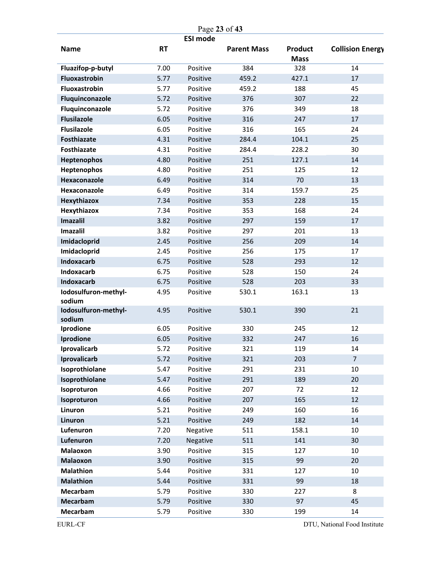|                                |           | Page 23 of 43   |                    |                        |                         |
|--------------------------------|-----------|-----------------|--------------------|------------------------|-------------------------|
| <b>Name</b>                    | <b>RT</b> | <b>ESI mode</b> | <b>Parent Mass</b> | Product<br><b>Mass</b> | <b>Collision Energy</b> |
| Fluazifop-p-butyl              | 7.00      | Positive        | 384                | 328                    | 14                      |
| Fluoxastrobin                  | 5.77      | Positive        | 459.2              | 427.1                  | 17                      |
| <b>Fluoxastrobin</b>           | 5.77      | Positive        | 459.2              | 188                    | 45                      |
| Fluquinconazole                | 5.72      | Positive        | 376                | 307                    | 22                      |
| Fluquinconazole                | 5.72      | Positive        | 376                | 349                    | 18                      |
| <b>Flusilazole</b>             | 6.05      | Positive        | 316                | 247                    | 17                      |
| <b>Flusilazole</b>             | 6.05      | Positive        | 316                | 165                    | 24                      |
| <b>Fosthiazate</b>             | 4.31      | Positive        | 284.4              | 104.1                  | 25                      |
| <b>Fosthiazate</b>             | 4.31      | Positive        | 284.4              | 228.2                  | 30                      |
| <b>Heptenophos</b>             | 4.80      | Positive        | 251                | 127.1                  | 14                      |
| Heptenophos                    | 4.80      | Positive        | 251                | 125                    | 12                      |
| Hexaconazole                   | 6.49      | Positive        | 314                | 70                     | 13                      |
| Hexaconazole                   | 6.49      | Positive        | 314                | 159.7                  | 25                      |
| Hexythiazox                    | 7.34      | Positive        | 353                | 228                    | 15                      |
| Hexythiazox                    | 7.34      | Positive        | 353                | 168                    | 24                      |
| <b>Imazalil</b>                | 3.82      | Positive        | 297                | 159                    | 17                      |
| Imazalil                       | 3.82      | Positive        | 297                | 201                    | 13                      |
| Imidacloprid                   | 2.45      | Positive        | 256                | 209                    | 14                      |
| Imidacloprid                   | 2.45      | Positive        | 256                | 175                    | 17                      |
| <b>Indoxacarb</b>              | 6.75      | Positive        | 528                | 293                    | 12                      |
| Indoxacarb                     | 6.75      | Positive        | 528                | 150                    | 24                      |
| <b>Indoxacarb</b>              | 6.75      | Positive        | 528                | 203                    | 33                      |
| Iodosulfuron-methyl-<br>sodium | 4.95      | Positive        | 530.1              | 163.1                  | 13                      |
| Iodosulfuron-methyl-<br>sodium | 4.95      | Positive        | 530.1              | 390                    | 21                      |
| Iprodione                      | 6.05      | Positive        | 330                | 245                    | 12                      |
| Iprodione                      | 6.05      | Positive        | 332                | 247                    | 16                      |
| Iprovalicarb                   | 5.72      | Positive        | 321                | 119                    | 14                      |
| Iprovalicarb                   | 5.72      | Positive        | 321                | 203                    | $\overline{7}$          |
| Isoprothiolane                 | 5.47      | Positive        | 291                | 231                    | 10                      |
| Isoprothiolane                 | 5.47      | Positive        | 291                | 189                    | 20                      |
| Isoproturon                    | 4.66      | Positive        | 207                | 72                     | 12                      |
| Isoproturon                    | 4.66      | Positive        | 207                | 165                    | 12                      |
| Linuron                        | 5.21      | Positive        | 249                | 160                    | 16                      |
| Linuron                        | 5.21      | Positive        | 249                | 182                    | 14                      |
| Lufenuron                      | 7.20      | Negative        | 511                | 158.1                  | 10                      |
| Lufenuron                      | 7.20      | Negative        | 511                | 141                    | 30                      |
| Malaoxon                       | 3.90      | Positive        | 315                | 127                    | 10                      |
| <b>Malaoxon</b>                | 3.90      | Positive        | 315                | 99                     | 20                      |
| <b>Malathion</b>               | 5.44      | Positive        | 331                | 127                    | 10                      |
| <b>Malathion</b>               | 5.44      | Positive        | 331                | 99                     | 18                      |
| Mecarbam                       | 5.79      | Positive        | 330                | 227                    | 8                       |
| <b>Mecarbam</b>                | 5.79      | Positive        | 330                | 97                     | 45                      |
| Mecarbam                       | 5.79      | Positive        | 330                | 199                    | 14                      |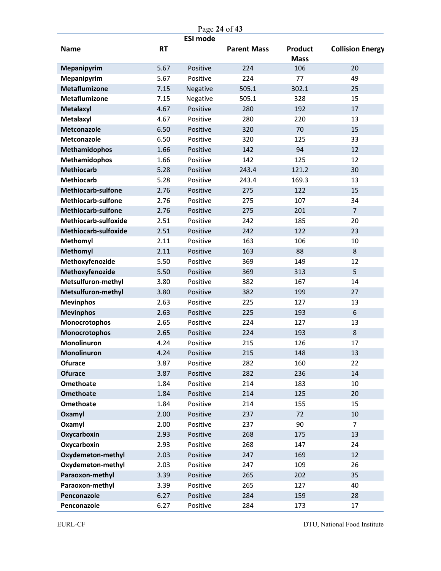| Page 24 of 43             |           |                 |                    |                        |                         |
|---------------------------|-----------|-----------------|--------------------|------------------------|-------------------------|
| <b>Name</b>               | <b>RT</b> | <b>ESI mode</b> | <b>Parent Mass</b> | Product<br><b>Mass</b> | <b>Collision Energy</b> |
| <b>Mepanipyrim</b>        | 5.67      | Positive        | 224                | 106                    | 20                      |
| Mepanipyrim               | 5.67      | Positive        | 224                | 77                     | 49                      |
| <b>Metaflumizone</b>      | 7.15      | Negative        | 505.1              | 302.1                  | 25                      |
| <b>Metaflumizone</b>      | 7.15      | Negative        | 505.1              | 328                    | 15                      |
| Metalaxyl                 | 4.67      | Positive        | 280                | 192                    | 17                      |
| Metalaxyl                 | 4.67      | Positive        | 280                | 220                    | 13                      |
| Metconazole               | 6.50      | Positive        | 320                | 70                     | 15                      |
| Metconazole               | 6.50      | Positive        | 320                | 125                    | 33                      |
| <b>Methamidophos</b>      | 1.66      | Positive        | 142                | 94                     | 12                      |
| <b>Methamidophos</b>      | 1.66      | Positive        | 142                | 125                    | 12                      |
| <b>Methiocarb</b>         | 5.28      | Positive        | 243.4              | 121.2                  | 30                      |
| <b>Methiocarb</b>         | 5.28      | Positive        | 243.4              | 169.3                  | 13                      |
| <b>Methiocarb-sulfone</b> | 2.76      | Positive        | 275                | 122                    | 15                      |
| <b>Methiocarb-sulfone</b> | 2.76      | Positive        | 275                | 107                    | 34                      |
| <b>Methiocarb-sulfone</b> | 2.76      | Positive        | 275                | 201                    | $\overline{7}$          |
| Methiocarb-sulfoxide      | 2.51      | Positive        | 242                | 185                    | 20                      |
| Methiocarb-sulfoxide      | 2.51      | Positive        | 242                | 122                    | 23                      |
| <b>Methomyl</b>           | 2.11      | Positive        | 163                | 106                    | 10                      |
| <b>Methomyl</b>           | 2.11      | Positive        | 163                | 88                     | 8                       |
| Methoxyfenozide           | 5.50      | Positive        | 369                | 149                    | 12                      |
| Methoxyfenozide           | 5.50      | Positive        | 369                | 313                    | 5                       |
| Metsulfuron-methyl        | 3.80      | Positive        | 382                | 167                    | 14                      |
| Metsulfuron-methyl        | 3.80      | Positive        | 382                | 199                    | 27                      |
| <b>Mevinphos</b>          | 2.63      | Positive        | 225                | 127                    | 13                      |
| <b>Mevinphos</b>          | 2.63      | Positive        | 225                | 193                    | 6                       |
| Monocrotophos             | 2.65      | Positive        | 224                | 127                    | 13                      |
| Monocrotophos             | 2.65      | Positive        | 224                | 193                    | 8                       |
| Monolinuron               | 4.24      | Positive        | 215                | 126                    | 17                      |
| Monolinuron               | 4.24      | Positive        | 215                | 148                    | 13                      |
| <b>Ofurace</b>            | 3.87      | Positive        | 282                | 160                    | 22                      |
| <b>Ofurace</b>            | 3.87      | Positive        | 282                | 236                    | 14                      |
| <b>Omethoate</b>          | 1.84      | Positive        | 214                | 183                    | $10\,$                  |
| <b>Omethoate</b>          | 1.84      | Positive        | 214                | 125                    | 20                      |
| Omethoate                 | 1.84      | Positive        | 214                | 155                    | 15                      |
| Oxamyl                    | 2.00      | Positive        | 237                | 72                     | $10\,$                  |
| Oxamyl                    | 2.00      | Positive        | 237                | 90                     | 7                       |
| Oxycarboxin               | 2.93      | Positive        | 268                | 175                    | 13                      |
| Oxycarboxin               | 2.93      | Positive        | 268                | 147                    | 24                      |
| Oxydemeton-methyl         | 2.03      | Positive        | 247                | 169                    | 12                      |
| Oxydemeton-methyl         | 2.03      | Positive        | 247                | 109                    | 26                      |
| Paraoxon-methyl           | 3.39      | Positive        | 265                | 202                    | 35                      |
| Paraoxon-methyl           | 3.39      | Positive        | 265                | 127                    | 40                      |
| Penconazole               | 6.27      | Positive        | 284                | 159                    | 28                      |
| Penconazole               | 6.27      | Positive        | 284                | 173                    | 17                      |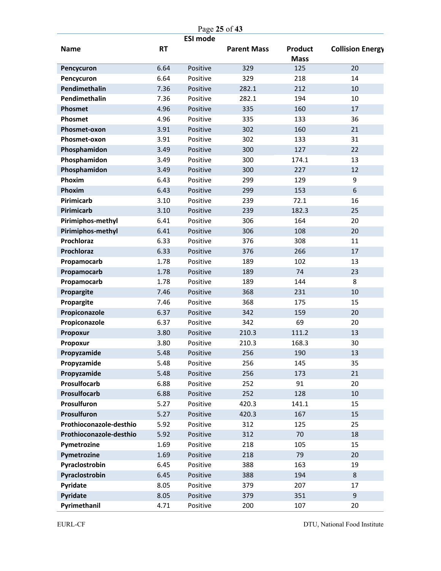| Page 25 of 43           |           |                 |                    |                               |                         |
|-------------------------|-----------|-----------------|--------------------|-------------------------------|-------------------------|
| <b>Name</b>             | <b>RT</b> | <b>ESI mode</b> | <b>Parent Mass</b> | <b>Product</b><br><b>Mass</b> | <b>Collision Energy</b> |
| Pencycuron              | 6.64      | Positive        | 329                | 125                           | 20                      |
| Pencycuron              | 6.64      | Positive        | 329                | 218                           | 14                      |
| Pendimethalin           | 7.36      | Positive        | 282.1              | 212                           | 10                      |
| Pendimethalin           | 7.36      | Positive        | 282.1              | 194                           | 10                      |
| Phosmet                 | 4.96      | Positive        | 335                | 160                           | 17                      |
| Phosmet                 | 4.96      | Positive        | 335                | 133                           | 36                      |
| Phosmet-oxon            | 3.91      | Positive        | 302                | 160                           | 21                      |
| Phosmet-oxon            | 3.91      | Positive        | 302                | 133                           | 31                      |
| Phosphamidon            | 3.49      | Positive        | 300                | 127                           | 22                      |
| Phosphamidon            | 3.49      | Positive        | 300                | 174.1                         | 13                      |
| Phosphamidon            | 3.49      | Positive        | 300                | 227                           | 12                      |
| Phoxim                  | 6.43      | Positive        | 299                | 129                           | 9                       |
| Phoxim                  | 6.43      | Positive        | 299                | 153                           | 6                       |
| Pirimicarb              | 3.10      | Positive        | 239                | 72.1                          | 16                      |
| Pirimicarb              | 3.10      | Positive        | 239                | 182.3                         | 25                      |
| Pirimiphos-methyl       | 6.41      | Positive        | 306                | 164                           | 20                      |
| Pirimiphos-methyl       | 6.41      | Positive        | 306                | 108                           | 20                      |
| Prochloraz              | 6.33      | Positive        | 376                | 308                           | 11                      |
| Prochloraz              | 6.33      | Positive        | 376                | 266                           | 17                      |
| Propamocarb             | 1.78      | Positive        | 189                | 102                           | 13                      |
| Propamocarb             | 1.78      | Positive        | 189                | 74                            | 23                      |
| Propamocarb             | 1.78      | Positive        | 189                | 144                           | 8                       |
| Propargite              | 7.46      | Positive        | 368                | 231                           | 10                      |
| Propargite              | 7.46      | Positive        | 368                | 175                           | 15                      |
| Propiconazole           | 6.37      | Positive        | 342                | 159                           | 20                      |
| Propiconazole           | 6.37      | Positive        | 342                | 69                            | 20                      |
| Propoxur                | 3.80      | Positive        | 210.3              | 111.2                         | 13                      |
| Propoxur                | 3.80      | Positive        | 210.3              | 168.3                         | 30                      |
| Propyzamide             | 5.48      | Positive        | 256                | 190                           | 13                      |
| Propyzamide             | 5.48      | Positive        | 256                | 145                           | 35                      |
| Propyzamide             | 5.48      | Positive        | 256                | 173                           | 21                      |
| Prosulfocarb            | 6.88      | Positive        | 252                | 91                            | 20                      |
| Prosulfocarb            | 6.88      | Positive        | 252                | 128                           | $10\,$                  |
| Prosulfuron             | 5.27      | Positive        | 420.3              | 141.1                         | 15                      |
| Prosulfuron             | 5.27      | Positive        | 420.3              | 167                           | 15                      |
| Prothioconazole-desthio | 5.92      | Positive        | 312                | 125                           | 25                      |
| Prothioconazole-desthio | 5.92      | Positive        | 312                | 70                            | 18                      |
| Pymetrozine             | 1.69      | Positive        | 218                | 105                           | 15                      |
| Pymetrozine             | 1.69      | Positive        | 218                | 79                            | 20                      |
| Pyraclostrobin          | 6.45      | Positive        | 388                | 163                           | 19                      |
| Pyraclostrobin          | 6.45      | Positive        | 388                | 194                           | $\bf 8$                 |
| Pyridate                | 8.05      | Positive        | 379                | 207                           | 17                      |
| Pyridate                | 8.05      | Positive        | 379                | 351                           | 9                       |
| Pyrimethanil            | 4.71      | Positive        | 200                | 107                           | 20                      |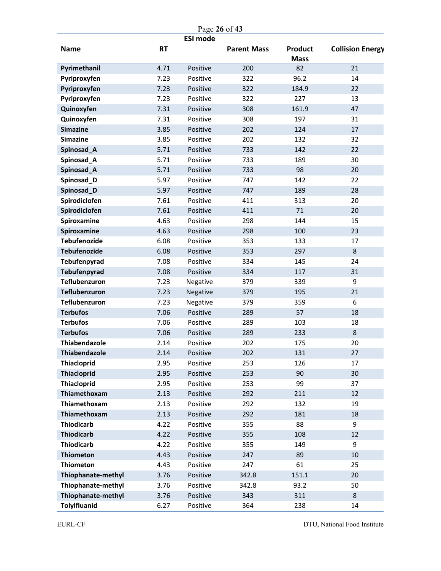|                                      |              |                      | Page 26 of 43      |                               |                         |
|--------------------------------------|--------------|----------------------|--------------------|-------------------------------|-------------------------|
|                                      |              | <b>ESI mode</b>      |                    |                               |                         |
| <b>Name</b>                          | <b>RT</b>    |                      | <b>Parent Mass</b> | <b>Product</b><br><b>Mass</b> | <b>Collision Energy</b> |
| Pyrimethanil                         | 4.71         | Positive             | 200                | 82                            | 21                      |
| Pyriproxyfen                         | 7.23         | Positive             | 322                | 96.2                          | 14                      |
| Pyriproxyfen                         | 7.23         | Positive             | 322                | 184.9                         | 22                      |
| Pyriproxyfen                         | 7.23         | Positive             | 322                | 227                           | 13                      |
| Quinoxyfen                           | 7.31         | Positive             | 308                | 161.9                         | 47                      |
| Quinoxyfen                           | 7.31         | Positive             | 308                | 197                           | 31                      |
| <b>Simazine</b>                      | 3.85         | Positive             | 202                | 124                           | 17                      |
| <b>Simazine</b>                      | 3.85         | Positive             | 202                | 132                           | 32                      |
| Spinosad_A                           | 5.71         | Positive             | 733                | 142                           | 22                      |
| Spinosad_A                           | 5.71         | Positive             | 733                | 189                           | 30                      |
| Spinosad_A                           | 5.71         | Positive             | 733                | 98                            | 20                      |
| Spinosad_D                           | 5.97         | Positive             | 747                | 142                           | 22                      |
| Spinosad_D                           | 5.97         | Positive             | 747                | 189                           | 28                      |
| Spirodiclofen                        | 7.61         | Positive             | 411                | 313                           | 20                      |
| Spirodiclofen                        | 7.61         | Positive             | 411                | 71                            | 20                      |
| Spiroxamine                          | 4.63         | Positive             | 298                | 144                           | 15                      |
| Spiroxamine                          | 4.63         | Positive             | 298                | 100                           | 23                      |
| Tebufenozide                         | 6.08         | Positive             | 353                | 133                           | 17                      |
| <b>Tebufenozide</b>                  | 6.08         | Positive             | 353                | 297                           | 8                       |
| Tebufenpyrad                         | 7.08         | Positive             | 334                | 145                           | 24                      |
| <b>Tebufenpyrad</b>                  | 7.08         | Positive             | 334                | 117                           | 31                      |
| <b>Teflubenzuron</b>                 | 7.23         | Negative             | 379                | 339                           | 9                       |
| <b>Teflubenzuron</b>                 | 7.23         | Negative             | 379                | 195                           | 21                      |
| <b>Teflubenzuron</b>                 | 7.23         | Negative             | 379                | 359                           | 6                       |
| <b>Terbufos</b>                      | 7.06         | Positive             | 289                | 57                            | 18                      |
| <b>Terbufos</b>                      | 7.06         | Positive             | 289                | 103                           | 18                      |
| <b>Terbufos</b>                      | 7.06         | Positive             | 289                | 233                           | 8                       |
| Thiabendazole                        | 2.14         | Positive             | 202                | 175                           | 20                      |
| Thiabendazole                        | 2.14         | Positive             | 202                | 131                           | 27                      |
| <b>Thiacloprid</b>                   | 2.95         | Positive             | 253                | 126                           | 17                      |
| <b>Thiacloprid</b>                   | 2.95         | Positive             | 253                | 90                            | 30                      |
| <b>Thiacloprid</b>                   | 2.95         | Positive             | 253                | 99                            | 37                      |
| Thiamethoxam                         | 2.13         | Positive             | 292                | 211                           | 12                      |
| Thiamethoxam                         | 2.13         | Positive             | 292                | 132                           | 19                      |
| Thiamethoxam                         | 2.13         | Positive             | 292                | 181                           | 18                      |
| <b>Thiodicarb</b>                    | 4.22         | Positive             | 355                | 88                            | 9                       |
| <b>Thiodicarb</b><br>Thiodicarb      | 4.22<br>4.22 | Positive<br>Positive | 355<br>355         | 108<br>149                    | 12<br>9                 |
|                                      |              |                      |                    |                               |                         |
| <b>Thiometon</b><br><b>Thiometon</b> | 4.43<br>4.43 | Positive<br>Positive | 247<br>247         | 89<br>61                      | $10\,$<br>25            |
| Thiophanate-methyl                   | 3.76         | Positive             | 342.8              | 151.1                         | 20                      |
| Thiophanate-methyl                   | 3.76         | Positive             | 342.8              | 93.2                          | 50                      |
| Thiophanate-methyl                   | 3.76         | Positive             | 343                | 311                           | 8                       |
| <b>TolyIfluanid</b>                  | 6.27         | Positive             | 364                | 238                           | 14                      |
|                                      |              |                      |                    |                               |                         |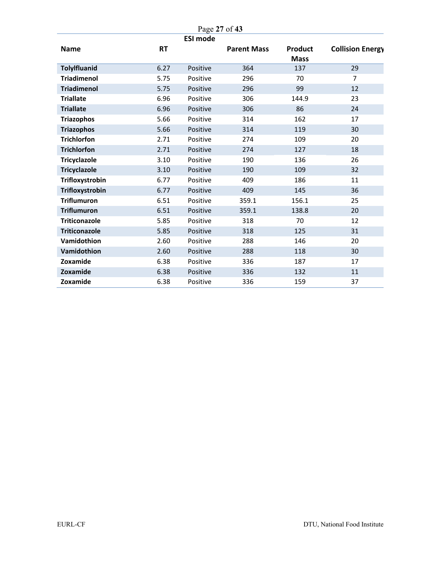|                      |           | Page 27 of 43   |                    |                |                         |
|----------------------|-----------|-----------------|--------------------|----------------|-------------------------|
|                      |           | <b>ESI mode</b> |                    |                |                         |
| <b>Name</b>          | <b>RT</b> |                 | <b>Parent Mass</b> | <b>Product</b> | <b>Collision Energy</b> |
|                      |           |                 |                    | <b>Mass</b>    |                         |
| <b>TolyIfluanid</b>  | 6.27      | Positive        | 364                | 137            | 29                      |
| <b>Triadimenol</b>   | 5.75      | Positive        | 296                | 70             | $\overline{7}$          |
| <b>Triadimenol</b>   | 5.75      | Positive        | 296                | 99             | 12                      |
| <b>Triallate</b>     | 6.96      | Positive        | 306                | 144.9          | 23                      |
| <b>Triallate</b>     | 6.96      | Positive        | 306                | 86             | 24                      |
| <b>Triazophos</b>    | 5.66      | Positive        | 314                | 162            | 17                      |
| <b>Triazophos</b>    | 5.66      | Positive        | 314                | 119            | 30                      |
| <b>Trichlorfon</b>   | 2.71      | Positive        | 274                | 109            | 20                      |
| <b>Trichlorfon</b>   | 2.71      | Positive        | 274                | 127            | 18                      |
| <b>Tricyclazole</b>  | 3.10      | Positive        | 190                | 136            | 26                      |
| <b>Tricyclazole</b>  | 3.10      | Positive        | 190                | 109            | 32                      |
| Trifloxystrobin      | 6.77      | Positive        | 409                | 186            | 11                      |
| Trifloxystrobin      | 6.77      | Positive        | 409                | 145            | 36                      |
| <b>Triflumuron</b>   | 6.51      | Positive        | 359.1              | 156.1          | 25                      |
| <b>Triflumuron</b>   | 6.51      | Positive        | 359.1              | 138.8          | 20                      |
| <b>Triticonazole</b> | 5.85      | Positive        | 318                | 70             | 12                      |
| <b>Triticonazole</b> | 5.85      | Positive        | 318                | 125            | 31                      |
| Vamidothion          | 2.60      | Positive        | 288                | 146            | 20                      |
| Vamidothion          | 2.60      | Positive        | 288                | 118            | 30                      |
| Zoxamide             | 6.38      | Positive        | 336                | 187            | 17                      |
| Zoxamide             | 6.38      | Positive        | 336                | 132            | 11                      |
| Zoxamide             | 6.38      | Positive        | 336                | 159            | 37                      |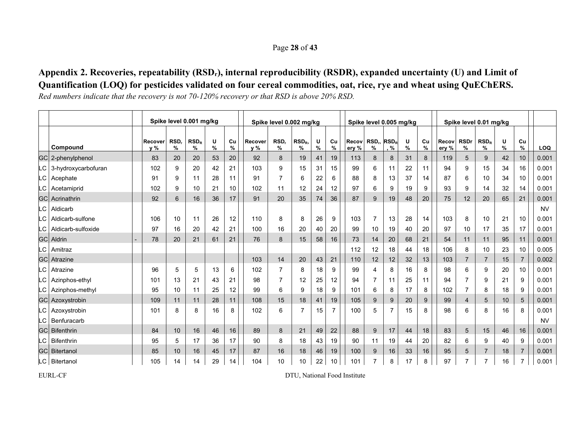#### Page **28** of **43**

## **Appendix 2. Recoveries, repeatability (RSDr), internal reproducibility (RSDR), expanded uncertainty (U) and Limit of Quantification (LOQ) for pesticides validated on four cereal commodities, oat, rice, rye and wheat using QuEChERS.**

*Red numbers indicate that the recovery is not 70-120% recovery or that RSD is above 20% RSD.* 

|     |                        |                                                                                                |                 | Spike level 0.001 mg/kg |    |    |     | Spike level 0.002 mg/kg |                       |        |                |                | Spike level 0.005 mg/kg                |                 |        |            |                |                  | Spike level 0.01 mg/kg |        |                |            |
|-----|------------------------|------------------------------------------------------------------------------------------------|-----------------|-------------------------|----|----|-----|-------------------------|-----------------------|--------|----------------|----------------|----------------------------------------|-----------------|--------|------------|----------------|------------------|------------------------|--------|----------------|------------|
|     | Compound               | $RSD_R$<br>RSD.<br>U<br>Cu<br>Recover<br>Recover<br>$\frac{9}{6}$<br>%<br>v %<br>%<br>%<br>v % |                 |                         |    |    |     | RSD.<br>$\%$            | RSD <sub>R</sub><br>% | U<br>% | Cu<br>%        | Recov<br>ery % | RSD <sub>r</sub> RSD <sub>R</sub><br>% | $, \frac{9}{6}$ | U<br>% | Cu<br>$\%$ | Recov<br>ery % | <b>RSDr</b><br>% | $RSD_R$<br>%           | U<br>% | Cu<br>$\%$     | <b>LOQ</b> |
|     | GC 2-phenylphenol      | 83                                                                                             | 20              | 20                      | 53 | 20 | 92  | 8                       | 19                    | 41     | 19             | 113            | 8                                      | 8               | 31     | 8          | 119            | 5                | 9                      | 42     | 10             | 0.001      |
|     | LC 3-hydroxycarbofuran | 102                                                                                            | 9               | 20                      | 42 | 21 | 103 | 9                       | 15                    | 31     | 15             | 99             | 6                                      | 11              | 22     | 11         | 94             | 9                | 15                     | 34     | 16             | 0.001      |
| LC. | Acephate               | 91                                                                                             | 9               | 11                      | 28 | 11 | 91  | $\overline{7}$          | 6                     | 22     | 6              | 88             | 8                                      | 13              | 37     | 14         | 87             | 6                | 10                     | 34     | 10             | 0.001      |
| LC. | Acetamiprid            | 102                                                                                            | 9               | 10                      | 21 | 10 | 102 | 11                      | 12                    | 24     | 12             | 97             | 6                                      | 9               | 19     | 9          | 93             | 9                | 14                     | 32     | 14             | 0.001      |
|     | <b>GCI Acrinathrin</b> | 92                                                                                             | $6\phantom{1}6$ | 16                      | 36 | 17 | 91  | 20                      | 35                    | 74     | 36             | 87             | 9                                      | 19              | 48     | 20         | 75             | 12               | 20                     | 65     | 21             | 0.001      |
| LC. | Aldicarb               |                                                                                                |                 |                         |    |    |     |                         |                       |        |                |                |                                        |                 |        |            |                |                  |                        |        |                | <b>NV</b>  |
| .C  | Aldicarb-sulfone       | 106                                                                                            | 10              | 11                      | 26 | 12 | 110 | 8                       | 8                     | 26     | 9              | 103            | 7                                      | 13              | 28     | 14         | 103            | 8                | 10                     | 21     | 10             | 0.001      |
| -C  | Aldicarb-sulfoxide     | 97                                                                                             | 16              | 20                      | 42 | 21 | 100 | 16                      | 20                    | 40     | 20             | 99             | 10                                     | 19              | 40     | 20         | 97             | 10               | 17                     | 35     | 17             | 0.001      |
|     | <b>GC</b> Aldrin       | 78                                                                                             | 20              | 21                      | 61 | 21 | 76  | 8                       | 15                    | 58     | 16             | 73             | 14                                     | 20              | 68     | 21         | 54             | 11               | 11                     | 95     | 11             | 0.001      |
| LC. | Amitraz                |                                                                                                |                 |                         |    |    |     |                         |                       |        |                | 112            | 12                                     | 18              | 44     | 18         | 106            | 8                | 10                     | 23     | 10             | 0.005      |
|     | <b>GC</b> Atrazine     |                                                                                                |                 |                         |    |    | 103 | 14                      | 20                    | 43     | 21             | 110            | 12                                     | 12              | 32     | 13         | 103            | $\overline{7}$   | $\overline{7}$         | 15     | $\overline{7}$ | 0.002      |
| LC. | Atrazine               | 96                                                                                             | 5               | 5                       | 13 | 6  | 102 | $\overline{7}$          | 8                     | 18     | 9              | 99             | 4                                      | 8               | 16     | 8          | 98             | 6                | 9                      | 20     | 10             | 0.001      |
| .C  | Azinphos-ethyl         | 101                                                                                            | 13              | 21                      | 43 | 21 | 98  | $\overline{7}$          | 12                    | 25     | 12             | 94             |                                        | 11              | 25     | 11         | 94             | $\overline{7}$   | 9                      | 21     | 9              | 0.001      |
| LC. | Azinphos-methyl        | 95                                                                                             | 10              | 11                      | 25 | 12 | 99  | 6                       | 9                     | 18     | 9              | 101            | 6                                      | 8               | 17     | 8          | 102            | $\overline{7}$   | 8                      | 18     | 9              | 0.001      |
|     | <b>GC</b> Azoxystrobin | 109                                                                                            | 11              | 11                      | 28 | 11 | 108 | 15                      | 18                    | 41     | 19             | 105            | 9                                      | 9               | 20     | 9          | 99             | $\overline{4}$   | 5                      | 10     | 5 <sup>5</sup> | 0.001      |
| LC. | Azoxystrobin           | 101                                                                                            | 8               | 8                       | 16 | 8  | 102 | 6                       | $\overline{7}$        | 15     | $\overline{7}$ | 100            | 5                                      | $\overline{7}$  | 15     | 8          | 98             | 6                | 8                      | 16     | 8              | 0.001      |
| -C  | Benfuracarb            |                                                                                                |                 |                         |    |    |     |                         |                       |        |                |                |                                        |                 |        |            |                |                  |                        |        |                | <b>NV</b>  |
|     | <b>GCI</b> Bifenthrin  | 84                                                                                             | 10              | 16                      | 46 | 16 | 89  | 8                       | 21                    | 49     | 22             | 88             | 9                                      | 17              | 44     | 18         | 83             | 5                | 15                     | 46     | 16             | 0.001      |
| .C  | Bifenthrin             | 95                                                                                             | 5               | 17                      | 36 | 17 | 90  | 8                       | 18                    | 43     | 19             | 90             | 11                                     | 19              | 44     | 20         | 82             | 6                | 9                      | 40     | 9              | 0.001      |
|     | <b>GCI</b> Bitertanol  | 85                                                                                             | 10              | 16                      | 45 | 17 | 87  | 16                      | 18                    | 46     | 19             | 100            | 9                                      | 16              | 33     | 16         | 95             | 5                | 7                      | 18     | $\overline{7}$ | 0.001      |
|     | LC Bitertanol          | 105                                                                                            | 14              | 14                      | 29 | 14 | 104 | 10                      | 10                    | 22     | 10             | 101            |                                        | 8               | 17     | 8          | 97             |                  |                        | 16     | $\overline{7}$ | 0.001      |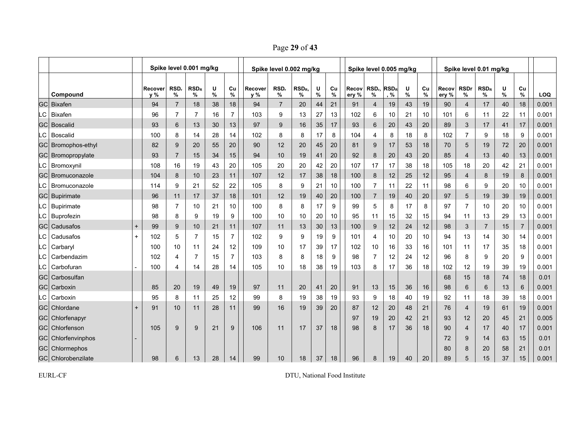Page **29** of **43**

|           |                        |             |                |                | Spike level 0.001 mg/kg |           |                |                | Spike level 0.002 mg/kg |                       |        |         |                | Spike level 0.005 mg/kg                |     |        |         |                |                  | Spike level 0.01 mg/kg |           |                |       |
|-----------|------------------------|-------------|----------------|----------------|-------------------------|-----------|----------------|----------------|-------------------------|-----------------------|--------|---------|----------------|----------------------------------------|-----|--------|---------|----------------|------------------|------------------------|-----------|----------------|-------|
|           | Compound               |             | Recover<br>y % | RSD,<br>%      | $RSD_R$<br>%            | U<br>$\%$ | Cu<br>%        | Recover<br>y % | RSD,<br>℅               | RSD <sub>R</sub><br>℅ | U<br>% | Cu<br>% | Recov<br>ery % | RSD <sub>r</sub> RSD <sub>R</sub><br>% | , % | U<br>% | Cu<br>% | Recov<br>ery % | <b>RSDr</b><br>% | $RSD_R$<br>%           | U<br>$\%$ | Cu<br>%        | LOQ   |
| <b>GC</b> | <b>Bixafen</b>         |             | 94             | $\overline{7}$ | 18                      | 38        | 18             | 94             | $\overline{7}$          | 20                    | 44     | 21      | 91             | 4                                      | 19  | 43     | 19      | 90             | 4                | 17                     | 40        | 18             | 0.001 |
| .C        | Bixafen                |             | 96             | 7              | 7                       | 16        | 7              | 103            | 9                       | 13                    | 27     | 13      | 102            | 6                                      | 10  | 21     | 10      | 101            | 6                | 11                     | 22        | 11             | 0.001 |
| <b>GC</b> | <b>Boscalid</b>        |             | 93             | $6\phantom{1}$ | 13                      | 30        | 13             | 97             | 9                       | 16                    | 35     | 17      | 93             | 6                                      | 20  | 43     | 20      | 89             | 3                | 17                     | 41        | $17$           | 0.001 |
| -C        | <b>Boscalid</b>        |             | 100            | 8              | 14                      | 28        | 14             | 102            | 8                       | 8                     | 17     | 8       | 104            | 4                                      | 8   | 18     | 8       | 102            | $\overline{7}$   | 9                      | 18        | 9              | 0.001 |
|           | GC Bromophos-ethyl     |             | 82             | 9              | 20                      | 55        | 20             | 90             | 12                      | 20                    | 45     | 20      | 81             | 9                                      | 17  | 53     | 18      | 70             | 5                | 19                     | 72        | 20             | 0.001 |
|           | GC Bromopropylate      |             | 93             | $\overline{7}$ | 15                      | 34        | 15             | 94             | 10                      | 19                    | 41     | 20      | 92             | 8                                      | 20  | 43     | 20      | 85             | $\overline{4}$   | 13                     | 40        | 13             | 0.001 |
|           | LC Bromoxynil          |             | 108            | 16             | 19                      | 43        | 20             | 105            | 20                      | 20                    | 42     | 20      | 107            | 17                                     | 17  | 38     | 18      | 105            | 18               | 20                     | 42        | 21             | 0.001 |
| GCI       | Bromuconazole          |             | 104            | 8              | 10                      | 23        | 11             | 107            | 12                      | 17                    | 38     | 18      | 100            | 8                                      | 12  | 25     | 12      | 95             | 4                | 8                      | 19        | 8              | 0.001 |
| .C        | Bromuconazole          |             | 114            | 9              | 21                      | 52        | 22             | 105            | 8                       | 9                     | 21     | 10      | 100            | 7                                      | 11  | 22     | 11      | 98             | 6                | 9                      | 20        | 10             | 0.001 |
|           | <b>GC</b> Bupirimate   |             | 96             | 11             | 17                      | 37        | 18             | 101            | 12                      | 19                    | 40     | 20      | 100            | 7                                      | 19  | 40     | 20      | 97             | 5                | 19                     | 39        | 19             | 0.001 |
| LC I      | Bupirimate             |             | 98             | $\overline{7}$ | 10                      | 21        | 10             | 100            | 8                       | 8                     | 17     | 9       | 99             | 5                                      | 8   | 17     | 8       | 97             | 7                | 10                     | 20        | 10             | 0.001 |
| LC        | Buprofezin             |             | 98             | 8              | 9                       | 19        | 9              | 100            | 10                      | 10                    | 20     | 10      | 95             | 11                                     | 15  | 32     | 15      | 94             | 11               | 13                     | 29        | 13             | 0.001 |
| GCI       | Cadusafos              | $\mathbf +$ | 99             | 9              | 10                      | 21        | 11             | 107            | 11                      | 13                    | 30     | 13      | 100            | 9                                      | 12  | 24     | 12      | 98             | 3                | $\overline{7}$         | 15        | $\overline{7}$ | 0.001 |
| .C        | Cadusafos              |             | 102            | 5              | 7                       | 15        | 7              | 102            | 9                       | 9                     | 19     | 9       | 101            | 4                                      | 10  | 20     | 10      | 94             | 13               | 14                     | 30        | 14             | 0.001 |
| LC        | Carbaryl               |             | 100            | 10             | 11                      | 24        | 12             | 109            | 10                      | 17                    | 39     | 17      | 102            | 10                                     | 16  | 33     | 16      | 101            | 11               | 17                     | 35        | 18             | 0.001 |
| .C        | Carbendazim            |             | 102            | 4              |                         | 15        | $\overline{7}$ | 103            | 8                       | 8                     | 18     | 9       | 98             | 7                                      | 12  | 24     | 12      | 96             | 8                | 9                      | 20        | 9              | 0.001 |
| LC        | Carbofuran             |             | 100            | 4              | 14                      | 28        | 14             | 105            | 10                      | 18                    | 38     | 19      | 103            | 8                                      | 17  | 36     | 18      | 102            | 12               | 19                     | 39        | 19             | 0.001 |
| GC        | Carbosulfan            |             |                |                |                         |           |                |                |                         |                       |        |         |                |                                        |     |        |         | 68             | 15               | 18                     | 74        | 18             | 0.01  |
| <b>GC</b> | Carboxin               |             | 85             | 20             | 19                      | 49        | 19             | 97             | 11                      | 20                    | 41     | 20      | 91             | 13                                     | 15  | 36     | 16      | 98             | 6                | 6                      | 13        | $6\phantom{1}$ | 0.001 |
| LC        | Carboxin               |             | 95             | 8              | 11                      | 25        | 12             | 99             | 8                       | 19                    | 38     | 19      | 93             | 9                                      | 18  | 40     | 19      | 92             | 11               | 18                     | 39        | 18             | 0.001 |
|           | GC Chlordane           |             | 91             | 10             | 11                      | 28        | 11             | 99             | 16                      | 19                    | 39     | 20      | 87             | 12                                     | 20  | 48     | 21      | 76             | 4                | 19                     | 61        | 19             | 0.001 |
|           | <b>GC</b> Chlorfenapyr |             |                |                |                         |           |                |                |                         |                       |        |         | 97             | 19                                     | 20  | 42     | 21      | 93             | 12               | 20                     | 45        | 21             | 0.005 |
|           | <b>GC</b> Chlorfenson  |             | 105            | 9              | 9                       | 21        | 9              | 106            | 11                      | 17                    | 37     | 18      | 98             | 8                                      | 17  | 36     | 18      | 90             | 4                | 17                     | 40        | 17             | 0.001 |
|           | GC Chlorfenvinphos     |             |                |                |                         |           |                |                |                         |                       |        |         |                |                                        |     |        |         | 72             | 9                | 14                     | 63        | 15             | 0.01  |
|           | GC Chlormephos         |             |                |                |                         |           |                |                |                         |                       |        |         |                |                                        |     |        |         | 80             | 8                | 20                     | 58        | 21             | 0.01  |
|           | GC Chlorobenzilate     |             | 98             | 6              | 13                      | 28        | 14             | 99             | 10                      | 18                    | 37     | 18      | 96             | 8                                      | 19  | 40     | 20      | 89             | 5                | 15                     | 37        | 15             | 0.001 |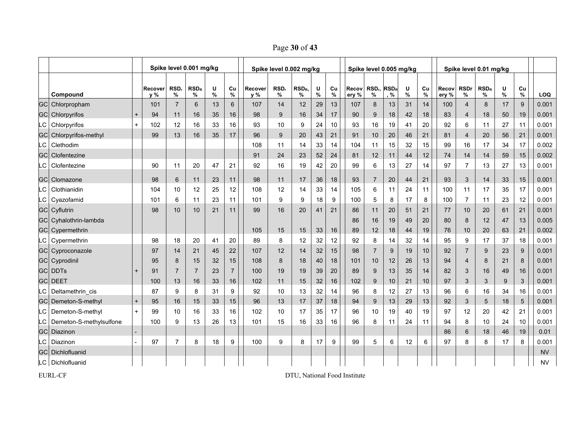Page **30** of **43**

|           |                               |           | Spike level 0.001 mg/kg |                |                |           |                |                | Spike level 0.002 mg/kg |              |           |            |                | Spike level 0.005 mg/kg |     |           |                 |                |                  | Spike level 0.01 mg/kg |        |            |           |
|-----------|-------------------------------|-----------|-------------------------|----------------|----------------|-----------|----------------|----------------|-------------------------|--------------|-----------|------------|----------------|-------------------------|-----|-----------|-----------------|----------------|------------------|------------------------|--------|------------|-----------|
|           | Compound                      |           | Recover<br>y %          | RSD,<br>%      | $RSD_R$<br>%   | U<br>$\%$ | Cu<br>$\%$     | Recover<br>y % | RSD <sub>r</sub><br>%   | $RSD_R$<br>% | U<br>$\%$ | Cu<br>$\%$ | Recov<br>ery % | $RSDr$ , $RSDR$<br>%    | , % | U<br>$\%$ | Cu<br>$\%$      | Recov<br>ery % | <b>RSDr</b><br>% | $RSD_R$<br>%           | U<br>% | Cu<br>$\%$ | LOQ       |
| <b>GC</b> | Chlorpropham                  |           | 101                     | $\overline{7}$ | 6              | 13        | 6              | 107            | 14                      | 12           | 29        | 13         | 107            | 8                       | 13  | 31        | 14              | 100            | $\overline{4}$   | 8                      | 17     | 9          | 0.001     |
|           | <b>GC</b> Chlorpyrifos        | $\ddot{}$ | 94                      | 11             | 16             | 35        | 16             | 98             | 9                       | 16           | 34        | 17         | 90             | 9                       | 18  | 42        | 18              | 83             | 4                | 18                     | 50     | 19         | 0.001     |
|           | LC Chlorpyrifos               | $+$       | 102                     | 12             | 16             | 33        | 16             | 93             | 10                      | 9            | 24        | 10         | 93             | 16                      | 19  | 41        | 20              | 92             | 6                | 11                     | 27     | 11         | 0.001     |
|           | <b>GC</b> Chlorpyrifos-methyl |           | 99                      | 13             | 16             | 35        | 17             | 96             | 9                       | 20           | 43        | 21         | 91             | 10                      | 20  | 46        | 21              | 81             | $\overline{4}$   | 20                     | 56     | 21         | 0.001     |
| LC        | Clethodim                     |           |                         |                |                |           |                | 108            | 11                      | 14           | 33        | 14         | 104            | 11                      | 15  | 32        | 15              | 99             | 16               | 17                     | 34     | 17         | 0.002     |
| GCI       | Clofentezine                  |           |                         |                |                |           |                | 91             | 24                      | 23           | 52        | 24         | 81             | 12                      | 11  | 44        | 12              | 74             | 14               | 14                     | 59     | 15         | 0.002     |
| .C        | Clofentezine                  |           | 90                      | 11             | 20             | 47        | 21             | 92             | 16                      | 19           | 42        | 20         | 99             | 6                       | 13  | 27        | 14              | 97             | $\overline{7}$   | 13                     | 27     | 13         | 0.001     |
| <b>GC</b> | Clomazone                     |           | 98                      | 6              | 11             | 23        | 11             | 98             | 11                      | 17           | 36        | 18         | 93             | $\overline{7}$          | 20  | 44        | 21              | 93             | 3                | 14                     | 33     | 15         | 0.001     |
| .C        | Clothianidin                  |           | 104                     | 10             | 12             | 25        | 12             | 108            | 12                      | 14           | 33        | 14         | 105            | 6                       | 11  | 24        | 11              | 100            | 11               | 17                     | 35     | 17         | 0.001     |
|           | LC Cyazofamid                 |           | 101                     | 6              | 11             | 23        | 11             | 101            | 9                       | 9            | 18        | 9          | 100            | 5                       | 8   | 17        | 8               | 100            | $\overline{7}$   | 11                     | 23     | 12         | 0.001     |
|           | <b>GC</b> Cyflutrin           |           | 98                      | 10             | 10             | 21        | 11             | 99             | 16                      | 20           | 41        | 21         | 86             | 11                      | 20  | 51        | 21              | 77             | 10               | 20                     | 61     | 21         | 0.001     |
|           | GC Cyhalothrin-lambda         |           |                         |                |                |           |                |                |                         |              |           |            | 86             | 16                      | 19  | 49        | 20              | 80             | 8                | 12                     | 47     | 13         | 0.005     |
|           | <b>GC</b> Cypermethrin        |           |                         |                |                |           |                | 105            | 15                      | 15           | 33        | 16         | 89             | 12                      | 18  | 44        | 19              | 76             | 10               | 20                     | 63     | 21         | 0.002     |
| LC.       | Cypermethrin                  |           | 98                      | 18             | 20             | 41        | 20             | 89             | 8                       | 12           | 32        | 12         | 92             | 8                       | 14  | 32        | 14              | 95             | 9                | 17                     | 37     | 18         | 0.001     |
|           | <b>GC</b> Cyproconazole       |           | 97                      | 14             | 21             | 45        | 22             | 107            | 12                      | 14           | 32        | 15         | 98             | $\overline{7}$          | 9   | 19        | 10 <sup>1</sup> | 92             | $\overline{7}$   | 9                      | 23     | 9          | 0.001     |
|           | GC Cyprodinil                 |           | 95                      | 8              | 15             | 32        | 15             | 108            | 8                       | 18           | 40        | 18         | 101            | 10                      | 12  | 26        | 13              | 94             | $\overline{4}$   | 8                      | 21     | 8          | 0.001     |
|           | <b>GCI DDTs</b>               | $+$       | 91                      | $\overline{7}$ | $\overline{7}$ | 23        | $\overline{7}$ | 100            | 19                      | 19           | 39        | 20         | 89             | 9                       | 13  | 35        | 14              | 82             | 3                | 16                     | 49     | 16         | 0.001     |
| GCI       | <b>DEET</b>                   |           | 100                     | 13             | 16             | 33        | 16             | 102            | 11                      | 15           | 32        | 16         | 102            | 9                       | 10  | 21        | 10              | 97             | 3                | 3                      | 9      | 3          | 0.001     |
|           | LC Deltamethrin cis           |           | 87                      | 9              | 8              | 31        | 9              | 92             | 10                      | 13           | 32        | 14         | 96             | 8                       | 12  | 27        | 13              | 96             | 6                | 16                     | 34     | 16         | 0.001     |
| GCI       | Demeton-S-methyl              | $+$       | 95                      | 16             | 15             | 33        | 15             | 96             | 13                      | 17           | 37        | 18         | 94             | 9                       | 13  | 29        | 13              | 92             | 3                | 5                      | 18     | $\sqrt{5}$ | 0.001     |
| LC        | Demeton-S-methyl              | $+$       | 99                      | 10             | 16             | 33        | 16             | 102            | 10                      | 17           | 35        | 17         | 96             | 10                      | 19  | 40        | 19              | 97             | 12               | 20                     | 42     | 21         | 0.001     |
| -C        | Demeton-S-methylsulfone       |           | 100                     | 9              | 13             | 26        | 13             | 101            | 15                      | 16           | 33        | 16         | 96             | 8                       | 11  | 24        | 11              | 94             | 8                | 10                     | 24     | 10         | 0.001     |
| GC        | Diazinon                      |           |                         |                |                |           |                |                |                         |              |           |            |                |                         |     |           |                 | 86             | 6                | 18                     | 46     | 19         | 0.01      |
| -C        | Diazinon                      |           | 97                      | $\overline{7}$ | 8              | 18        | 9              | 100            | 9                       | 8            | 17        | 9          | 99             | 5                       | 6   | 12        | 6               | 97             | 8                | 8                      | 17     | 8          | 0.001     |
| GCI       | Dichlofluanid                 |           |                         |                |                |           |                |                |                         |              |           |            |                |                         |     |           |                 |                |                  |                        |        |            | <b>NV</b> |
|           | LC Dichlofluanid              |           |                         |                |                |           |                |                |                         |              |           |            |                |                         |     |           |                 |                |                  |                        |        |            | <b>NV</b> |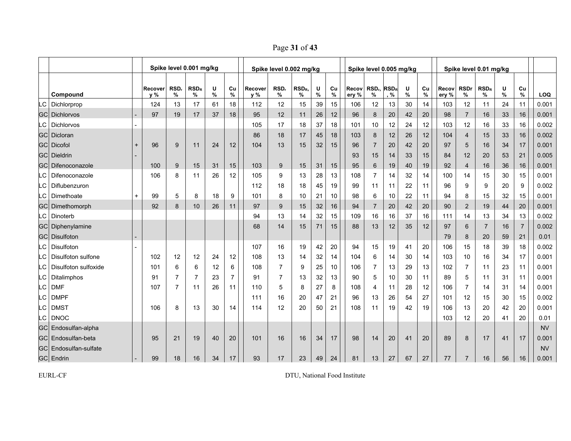Page **31** of **43**

|      |                              |     |                |                | Spike level 0.001 mg/kg |        |         |                | Spike level 0.002 mg/kg |                       |        |            |                | Spike level 0.005 mg/kg      |     |        |         |                |                  | Spike level 0.01 mg/kg |        |                |           |
|------|------------------------------|-----|----------------|----------------|-------------------------|--------|---------|----------------|-------------------------|-----------------------|--------|------------|----------------|------------------------------|-----|--------|---------|----------------|------------------|------------------------|--------|----------------|-----------|
|      | Compound                     |     | Recover<br>y % | RSD,<br>%      | $RSD_R$<br>℅            | U<br>% | Cu<br>% | Recover<br>y % | RSD,<br>%               | RSD <sub>R</sub><br>% | U<br>% | Cu<br>$\%$ | Recov<br>ery % | $RSDn$ RSD <sub>R</sub><br>% | , % | U<br>% | Cu<br>% | Recov<br>ery % | <b>RSDr</b><br>% | $RSD_R$<br>%           | U<br>% | Cu<br>%        | LOQ       |
| LC I | Dichlorprop                  |     | 124            | 13             | 17                      | 61     | 18      | 112            | 12                      | 15                    | 39     | 15         | 106            | 12                           | 13  | 30     | 14      | 103            | 12               | 11                     | 24     | 11             | 0.001     |
|      | <b>GC</b> Dichlorvos         |     | 97             | 19             | 17                      | 37     | 18      | 95             | 12                      | 11                    | 26     | 12         | 96             | 8                            | 20  | 42     | 20      | 98             | $\overline{7}$   | 16                     | 33     | 16             | 0.001     |
| LC.  | <b>Dichlorvos</b>            |     |                |                |                         |        |         | 105            | 17                      | 18                    | 37     | 18         | 101            | 10                           | 12  | 24     | 12      | 103            | 12               | 16                     | 33     | 16             | 0.002     |
|      | <b>GC</b> Dicloran           |     |                |                |                         |        |         | 86             | 18                      | 17                    | 45     | 18         | 103            | 8                            | 12  | 26     | 12      | 104            | 4                | 15                     | 33     | 16             | 0.002     |
|      | <b>GC</b> Dicofol            | $+$ | 96             | 9              | 11                      | 24     | 12      | 104            | 13                      | 15                    | 32     | 15         | 96             | $\overline{7}$               | 20  | 42     | 20      | 97             | 5                | 16                     | 34     | 17             | 0.001     |
|      | <b>GCI Dieldrin</b>          |     |                |                |                         |        |         |                |                         |                       |        |            | 93             | 15                           | 14  | 33     | 15      | 84             | 12               | 20                     | 53     | 21             | 0.005     |
| GC.  | Difenoconazole               |     | 100            | 9              | 15                      | 31     | 15      | 103            | 9                       | 15                    | 31     | 15         | 95             | 6                            | 19  | 40     | 19      | 92             | $\overline{4}$   | 16                     | 36     | 16             | 0.001     |
| .C   | Difenoconazole               |     | 106            | 8              | 11                      | 26     | 12      | 105            | 9                       | 13                    | 28     | 13         | 108            | 7                            | 14  | 32     | 14      | 100            | 14               | 15                     | 30     | 15             | 0.001     |
| .C   | Diflubenzuron                |     |                |                |                         |        |         | 112            | 18                      | 18                    | 45     | 19         | 99             | 11                           | 11  | 22     | 11      | 96             | 9                | 9                      | 20     | 9              | 0.002     |
| .C   | Dimethoate                   | $+$ | 99             | 5              | 8                       | 18     | 9       | 101            | 8                       | 10                    | 21     | 10         | 98             | 6                            | 10  | 22     | 11      | 94             | 8                | 15                     | 32     | 15             | 0.001     |
| GCI  | Dimethomorph                 |     | 92             | 8              | 10                      | 26     | 11      | 97             | 9                       | 15                    | 32     | 16         | 94             | $\overline{7}$               | 20  | 42     | 20      | 90             | 2                | 19                     | 44     | 20             | 0.001     |
| LC   | Dinoterb                     |     |                |                |                         |        |         | 94             | 13                      | 14                    | 32     | 15         | 109            | 16                           | 16  | 37     | 16      | 111            | 14               | 13                     | 34     | 13             | 0.002     |
|      | GC Diphenylamine             |     |                |                |                         |        |         | 68             | 14                      | 15                    | 71     | 15         | 88             | 13                           | 12  | 35     | 12      | 97             | 6                | $\overline{7}$         | 16     | $\overline{7}$ | 0.002     |
|      | <b>GCI Disulfoton</b>        |     |                |                |                         |        |         |                |                         |                       |        |            |                |                              |     |        |         | 79             | 8                | 20                     | 59     | 21             | 0.01      |
| LC   | <b>Disulfoton</b>            |     |                |                |                         |        |         | 107            | 16                      | 19                    | 42     | 20         | 94             | 15                           | 19  | 41     | 20      | 106            | 15               | 18                     | 39     | 18             | 0.002     |
| .C   | Disulfoton sulfone           |     | 102            | 12             | 12                      | 24     | 12      | 108            | 13                      | 14                    | 32     | 14         | 104            | 6                            | 14  | 30     | 14      | 103            | 10               | 16                     | 34     | 17             | 0.001     |
| LC   | Disulfoton sulfoxide         |     | 101            | 6              | 6                       | 12     | 6       | 108            | $\overline{7}$          | 9                     | 25     | 10         | 106            | 7                            | 13  | 29     | 13      | 102            | $\overline{7}$   | 11                     | 23     | 11             | 0.001     |
| .C   | Ditalimphos                  |     | 91             | 7              | 7                       | 23     | 7       | 91             | 7                       | 13                    | 32     | 13         | 90             | 5                            | 10  | 30     | 11      | 89             | 5                | 11                     | 31     | 11             | 0.001     |
| LC   | <b>DMF</b>                   |     | 107            | $\overline{7}$ | 11                      | 26     | 11      | 110            | 5                       | 8                     | 27     | 8          | 108            | 4                            | 11  | 28     | 12      | 106            | 7                | 14                     | 31     | 14             | 0.001     |
| .C   | <b>DMPF</b>                  |     |                |                |                         |        |         | 111            | 16                      | 20                    | 47     | 21         | 96             | 13                           | 26  | 54     | 27      | 101            | 12               | 15                     | 30     | 15             | 0.002     |
| .C   | <b>DMST</b>                  |     | 106            | 8              | 13                      | 30     | 14      | 114            | 12                      | 20                    | 50     | 21         | 108            | 11                           | 19  | 42     | 19      | 106            | 13               | 20                     | 42     | 20             | 0.001     |
| LC   | <b>DNOC</b>                  |     |                |                |                         |        |         |                |                         |                       |        |            |                |                              |     |        |         | 103            | 12               | 20                     | 41     | 20             | 0.01      |
|      | <b>GC</b> Endosulfan-alpha   |     |                |                |                         |        |         |                |                         |                       |        |            |                |                              |     |        |         |                |                  |                        |        |                | <b>NV</b> |
|      | <b>GC</b> Endosulfan-beta    |     | 95             | 21             | 19                      | 40     | 20      | 101            | 16                      | 16                    | 34     | 17         | 98             | 14                           | 20  | 41     | 20      | 89             | 8                | 17                     | 41     | 17             | 0.001     |
|      | <b>GC</b> Endosulfan-sulfate |     |                |                |                         |        |         |                |                         |                       |        |            |                |                              |     |        |         |                |                  |                        |        |                | <b>NV</b> |
|      | GC Endrin                    |     | 99             | 18             | 16                      | 34     | 17      | 93             | 17                      | 23                    | 49     | 24         | 81             | 13                           | 27  | 67     | 27      | 77             | $\overline{7}$   | 16                     | 56     | 16             | 0.001     |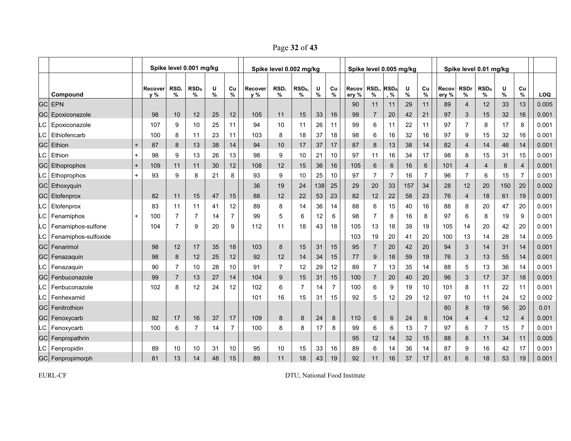Page **32** of **43**

|      |                         |           |                                                                                             |                | Spike level 0.001 mg/kg |    |                |     | Spike level 0.002 mg/kg |                |        |                |                | Spike level 0.005 mg/kg                |                |           |                |                |                     | Spike level 0.01 mg/kg |        |                |            |
|------|-------------------------|-----------|---------------------------------------------------------------------------------------------|----------------|-------------------------|----|----------------|-----|-------------------------|----------------|--------|----------------|----------------|----------------------------------------|----------------|-----------|----------------|----------------|---------------------|------------------------|--------|----------------|------------|
|      | Compound                |           | RSD,<br>U<br>RSD <sub>R</sub><br>Cu<br>Recover<br>Recover<br>%<br>%<br>y %<br>%<br>%<br>y % |                |                         |    |                |     | RSD,<br>%               | $RSD_R$<br>℅   | U<br>% | Cu<br>%        | Recov<br>ery % | RSD <sub>r</sub> RSD <sub>R</sub><br>% | %              | U<br>$\%$ | Cu<br>%        | Recov<br>ery % | <b>RSDr</b><br>$\%$ | $RSD_R$<br>%           | U<br>% | Cu<br>$\%$     | <b>LOQ</b> |
|      | <b>GC EPN</b>           |           |                                                                                             |                |                         |    |                |     |                         |                |        |                | 90             | 11                                     | 11             | 29        | 11             | 89             | $\overline{4}$      | 12                     | 33     | 13             | 0.005      |
|      | <b>GC</b> Epoxiconazole |           | 98                                                                                          | 10             | 12                      | 25 | 12             | 105 | 11                      | 15             | 33     | 16             | 99             | $\overline{7}$                         | 20             | 42        | 21             | 97             | 3                   | 15                     | 32     | 16             | 0.001      |
| LC   | Epoxiconazole           |           | 107                                                                                         | 9              | 10                      | 25 | 11             | 94  | 10                      | 11             | 26     | 11             | 99             | 6                                      | 11             | 22        | 11             | 97             | $\overline{7}$      | 8                      | 17     | 8              | 0.001      |
| .C   | Ethiofencarb            |           | 100                                                                                         | 8              | 11                      | 23 | 11             | 103 | 8                       | 18             | 37     | 18             | 98             | 6                                      | 16             | 32        | 16             | 97             | 9                   | 15                     | 32     | 16             | 0.001      |
| GC   | Ethion                  | $+$       | 87                                                                                          | 8              | 13                      | 38 | 14             | 94  | 10                      | 17             | 37     | 17             | 87             | 8                                      | 13             | 38        | 14             | 82             | $\overline{4}$      | 14                     | 46     | 14             | 0.001      |
| C.   | Ethion                  | $+$       | 98                                                                                          | 9              | 13                      | 26 | 13             | 98  | 9                       | 10             | 21     | 10             | 97             | 11                                     | 16             | 34        | 17             | 98             | 8                   | 15                     | 31     | 15             | 0.001      |
|      | <b>GC</b> Ethoprophos   | $+$       | 109                                                                                         | 11             | 11                      | 30 | 12             | 108 | 12                      | 15             | 36     | 16             | 105            | 6                                      | 6              | 16        | $6\phantom{1}$ | 101            | $\overline{4}$      | $\overline{4}$         | 8      | $\overline{4}$ | 0.001      |
|      | LC Ethoprophos          | $+$       | 93                                                                                          | 9              | 8                       | 21 | 8              | 93  | 9                       | 10             | 25     | 10             | 97             | $\overline{7}$                         | $\overline{7}$ | 16        | $\overline{7}$ | 96             | $\overline{7}$      | 6                      | 15     | $\overline{7}$ | 0.001      |
|      | <b>GC</b> Ethoxyquin    |           |                                                                                             |                |                         |    |                | 36  | 19                      | 24             | 138    | 25             | 29             | 20                                     | 33             | 157       | 34             | 28             | 12                  | 20                     | 150    | 20             | 0.002      |
|      | <b>GC</b> Etofenprox    |           | 82                                                                                          | 11             | 15                      | 47 | 15             | 88  | 12                      | 22             | 53     | 23             | 82             | 12                                     | 22             | 58        | 23             | 76             | $\overline{4}$      | 18                     | 61     | 19             | 0.001      |
| .C   | Etofenprox              |           | 83                                                                                          | 11             | 11                      | 41 | 12             | 89  | 8                       | 14             | 36     | 14             | 88             | 6                                      | 15             | 40        | 16             | 88             | 8                   | 20                     | 47     | 20             | 0.001      |
| LC   | Fenamiphos              | $\ddot{}$ | 100                                                                                         | 7              |                         | 14 | $\overline{7}$ | 99  | 5                       | 6              | 12     | 6              | 98             | $\overline{7}$                         | 8              | 16        | 8              | 97             | 6                   | 8                      | 19     | 9              | 0.001      |
| LC   | Fenamiphos-sulfone      |           | 104                                                                                         | $\overline{7}$ | 9                       | 20 | 9              | 112 | 11                      | 18             | 43     | 18             | 105            | 13                                     | 18             | 39        | 19             | 105            | 14                  | 20                     | 42     | 20             | 0.001      |
| LC   | Fenamiphos-sulfoxide    |           |                                                                                             |                |                         |    |                |     |                         |                |        |                | 103            | 19                                     | 20             | 41        | 20             | 100            | 13                  | 14                     | 28     | 14             | 0.005      |
|      | GC Fenarimol            |           | 98                                                                                          | 12             | 17                      | 35 | 18             | 103 | 8                       | 15             | 31     | 15             | 95             | $\overline{7}$                         | 20             | 42        | 20             | 94             | 3                   | 14                     | 31     | 14             | 0.001      |
|      | <b>GC</b> Fenazaquin    |           | 98                                                                                          | 8              | 12                      | 25 | 12             | 92  | 12                      | 14             | 34     | 15             | 77             | 9                                      | 18             | 59        | 19             | 76             | 3                   | 13                     | 55     | 14             | 0.001      |
| LC I | Fenazaquin              |           | 90                                                                                          | $\overline{7}$ | 10                      | 28 | 10             | 91  | $\overline{7}$          | 12             | 29     | 12             | 89             | $\overline{7}$                         | 13             | 35        | 14             | 88             | 5                   | 13                     | 36     | 14             | 0.001      |
|      | <b>GC</b> Fenbuconazole |           | 99                                                                                          | $\overline{7}$ | 13                      | 27 | 14             | 104 | 9                       | 15             | 31     | 15             | 100            | $\overline{7}$                         | 20             | 40        | 20             | 96             | 3                   | 17                     | 37     | 18             | 0.001      |
| LC   | Fenbuconazole           |           | 102                                                                                         | 8              | 12                      | 24 | 12             | 102 | 6                       | $\overline{7}$ | 14     | $\overline{7}$ | 100            | 6                                      | 9              | 19        | 10             | 101            | 8                   | 11                     | 22     | 11             | 0.001      |
| LC   | Fenhexamid              |           |                                                                                             |                |                         |    |                | 101 | 16                      | 15             | 31     | 15             | 92             | 5                                      | 12             | 29        | 12             | 97             | 10                  | 11                     | 24     | 12             | 0.002      |
|      | <b>GC</b> Fenitrothion  |           |                                                                                             |                |                         |    |                |     |                         |                |        |                |                |                                        |                |           |                | 80             | 8                   | 19                     | 56     | 20             | 0.01       |
|      | <b>GC</b> Fenoxycarb    |           | 92                                                                                          | 17             | 16                      | 37 | 17             | 109 | 8                       | 8              | 24     | 8              | 110            | 6                                      | 6              | 24        | 6              | 104            | 4                   | $\overline{4}$         | 12     | 4              | 0.001      |
|      | LC   Fenoxycarb         |           | 100                                                                                         | 6              | 7                       | 14 | $\overline{7}$ | 100 | 8                       | 8              | 17     | 8              | 99             | 6                                      | 6              | 13        | $\overline{7}$ | 97             | 6                   | $\overline{7}$         | 15     | $\overline{7}$ | 0.001      |
|      | GC Fenpropathrin        |           |                                                                                             |                |                         |    |                |     |                         |                |        |                | 95             | 12                                     | 14             | 32        | 15             | 88             | 8                   | 11                     | 34     | 11             | 0.005      |
|      | LC Fenpropidin          |           | 89                                                                                          | 10             | 10                      | 31 | 10             | 95  | 10                      | 15             | 33     | 16             | 89             | 6                                      | 14             | 36        | 14             | 87             | 9                   | 16                     | 42     | 17             | 0.001      |
|      | GC Fenpropimorph        |           | 81                                                                                          | 13             | 14                      | 48 | 15             | 89  | 11                      | 18             | 43     | 19             | 92             | 11                                     | 16             | 37        | 17             | 81             | 6                   | 18                     | 53     | 19             | 0.001      |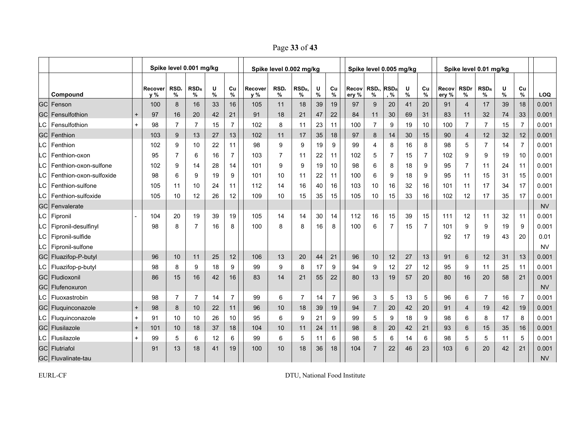Page **33** of **43**

|     |                            |     | Spike level 0.001 mg/kg |                 |                |        |                 |                  | Spike level 0.002 mg/kg |                       |        |         |                | Spike level 0.005 mg/kg      |                |        |                |                |                  | Spike level 0.01 mg/kg |           |                |            |
|-----|----------------------------|-----|-------------------------|-----------------|----------------|--------|-----------------|------------------|-------------------------|-----------------------|--------|---------|----------------|------------------------------|----------------|--------|----------------|----------------|------------------|------------------------|-----------|----------------|------------|
|     | Compound                   |     | Recover<br>y %          | RSD,<br>%       | $RSD_R$<br>%   | U<br>% | Cu<br>%         | Recover<br>$v\%$ | RSD,<br>%               | RSD <sub>R</sub><br>% | U<br>% | Cu<br>% | Recov<br>ery % | $RSDn$ RSD <sub>R</sub><br>% | . %            | U<br>% | Cu<br>%        | Recov<br>ery % | <b>RSDr</b><br>% | RSD <sub>R</sub><br>%  | U<br>$\%$ | Cu<br>$\%$     | <b>LOQ</b> |
|     | GC Fenson                  |     | 100                     | 8               | 16             | 33     | 16              | 105              | 11                      | 18                    | 39     | 19      | 97             | 9                            | 20             | 41     | 20             | 91             | $\overline{4}$   | 17                     | 39        | 18             | 0.001      |
|     | <b>GC</b> Fensulfothion    | $+$ | 97                      | 16              | 20             | 42     | 21              | 91               | 18                      | 21                    | 47     | 22      | 84             | 11                           | 30             | 69     | 31             | 83             | 11               | 32                     | 74        | 33             | 0.001      |
| LC. | Fensulfothion              | $+$ | 98                      | $\overline{7}$  | $\overline{7}$ | 15     | $\overline{7}$  | 102              | 8                       | 11                    | 23     | 11      | 100            | $\overline{7}$               | 9              | 19     | 10             | 100            | $\overline{7}$   | $\overline{7}$         | 15        | $\overline{7}$ | 0.001      |
|     | GC Fenthion                |     | 103                     | 9               | 13             | 27     | 13              | 102              | 11                      | 17                    | 35     | 18      | 97             | 8                            | 14             | 30     | 15             | 90             | $\overline{4}$   | 12                     | 32        | 12             | 0.001      |
| LС  | Fenthion                   |     | 102                     | 9               | 10             | 22     | 11              | 98               | 9                       | 9                     | 19     | 9       | 99             | 4                            | 8              | 16     | 8              | 98             | 5                | $\overline{7}$         | 14        | $\overline{7}$ | 0.001      |
| LC  | Fenthion-oxon              |     | 95                      | $\overline{7}$  | 6              | 16     | $\overline{7}$  | 103              | $\overline{7}$          | 11                    | 22     | 11      | 102            | 5                            | $\overline{7}$ | 15     | $\overline{7}$ | 102            | 9                | 9                      | 19        | 10             | 0.001      |
| LC  | Fenthion-oxon-sulfone      |     | 102                     | 9               | 14             | 28     | 14              | 101              | 9                       | 9                     | 19     | 10      | 98             | 6                            | 8              | 18     | 9              | 95             | $\overline{7}$   | 11                     | 24        | 11             | 0.001      |
| LC  | Fenthion-oxon-sulfoxide    |     | 98                      | 6               | 9              | 19     | 9               | 101              | 10                      | 11                    | 22     | 11      | 100            | 6                            | 9              | 18     | 9              | 95             | 11               | 15                     | 31        | 15             | 0.001      |
| LC  | Fenthion-sulfone           |     | 105                     | 11              | 10             | 24     | 11              | 112              | 14                      | 16                    | 40     | 16      | 103            | 10                           | 16             | 32     | 16             | 101            | 11               | 17                     | 34        | 17             | 0.001      |
| LC  | Fenthion-sulfoxide         |     | 105                     | 10              | 12             | 26     | 12              | 109              | 10                      | 15                    | 35     | 15      | 105            | 10                           | 15             | 33     | 16             | 102            | 12               | 17                     | 35        | 17             | 0.001      |
|     | <b>GCI Fenvalerate</b>     |     |                         |                 |                |        |                 |                  |                         |                       |        |         |                |                              |                |        |                |                |                  |                        |           |                | <b>NV</b>  |
| LC. | Fipronil                   |     | 104                     | 20              | 19             | 39     | 19              | 105              | 14                      | 14                    | 30     | 14      | 112            | 16                           | 15             | 39     | 15             | 111            | 12               | 11                     | 32        | 11             | 0.001      |
| LС  | Fipronil-desulfinyl        |     | 98                      | 8               | $\overline{7}$ | 16     | 8               | 100              | 8                       | 8                     | 16     | 8       | 100            | 6                            | $\overline{7}$ | 15     | $\overline{7}$ | 101            | 9                | 9                      | 19        | 9              | 0.001      |
| LC  | Fipronil-sulfide           |     |                         |                 |                |        |                 |                  |                         |                       |        |         |                |                              |                |        |                | 92             | 17               | 19                     | 43        | 20             | 0.01       |
| LC  | Fipronil-sulfone           |     |                         |                 |                |        |                 |                  |                         |                       |        |         |                |                              |                |        |                |                |                  |                        |           |                | <b>NV</b>  |
|     | GC Fluazifop-P-butyl       |     | 96                      | 10 <sup>1</sup> | 11             | 25     | 12              | 106              | 13                      | 20                    | 44     | 21      | 96             | 10                           | 12             | 27     | 13             | 91             | 6                | 12                     | 31        | 13             | 0.001      |
| LC. | Fluazifop-p-butyl          |     | 98                      | 8               | 9              | 18     | 9               | 99               | 9                       | 8                     | 17     | 9       | 94             | 9                            | 12             | 27     | 12             | 95             | 9                | 11                     | 25        | 11             | 0.001      |
|     | <b>GC</b> Fludioxonil      |     | 86                      | 15              | 16             | 42     | 16              | 83               | 14                      | 21                    | 55     | 22      | 80             | 13                           | 19             | 57     | 20             | 80             | 16               | 20                     | 58        | 21             | 0.001      |
|     | <b>GCI Flufenoxuron</b>    |     |                         |                 |                |        |                 |                  |                         |                       |        |         |                |                              |                |        |                |                |                  |                        |           |                | <b>NV</b>  |
| .C  | Fluoxastrobin              |     | 98                      | $\overline{7}$  | $\overline{7}$ | 14     | $\overline{7}$  | 99               | 6                       | $\overline{7}$        | 14     | 7       | 96             | 3                            | 5              | 13     | 5              | 96             | 6                | $\overline{7}$         | 16        | $\overline{7}$ | 0.001      |
|     | GC Fluquinconazole         | $+$ | 98                      | 8               | 10             | 22     | 11              | 96               | 10                      | 18                    | 39     | 19      | 94             | $\overline{7}$               | 20             | 42     | 20             | 91             | $\overline{4}$   | 19                     | 42        | 19             | 0.001      |
| .C  | Fluguinconazole            | $+$ | 91                      | 10              | 10             | 26     | 10 <sup>°</sup> | 95               | 6                       | 9                     | 21     | 9       | 99             | 5                            | 9              | 18     | 9              | 98             | 6                | 8                      | 17        | 8              | 0.001      |
|     | GC Flusilazole             | $+$ | 101                     | 10              | 18             | 37     | 18              | 104              | 10                      | 11                    | 24     | 11      | 98             | 8                            | 20             | 42     | 21             | 93             | 6                | 15                     | 35        | 16             | 0.001      |
| .C  | Flusilazole                | $+$ | 99                      | 5               | 6              | 12     | 6               | 99               | 6                       | 5                     | 11     | 6       | 98             | 5                            | 6              | 14     | 6              | 98             | 5                | 5                      | 11        | 5              | 0.001      |
|     | <b>GC</b> Flutriafol       |     | 91                      | 13              | 18             | 41     | 19              | 100              | 10                      | 18                    | 36     | 18      | 104            | $\overline{7}$               | 22             | 46     | 23             | 103            | 6                | 20                     | 42        | 21             | 0.001      |
|     | <b>GCI Fluvalinate-tau</b> |     |                         |                 |                |        |                 |                  |                         |                       |        |         |                |                              |                |        |                |                |                  |                        |           |                | <b>NV</b>  |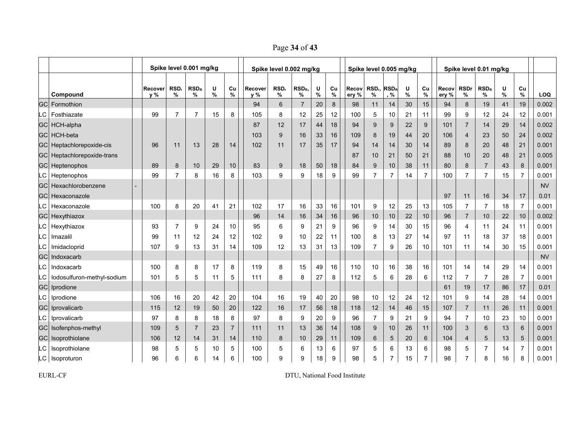Page **34** of **43**

|      |                                 |                                                                                       |                | Spike level 0.001 mg/kg |    |                |     | Spike level 0.002 mg/kg |                |        |         |                | Spike level 0.005 mg/kg                |                |           |                |                |                     | Spike level 0.01 mg/kg |           |                |           |
|------|---------------------------------|---------------------------------------------------------------------------------------|----------------|-------------------------|----|----------------|-----|-------------------------|----------------|--------|---------|----------------|----------------------------------------|----------------|-----------|----------------|----------------|---------------------|------------------------|-----------|----------------|-----------|
|      | Compound                        | U<br>Cu<br>RSD.<br>$RSD_R$<br>Recover<br>Recover<br>$\%$<br>%<br>y %<br>%<br>%<br>y % |                |                         |    |                |     | RSD,<br>%               | $RSD_R$<br>℅   | U<br>% | Cu<br>% | Recov<br>ery % | RSD <sub>r</sub> RSD <sub>R</sub><br>% | , %            | U<br>$\%$ | Cu<br>%        | Recov<br>ery % | <b>RSDr</b><br>$\%$ | RSD <sub>R</sub><br>%  | U<br>$\%$ | Cu<br>$\%$     | LOQ       |
|      | <b>GC</b> Formothion            |                                                                                       |                |                         |    |                | 94  | 6                       | $\overline{7}$ | 20     | 8       | 98             | 11                                     | 14             | 30        | 15             | 94             | 8                   | 19                     | 41        | 19             | 0.002     |
|      | C Fosthiazate                   | 99                                                                                    | $\overline{7}$ | 7                       | 15 | 8              | 105 | 8                       | 12             | 25     | 12      | 100            | 5                                      | 10             | 21        | 11             | 99             | 9                   | 12                     | 24        | 12             | 0.001     |
|      | GC HCH-alpha                    |                                                                                       |                |                         |    |                | 87  | 12                      | 17             | 44     | 18      | 94             | 9                                      | 9              | 22        | 9              | 101            | $\overline{7}$      | 14                     | 29        | 14             | 0.002     |
|      | GC HCH-beta                     |                                                                                       |                |                         |    |                | 103 | 9                       | 16             | 33     | 16      | 109            | 8                                      | 19             | 44        | 20             | 106            | 4                   | 23                     | 50        | 24             | 0.002     |
|      | GC Heptachlorepoxide-cis        | 96                                                                                    | 11             | 13                      | 28 | 14             | 102 | 11                      | 17             | 35     | 17      | 94             | 14                                     | 14             | 30        | 14             | 89             | 8                   | 20                     | 48        | 21             | 0.001     |
|      | GC Heptachlorepoxide-trans      |                                                                                       |                |                         |    |                |     |                         |                |        |         | 87             | 10                                     | 21             | 50        | 21             | 88             | 10                  | 20                     | 48        | 21             | 0.005     |
|      | <b>GC</b> Heptenophos           | 89                                                                                    | 8              | 10                      | 29 | 10             | 83  | 9                       | 18             | 50     | 18      | 84             | 9                                      | 10             | 38        | 11             | 80             | 8                   | $\overline{7}$         | 43        | 8              | 0.001     |
|      | LC Heptenophos                  | 99                                                                                    | $\overline{7}$ | 8                       | 16 | 8              | 103 | 9                       | 9              | 18     | 9       | 99             | $\overline{7}$                         | $\overline{7}$ | 14        | $\overline{7}$ | 100            | $\overline{7}$      | 7                      | 15        | $\overline{7}$ | 0.001     |
|      | <b>GC</b> Hexachlorobenzene     |                                                                                       |                |                         |    |                |     |                         |                |        |         |                |                                        |                |           |                |                |                     |                        |           |                | <b>NV</b> |
| GCI  | Hexaconazole                    |                                                                                       |                |                         |    |                |     |                         |                |        |         |                |                                        |                |           |                | 97             | 11                  | 16                     | 34        | $17$           | 0.01      |
| LC I | Hexaconazole                    | 100                                                                                   | 8              | 20                      | 41 | 21             | 102 | 17                      | 16             | 33     | 16      | 101            | 9                                      | 12             | 25        | 13             | 105            | $\overline{7}$      | $\overline{7}$         | 18        | $\overline{7}$ | 0.001     |
|      | <b>GC</b> Hexythiazox           |                                                                                       |                |                         |    |                | 96  | 14                      | 16             | 34     | 16      | 96             | 10                                     | 10             | 22        | 10             | 96             | $\overline{7}$      | 10                     | 22        | 10             | 0.002     |
|      | LC Hexythiazox                  | 93                                                                                    | $\overline{7}$ | 9                       | 24 | 10             | 95  | 6                       | 9              | 21     | 9       | 96             | 9                                      | 14             | 30        | 15             | 96             | 4                   | 11                     | 24        | 11             | 0.001     |
| C.   | Imazalil                        | 99                                                                                    | 11             | 12                      | 24 | 12             | 102 | 9                       | 10             | 22     | 11      | 100            | 8                                      | 13             | 27        | 14             | 97             | 11                  | 18                     | 37        | 18             | 0.001     |
|      | LC Imidacloprid                 | 107                                                                                   | 9              | 13                      | 31 | 14             | 109 | 12                      | 13             | 31     | 13      | 109            | $\overline{7}$                         | 9              | 26        | 10             | 101            | 11                  | 14                     | 30        | 15             | 0.001     |
|      | <b>GC</b> Indoxacarb            |                                                                                       |                |                         |    |                |     |                         |                |        |         |                |                                        |                |           |                |                |                     |                        |           |                | <b>NV</b> |
|      | LC Indoxacarb                   | 100                                                                                   | 8              | 8                       | 17 | 8              | 119 | 8                       | 15             | 49     | 16      | 110            | 10                                     | 16             | 38        | 16             | 101            | 14                  | 14                     | 29        | 14             | 0.001     |
|      | LC   lodosulfuron-methyl-sodium | 101                                                                                   | 5              | 5                       | 11 | 5              | 111 | 8                       | 8              | 27     | 8       | 112            | 5                                      | 6              | 28        | 6              | 112            | $\overline{7}$      | $\overline{7}$         | 28        | $\overline{7}$ | 0.001     |
|      | GC Iprodione                    |                                                                                       |                |                         |    |                |     |                         |                |        |         |                |                                        |                |           |                | 61             | 19                  | 17                     | 86        | 17             | 0.01      |
|      | LC   Iprodione                  | 106                                                                                   | 16             | 20                      | 42 | 20             | 104 | 16                      | 19             | 40     | 20      | 98             | 10                                     | 12             | 24        | 12             | 101            | 9                   | 14                     | 28        | 14             | 0.001     |
|      | <b>GC</b> Iprovalicarb          | 115                                                                                   | 12             | 19                      | 50 | 20             | 122 | 16                      | 17             | 56     | 18      | 118            | 12                                     | 14             | 46        | 15             | 107            | $\overline{7}$      | 11                     | 26        | 11             | 0.001     |
|      | LC   Iprovalicarb               | 97                                                                                    | 8              | 8                       | 18 | 8              | 97  | 8                       | 9              | 20     | 9       | 96             | $\overline{7}$                         | 9              | 21        | 9              | 94             | $\overline{7}$      | 10                     | 23        | $10$           | 0.001     |
|      | GC Isofenphos-methyl            | 109                                                                                   | $\sqrt{5}$     | $\overline{7}$          | 23 | $\overline{7}$ | 111 | 11                      | 13             | 36     | 14      | 108            | 9                                      | 10             | 26        | 11             | 100            | 3                   | 6                      | 13        | $6\phantom{1}$ | 0.001     |
|      | GC Isoprothiolane               | 106                                                                                   | 12             | 14                      | 31 | 14             | 110 | 8                       | 10             | 29     | 11      | 109            | 6                                      | 5              | 20        | $\,6\,$        | 104            | 4                   | 5                      | 13        | $\sqrt{5}$     | 0.001     |
|      | LC   Isoprothiolane             | 98                                                                                    | 5              | 5                       | 10 | 5              | 100 | 5                       | 6              | 13     | 6       | 97             | 5                                      | 6              | 13        | 6              | 98             | 5                   | 7                      | 14        | $\overline{7}$ | 0.001     |
|      | LC Isoproturon                  | 96                                                                                    | 6              | 6                       | 14 | 6              | 100 | 9                       | 9              | 18     | 9       | 98             | 5                                      | 7              | 15        | 7              | 98             | 7                   | 8                      | 16        | 8              | 0.001     |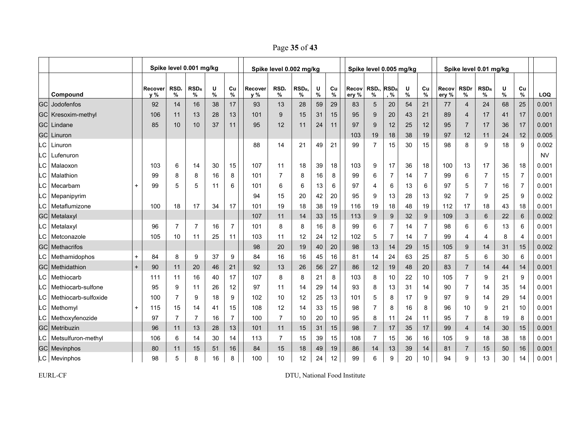Page **35** of **43**

|      |                         |           |                                                                                 |                | Spike level 0.001 mg/kg |    |                |                | Spike level 0.002 mg/kg |                       |        |         |                | Spike level 0.005 mg/kg                |                |        |                |                |                  | Spike level 0.01 mg/kg |           |                |            |
|------|-------------------------|-----------|---------------------------------------------------------------------------------|----------------|-------------------------|----|----------------|----------------|-------------------------|-----------------------|--------|---------|----------------|----------------------------------------|----------------|--------|----------------|----------------|------------------|------------------------|-----------|----------------|------------|
|      | Compound                |           | RSD,<br>$RSD_R$<br>U<br>Cu<br>Recover<br>$\%$<br>%<br>y %<br>%<br>%<br>17<br>14 |                |                         |    |                | Recover<br>y % | RSD,<br>%               | RSD <sub>R</sub><br>% | U<br>% | Cu<br>% | Recov<br>ery % | RSD <sub>r</sub> RSD <sub>R</sub><br>% | , %            | U<br>% | Cu<br>%        | Recov<br>ery % | <b>RSDr</b><br>% | $RSD_R$<br>%           | U<br>$\%$ | Cu<br>%        | <b>LOQ</b> |
| GC   | Jodofenfos              |           | 92                                                                              |                | 16                      | 38 |                | 93             | 13                      | 28                    | 59     | 29      | 83             | 5                                      | 20             | 54     | 21             | 77             | 4                | 24                     | 68        | 25             | 0.001      |
|      | GC Kresoxim-methyl      |           | 106                                                                             | 11             | 13                      | 28 | 13             | 101            | 9                       | 15                    | 31     | 15      | 95             | 9                                      | 20             | 43     | 21             | 89             | 4                | 17                     | 41        | 17             | 0.001      |
|      | <b>GCI Lindane</b>      |           | 85                                                                              | 10             | 10                      | 37 | 11             | 95             | 12                      | 11                    | 24     | 11      | 97             | 9                                      | 12             | 25     | 12             | 95             | $\overline{7}$   | 17                     | 36        | 17             | 0.001      |
|      | <b>GCI Linuron</b>      |           |                                                                                 |                |                         |    |                |                |                         |                       |        |         | 103            | 19                                     | 18             | 38     | 19             | 97             | 12               | 11                     | 24        | 12             | 0.005      |
| .C   | Linuron                 |           |                                                                                 |                |                         |    |                | 88             | 14                      | 21                    | 49     | 21      | 99             | 7                                      | 15             | 30     | 15             | 98             | 8                | 9                      | 18        | 9              | 0.002      |
| .C   | Lufenuron               |           |                                                                                 |                |                         |    |                |                |                         |                       |        |         |                |                                        |                |        |                |                |                  |                        |           |                | <b>NV</b>  |
| LC   | Malaoxon                |           | 103                                                                             | 6              | 14                      | 30 | 15             | 107            | 11                      | 18                    | 39     | 18      | 103            | 9                                      | 17             | 36     | 18             | 100            | 13               | 17                     | 36        | 18             | 0.001      |
| .C   | Malathion               |           | 99                                                                              | 8              | 8                       | 16 | 8              | 101            | 7                       | 8                     | 16     | 8       | 99             | 6                                      | 7              | 14     | $\overline{7}$ | 99             | 6                | $\overline{7}$         | 15        | $\overline{7}$ | 0.001      |
| LC   | Mecarbam                | $\ddot{}$ | 99                                                                              | 5              | 5                       | 11 | 6              | 101            | 6                       | 6                     | 13     | 6       | 97             | 4                                      | 6              | 13     | 6              | 97             | 5                | $\overline{7}$         | 16        | $\overline{7}$ | 0.001      |
| LC   | Mepanipyrim             |           |                                                                                 |                |                         |    |                | 94             | 15                      | 20                    | 42     | 20      | 95             | 9                                      | 13             | 28     | 13             | 92             | $\overline{7}$   | 9                      | 25        | 9              | 0.002      |
| LC   | Metaflumizone           |           | 100                                                                             | 18             | 17                      | 34 | 17             | 101            | 19                      | 18                    | 38     | 19      | 116            | 19                                     | 18             | 48     | 19             | 112            | 17               | 18                     | 43        | 18             | 0.001      |
|      | <b>GC</b> Metalaxyl     |           |                                                                                 |                |                         |    |                | 107            | 11                      | 14                    | 33     | 15      | 113            | 9                                      | 9              | 32     | 9              | 109            | 3                | 6                      | 22        | 6              | 0.002      |
| LC I | Metalaxyl               |           | 96                                                                              | $\overline{7}$ | 7                       | 16 | $\overline{7}$ | 101            | 8                       | 8                     | 16     | 8       | 99             | 6                                      | $\overline{7}$ | 14     | $\overline{7}$ | 98             | 6                | 6                      | 13        | 6              | 0.001      |
| .C   | Metconazole             |           | 105                                                                             | 10             | 11                      | 25 | 11             | 103            | 11                      | 12                    | 24     | 12      | 102            | 5                                      | $\overline{7}$ | 14     | $\overline{7}$ | 99             | 4                | 4                      | 8         | $\overline{4}$ | 0.001      |
|      | <b>GC</b> Methacrifos   |           |                                                                                 |                |                         |    |                | 98             | 20                      | 19                    | 40     | 20      | 98             | 13                                     | 14             | 29     | 15             | 105            | 9                | 14                     | 31        | 15             | 0.002      |
| LC I | Methamidophos           | $+$       | 84                                                                              | 8              | 9                       | 37 | 9              | 84             | 16                      | 16                    | 45     | 16      | 81             | 14                                     | 24             | 63     | 25             | 87             | 5                | 6                      | 30        | 6              | 0.001      |
|      | <b>GC</b> Methidathion  | $+$       | 90                                                                              | 11             | 20                      | 46 | 21             | 92             | 13                      | 26                    | 56     | 27      | 86             | 12                                     | 19             | 48     | 20             | 83             | $\overline{7}$   | 14                     | 44        | 14             | 0.001      |
| LC   | Methiocarb              |           | 111                                                                             | 11             | 16                      | 40 | 17             | 107            | 8                       | 8                     | 21     | 8       | 103            | 8                                      | 10             | 22     | 10             | 105            | 7                | 9                      | 21        | 9              | 0.001      |
| LC   | Methiocarb-sulfone      |           | 95                                                                              | 9              | 11                      | 26 | 12             | 97             | 11                      | 14                    | 29     | 14      | 93             | 8                                      | 13             | 31     | 14             | 90             | $\overline{7}$   | 14                     | 35        | 14             | 0.001      |
| LC.  | Methiocarb-sulfoxide    |           | 100                                                                             | 7              | 9                       | 18 | 9              | 102            | 10                      | 12                    | 25     | 13      | 101            | 5                                      | 8              | 17     | 9              | 97             | 9                | 14                     | 29        | 14             | 0.001      |
| LC I | Methomyl                | $+$       | 115                                                                             | 15             | 14                      | 41 | 15             | 108            | 12                      | 14                    | 33     | 15      | 98             | 7                                      | 8              | 16     | 8              | 96             | 10               | 9                      | 21        | 10             | 0.001      |
| LC I | Methoxyfenozide         |           | 97                                                                              | $\overline{7}$ | 7                       | 16 | $\overline{7}$ | 100            | 7                       | 10                    | 20     | 10      | 95             | 8                                      | 11             | 24     | 11             | 95             | $\overline{7}$   | 8                      | 19        | 8              | 0.001      |
|      | <b>GC</b> Metribuzin    |           | 96                                                                              | 11             | 13                      | 28 | 13             | 101            | 11                      | 15                    | 31     | 15      | 98             | $\overline{7}$                         | 17             | 35     | 17             | 99             | $\overline{4}$   | 14                     | 30        | 15             | 0.001      |
|      | LC   Metsulfuron-methyl |           | 106                                                                             | 6              | 14                      | 30 | 14             | 113            | 7                       | 15                    | 39     | 15      | 108            | 7                                      | 15             | 36     | 16             | 105            | 9                | 18                     | 38        | 18             | 0.001      |
|      | <b>GC</b> Mevinphos     |           | 80                                                                              | 11             | 15                      | 51 | 16             | 84             | 15                      | 18                    | 49     | 19      | 86             | 14                                     | 13             | 39     | 14             | 81             | $\overline{7}$   | 15                     | 50        | 16             | 0.001      |
|      | LC Mevinphos            |           | 98                                                                              | 5              | 8                       | 16 | 8              | 100            | 10                      | 12                    | 24     | 12      | 99             | 6                                      | 9              | 20     | 10             | 94             | 9                | 13                     | 30        | 14             | 0.001      |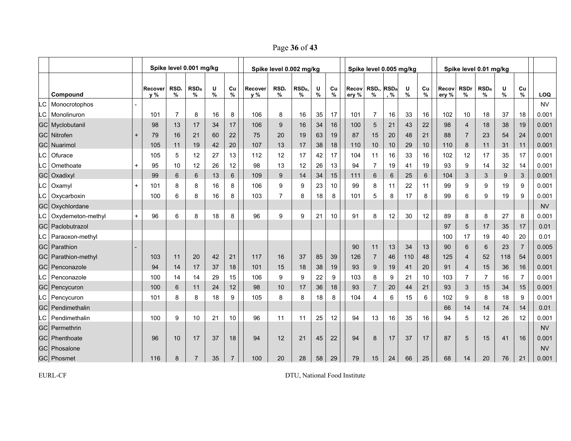Page **36** of **43**

|    |                            |     |                |                | Spike level 0.001 mg/kg |        |                |                | Spike level 0.002 mg/kg |                       |        |            |                | Spike level 0.005 mg/kg      |     |        |         |                |                  | Spike level 0.01 mg/kg |        |                |           |
|----|----------------------------|-----|----------------|----------------|-------------------------|--------|----------------|----------------|-------------------------|-----------------------|--------|------------|----------------|------------------------------|-----|--------|---------|----------------|------------------|------------------------|--------|----------------|-----------|
|    | Compound                   |     | Recover<br>y % | RSD,<br>%      | $RSD_R$<br>℅            | U<br>% | Cu<br>%        | Recover<br>y % | RSD,<br>%               | RSD <sub>R</sub><br>% | U<br>% | Cu<br>$\%$ | Recov<br>ery % | $RSDn$ RSD <sub>R</sub><br>% | , % | U<br>% | Cu<br>% | Recov<br>ery % | <b>RSDr</b><br>% | $RSD_R$<br>%           | U<br>% | Cu<br>%        | LOQ       |
| LC | Monocrotophos              |     |                |                |                         |        |                |                |                         |                       |        |            |                |                              |     |        |         |                |                  |                        |        |                | <b>NV</b> |
|    | LC Monolinuron             |     | 101            | $\overline{7}$ | 8                       | 16     | 8              | 106            | 8                       | 16                    | 35     | 17         | 101            | 7                            | 16  | 33     | 16      | 102            | 10               | 18                     | 37     | 18             | 0.001     |
|    | <b>GC</b> Myclobutanil     |     | 98             | 13             | 17                      | 34     | 17             | 106            | 9                       | 16                    | 34     | 16         | 100            | 5                            | 21  | 43     | 22      | 98             | 4                | 18                     | 38     | 19             | 0.001     |
|    | <b>GCI Nitrofen</b>        | $+$ | 79             | 16             | 21                      | 60     | 22             | 75             | 20                      | 19                    | 63     | 19         | 87             | 15                           | 20  | 48     | 21      | 88             | $\overline{7}$   | 23                     | 54     | 24             | 0.001     |
|    | <b>GC</b> Nuarimol         |     | 105            | 11             | 19                      | 42     | 20             | 107            | 13                      | 17                    | 38     | 18         | 110            | 10                           | 10  | 29     | 10      | 110            | 8                | 11                     | 31     | 11             | 0.001     |
| .C | Ofurace                    |     | 105            | 5              | 12                      | 27     | 13             | 112            | 12                      | 17                    | 42     | 17         | 104            | 11                           | 16  | 33     | 16      | 102            | 12               | 17                     | 35     | 17             | 0.001     |
| .C | Omethoate                  | $+$ | 95             | 10             | 12                      | 26     | 12             | 98             | 13                      | 12                    | 26     | 13         | 94             | 7                            | 19  | 41     | 19      | 93             | 9                | 14                     | 32     | 14             | 0.001     |
|    | <b>GC</b> Oxadixyl         |     | 99             | 6              | 6                       | 13     | $6\phantom{1}$ | 109            | 9                       | 14                    | 34     | 15         | 111            | $6\phantom{1}6$              | 6   | 25     | 6       | 104            | 3                | 3                      | 9      | 3              | 0.001     |
| .C | Oxamyl                     | $+$ | 101            | 8              | 8                       | 16     | 8              | 106            | 9                       | 9                     | 23     | 10         | 99             | 8                            | 11  | 22     | 11      | 99             | 9                | 9                      | 19     | 9              | 0.001     |
| C. | Oxycarboxin                |     | 100            | 6              | 8                       | 16     | 8              | 103            | 7                       | 8                     | 18     | 8          | 101            | 5                            | 8   | 17     | 8       | 99             | 6                | 9                      | 19     | 9              | 0.001     |
|    | GC Oxychlordane            |     |                |                |                         |        |                |                |                         |                       |        |            |                |                              |     |        |         |                |                  |                        |        |                | <b>NV</b> |
| LC | Oxydemeton-methyl          | $+$ | 96             | 6              | 8                       | 18     | 8              | 96             | 9                       | 9                     | 21     | 10         | 91             | 8                            | 12  | 30     | 12      | 89             | 8                | 8                      | 27     | 8              | 0.001     |
|    | <b>GC</b> Paclobutrazol    |     |                |                |                         |        |                |                |                         |                       |        |            |                |                              |     |        |         | 97             | 5                | 17                     | 35     | 17             | 0.01      |
|    | LC   Paraoxon-methyl       |     |                |                |                         |        |                |                |                         |                       |        |            |                |                              |     |        |         | 100            | 17               | 19                     | 40     | 20             | 0.01      |
|    | <b>GC</b> Parathion        |     |                |                |                         |        |                |                |                         |                       |        |            | 90             | 11                           | 13  | 34     | 13      | 90             | 6                | 6                      | 23     | $\overline{7}$ | 0.005     |
|    | <b>GC</b> Parathion-methyl |     | 103            | 11             | 20                      | 42     | 21             | 117            | 16                      | 37                    | 85     | 39         | 126            | 7                            | 46  | 110    | 48      | 125            | $\overline{4}$   | 52                     | 118    | 54             | 0.001     |
|    | <b>GC</b> Penconazole      |     | 94             | 14             | 17                      | 37     | 18             | 101            | 15                      | 18                    | 38     | 19         | 93             | 9                            | 19  | 41     | 20      | 91             | 4                | 15                     | 36     | 16             | 0.001     |
| LC | Penconazole                |     | 100            | 14             | 14                      | 29     | 15             | 106            | 9                       | 9                     | 22     | 9          | 103            | 8                            | 9   | 21     | 10      | 103            | 7                | 7                      | 16     | $\overline{7}$ | 0.001     |
|    | <b>GC</b> Pencycuron       |     | 100            | 6              | 11                      | 24     | 12             | 98             | 10                      | 17                    | 36     | 18         | 93             | $\overline{7}$               | 20  | 44     | 21      | 93             | 3                | 15                     | 34     | 15             | 0.001     |
|    | LC   Pencycuron            |     | 101            | 8              | 8                       | 18     | 9              | 105            | 8                       | 8                     | 18     | 8          | 104            | 4                            | 6   | 15     | 6       | 102            | 9                | 8                      | 18     | 9              | 0.001     |
|    | <b>GC</b> Pendimethalin    |     |                |                |                         |        |                |                |                         |                       |        |            |                |                              |     |        |         | 66             | 14               | 14                     | 74     | 14             | 0.01      |
| LC | Pendimethalin              |     | 100            | 9              | 10                      | 21     | 10             | 96             | 11                      | 11                    | 25     | 12         | 94             | 13                           | 16  | 35     | 16      | 94             | 5                | 12                     | 26     | 12             | 0.001     |
|    | <b>GC</b> Permethrin       |     |                |                |                         |        |                |                |                         |                       |        |            |                |                              |     |        |         |                |                  |                        |        |                | <b>NV</b> |
|    | <b>GC</b> Phenthoate       |     | 96             | 10             | 17                      | 37     | 18             | 94             | 12                      | 21                    | 45     | 22         | 94             | 8                            | 17  | 37     | 17      | 87             | 5                | 15                     | 41     | 16             | 0.001     |
|    | GC Phosalone               |     |                |                |                         |        |                |                |                         |                       |        |            |                |                              |     |        |         |                |                  |                        |        |                | <b>NV</b> |
|    | GC Phosmet                 |     | 116            | 8              | 7                       | 35     | $\overline{7}$ | 100            | 20                      | 28                    | 58     | 29         | 79             | 15                           | 24  | 66     | 25      | 68             | 14               | 20                     | 76     | 21             | 0.001     |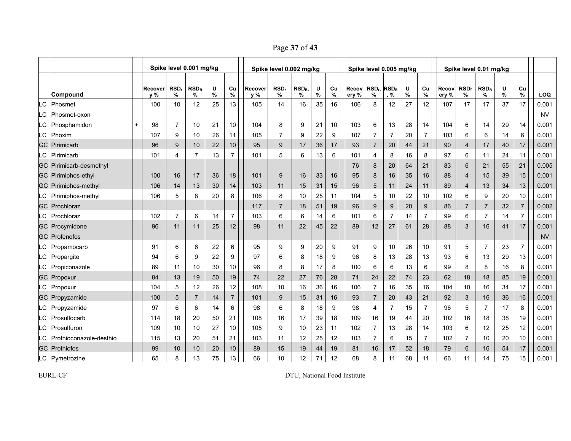Page **37** of **43**

|     |                                |           |                                                                                       |                | Spike level 0.001 mg/kg |    |                |     | Spike level 0.002 mg/kg |                 |        |         |                | Spike level 0.005 mg/kg                |                |           |                  |                |                  | Spike level 0.01 mg/kg |           |                |           |
|-----|--------------------------------|-----------|---------------------------------------------------------------------------------------|----------------|-------------------------|----|----------------|-----|-------------------------|-----------------|--------|---------|----------------|----------------------------------------|----------------|-----------|------------------|----------------|------------------|------------------------|-----------|----------------|-----------|
|     | Compound                       |           | U<br>RSD,<br>$RSD_R$<br>Cu<br>Recover<br>Recover<br>$\%$<br>%<br>v %<br>%<br>%<br>y % |                |                         |    |                |     | RSD,<br>%               | $RSD_R$<br>%    | U<br>% | Cu<br>% | Recov<br>ery % | RSD <sub>r</sub> RSD <sub>R</sub><br>% | , %            | U<br>$\%$ | Cu<br>%          | Recov<br>ery % | <b>RSDr</b><br>% | RSD <sub>R</sub><br>%  | U<br>$\%$ | Cu<br>%        | LOQ       |
| .C  | Phosmet                        |           | 100                                                                                   | 10             | 12                      | 25 | 13             | 105 | 14                      | 16              | 35     | 16      | 106            | 8                                      | 12             | 27        | 12               | 107            | 17               | 17                     | 37        | 17             | 0.001     |
| .C  | Phosmet-oxon                   |           |                                                                                       |                |                         |    |                |     |                         |                 |        |         |                |                                        |                |           |                  |                |                  |                        |           |                | <b>NV</b> |
| LC. | Phosphamidon                   | $\ddot{}$ | 98                                                                                    | $\overline{7}$ | 10                      | 21 | 10             | 104 | 8                       | 9               | 21     | 10      | 103            | 6                                      | 13             | 28        | 14               | 104            | 6                | 14                     | 29        | 14             | 0.001     |
|     | C   Phoxim                     |           | 107                                                                                   | 9              | 10                      | 26 | 11             | 105 | 7                       | 9               | 22     | 9       | 107            | 7                                      | 7              | 20        | $\overline{7}$   | 103            | 6                | 6                      | 14        | 6              | 0.001     |
| GCI | Pirimicarb                     |           | 96                                                                                    | 9              | 10                      | 22 | 10             | 95  | 9                       | 17              | 36     | 17      | 93             | $\overline{7}$                         | 20             | 44        | 21               | 90             | $\overline{4}$   | 17                     | 40        | 17             | 0.001     |
|     | C Pirimicarb                   |           | 101                                                                                   | 4              | 7                       | 13 | $\overline{7}$ | 101 | 5                       | $6\phantom{1}6$ | 13     | 6       | 101            | 4                                      | 8              | 16        | 8                | 97             | 6                | 11                     | 24        | 11             | 0.001     |
|     | <b>GC</b> Pirimicarb-desmethyl |           |                                                                                       |                |                         |    |                |     |                         |                 |        |         | 76             | 8                                      | 20             | 64        | 21               | 83             | 6                | 21                     | 55        | 21             | 0.005     |
|     | GC Pirimiphos-ethyl            |           | 100                                                                                   | 16             | 17                      | 36 | 18             | 101 | 9                       | 16              | 33     | 16      | 95             | 8                                      | 16             | 35        | 16               | 88             | $\overline{4}$   | 15                     | 39        | 15             | 0.001     |
|     | <b>GC</b> Pirimiphos-methyl    |           | 106                                                                                   | 14             | 13                      | 30 | 14             | 103 | 11                      | 15              | 31     | 15      | 96             | 5                                      | 11             | 24        | 11               | 89             | $\overline{4}$   | 13                     | 34        | 13             | 0.001     |
| -C  | Pirimiphos-methyl              |           | 106                                                                                   | 5              | 8                       | 20 | 8              | 106 | 8                       | 10              | 25     | 11      | 104            | 5                                      | 10             | 22        | 10               | 102            | 6                | 9                      | 20        | 10             | 0.001     |
|     | <b>GC</b> Prochloraz           |           |                                                                                       |                |                         |    |                | 117 | $\overline{7}$          | 18              | 51     | 19      | 96             | 9                                      | 9              | 20        | $\boldsymbol{9}$ | 86             | $\overline{7}$   | $\overline{7}$         | 32        | $\overline{7}$ | 0.002     |
| LC. | Prochloraz                     |           | 102                                                                                   | $\overline{7}$ | 6                       | 14 | 7              | 103 | 6                       | 6               | 14     | 6       | 101            | 6                                      | $\overline{7}$ | 14        | $\overline{7}$   | 99             | 6                | $\overline{7}$         | 14        | $\overline{7}$ | 0.001     |
|     | <b>GC</b> Procymidone          |           | 96                                                                                    | 11             | 11                      | 25 | 12             | 98  | 11                      | 22              | 45     | 22      | 89             | 12                                     | 27             | 61        | 28               | 88             | 3                | 16                     | 41        | 17             | 0.001     |
|     | <b>GC</b> Profenofos           |           |                                                                                       |                |                         |    |                |     |                         |                 |        |         |                |                                        |                |           |                  |                |                  |                        |           |                | <b>NV</b> |
|     | LC Propamocarb                 |           | 91                                                                                    | 6              | 6                       | 22 | 6              | 95  | 9                       | 9               | 20     | 9       | 91             | 9                                      | 10             | 26        | 10               | 91             | 5                | $\overline{7}$         | 23        | $\overline{7}$ | 0.001     |
|     | LC Propargite                  |           | 94                                                                                    | 6              | 9                       | 22 | 9              | 97  | 6                       | 8               | 18     | 9       | 96             | 8                                      | 13             | 28        | 13               | 93             | 6                | 13                     | 29        | 13             | 0.001     |
|     | LC   Propiconazole             |           | 89                                                                                    | 11             | 10                      | 30 | 10             | 96  | 8                       | 8               | 17     | 8       | 100            | 6                                      | 6              | 13        | 6                | 99             | 8                | 8                      | 16        | 8              | 0.001     |
|     | <b>GC</b> Propoxur             |           | 84                                                                                    | 13             | 19                      | 50 | 19             | 74  | 22                      | 27              | 76     | 28      | 71             | 24                                     | 22             | 74        | 23               | 62             | 18               | 18                     | 85        | 19             | 0.001     |
|     | LC   Propoxur                  |           | 104                                                                                   | 5              | 12                      | 26 | 12             | 108 | 10                      | 16              | 36     | 16      | 106            | $\overline{7}$                         | 16             | 35        | 16               | 104            | 10               | 16                     | 34        | 17             | 0.001     |
|     | <b>GC</b> Propyzamide          |           | 100                                                                                   | 5              | $\overline{7}$          | 14 | $\overline{7}$ | 101 | 9                       | 15              | 31     | 16      | 93             | $\overline{7}$                         | 20             | 43        | 21               | 92             | 3                | 16                     | 36        | 16             | 0.001     |
|     | LC Propyzamide                 |           | 97                                                                                    | 6              | 6                       | 14 | 6              | 98  | 6                       | 8               | 18     | 9       | 98             | 4                                      | $\overline{7}$ | 15        | $\overline{7}$   | 96             | 5                | $\overline{7}$         | 17        | 8              | 0.001     |
| LC  | Prosulfocarb                   |           | 114                                                                                   | 18             | 20                      | 50 | 21             | 108 | 16                      | 17              | 39     | 18      | 109            | 16                                     | 19             | 44        | 20               | 102            | 16               | 18                     | 38        | 19             | 0.001     |
| LC  | Prosulfuron                    |           | 109                                                                                   | 10             | 10                      | 27 | 10             | 105 | 9                       | 10              | 23     | 11      | 102            | $\overline{7}$                         | 13             | 28        | 14               | 103            | 6                | 12                     | 25        | 12             | 0.001     |
| LC  | Prothioconazole-desthio        |           | 115                                                                                   | 13             | 20                      | 51 | 21             | 103 | 11                      | 12              | 25     | 12      | 103            | $\overline{7}$                         | 6              | 15        | $\overline{7}$   | 102            | $\overline{7}$   | 10                     | 20        | 10             | 0.001     |
|     | <b>GC</b> Prothiofos           |           | 99                                                                                    | 10             | 10                      | 20 | 10             | 89  | 15                      | 19              | 44     | 19      | 81             | 16                                     | 17             | 52        | 18               | 79             | 6                | 16                     | 54        | 17             | 0.001     |
|     | LC   Pymetrozine               |           | 65                                                                                    | 8              | 13                      | 75 | 13             | 66  | 10                      | 12              | 71     | 12      | 68             | 8                                      | 11             | 68        | 11               | 66             | 11               | 14                     | 75        | 15             | 0.001     |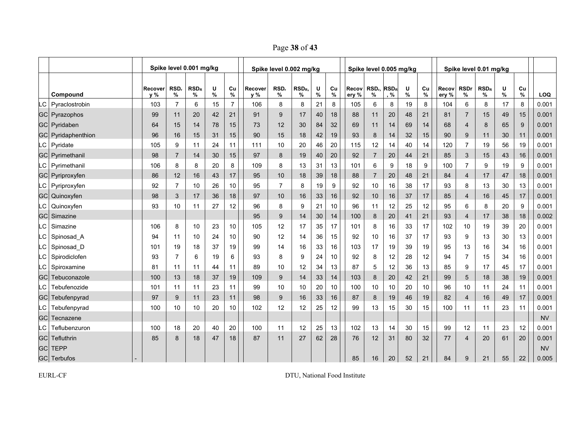Page **38** of **43**

|           |                           | Spike level 0.001 mg/kg |                |                |              |           |                |                |                         |              |           |            |                |                              |        |        |         |                |                        |              |           |            |           |  |
|-----------|---------------------------|-------------------------|----------------|----------------|--------------|-----------|----------------|----------------|-------------------------|--------------|-----------|------------|----------------|------------------------------|--------|--------|---------|----------------|------------------------|--------------|-----------|------------|-----------|--|
|           |                           |                         |                |                |              |           |                |                | Spike level 0.002 mg/kg |              |           |            |                | Spike level 0.005 mg/kg      |        |        |         |                | Spike level 0.01 mg/kg |              |           |            |           |  |
|           | Compound                  |                         | Recover<br>y % | RSD,<br>%      | $RSD_R$<br>℅ | U<br>$\%$ | Cu<br>$\%$     | Recover<br>y % | RSD,<br>℅               | $RSD_R$<br>% | U<br>$\%$ | Cu<br>$\%$ | Recov<br>ery % | $RSDr$ RSD <sub>R</sub><br>% | $, \%$ | U<br>% | Cu<br>% | Recov<br>ery % | <b>RSDr</b><br>%       | $RSD_R$<br>% | U<br>$\%$ | Cu<br>$\%$ | LOQ       |  |
|           | LC Pyraclostrobin         |                         | 103            | $\overline{7}$ | 6            | 15        | $\overline{7}$ | 106            | 8                       | 8            | 21        | 8          | 105            | 6                            | 8      | 19     | 8       | 104            | 6                      | 8            | 17        | 8          | 0.001     |  |
|           | <b>GC</b> Pyrazophos      |                         | 99             | 11             | 20           | 42        | 21             | 91             | 9                       | 17           | 40        | 18         | 88             | 11                           | 20     | 48     | 21      | 81             | $\overline{7}$         | 15           | 49        | 15         | 0.001     |  |
|           | <b>GC</b> Pyridaben       |                         | 64             | 15             | 14           | 78        | 15             | 73             | 12                      | 30           | 84        | 32         | 69             | 11                           | 14     | 69     | 14      | 68             | $\overline{4}$         | 8            | 65        | 9          | 0.001     |  |
|           | <b>GC</b> Pyridaphenthion |                         | 96             | 16             | 15           | 31        | 15             | 90             | 15                      | 18           | 42        | 19         | 93             | 8                            | 14     | 32     | 15      | 90             | 9                      | 11           | 30        | 11         | 0.001     |  |
|           | LC   Pyridate             |                         | 105            | 9              | 11           | 24        | 11             | 111            | 10                      | 20           | 46        | 20         | 115            | 12                           | 14     | 40     | 14      | 120            | $\overline{7}$         | 19           | 56        | 19         | 0.001     |  |
|           | <b>GC</b> Pyrimethanil    |                         | 98             | $\overline{7}$ | 14           | 30        | 15             | 97             | 8                       | 19           | 40        | 20         | 92             | $\overline{7}$               | 20     | 44     | 21      | 85             | $\mathbf{3}$           | 15           | 43        | 16         | 0.001     |  |
|           | LC Pyrimethanil           |                         | 106            | 8              | 8            | 20        | 8              | 109            | 8                       | 13           | 31        | 13         | 101            | 6                            | 9      | 18     | 9       | 100            | $\overline{7}$         | 9            | 19        | 9          | 0.001     |  |
|           | <b>GC</b> Pyriproxyfen    |                         | 86             | 12             | 16           | 43        | 17             | 95             | 10                      | 18           | 39        | 18         | 88             | $\overline{7}$               | 20     | 48     | 21      | 84             | $\overline{4}$         | 17           | 47        | 18         | 0.001     |  |
|           | LC Pyriproxyfen           |                         | 92             | $\overline{7}$ | 10           | 26        | 10             | 95             | $\overline{7}$          | 8            | 19        | 9          | 92             | 10                           | 16     | 38     | 17      | 93             | 8                      | 13           | 30        | 13         | 0.001     |  |
|           | GC Quinoxyfen             |                         | 98             | $\mathfrak{S}$ | 17           | 36        | 18             | 97             | 10                      | 16           | 33        | 16         | 92             | $10$                         | 16     | 37     | 17      | 85             | $\overline{4}$         | 16           | 45        | 17         | 0.001     |  |
| .C        | Quinoxyfen                |                         | 93             | 10             | 11           | 27        | 12             | 96             | 8                       | 9            | 21        | 10         | 96             | 11                           | 12     | 25     | 12      | 95             | 6                      | 8            | 20        | 9          | 0.001     |  |
| GC        | Simazine                  |                         |                |                |              |           |                | 95             | 9                       | 14           | 30        | 14         | 100            | 8                            | 20     | 41     | 21      | 93             | $\overline{4}$         | 17           | 38        | 18         | 0.002     |  |
| C.        | Simazine                  |                         | 106            | 8              | 10           | 23        | 10             | 105            | 12                      | 17           | 35        | 17         | 101            | 8                            | 16     | 33     | 17      | 102            | 10                     | 19           | 39        | 20         | 0.001     |  |
| .C        | Spinosad A                |                         | 94             | 11             | 10           | 24        | 10             | 90             | 12                      | 14           | 36        | 15         | 92             | 10                           | 16     | 37     | 17      | 93             | 9                      | 13           | 30        | 13         | 0.001     |  |
| LC        | Spinosad D                |                         | 101            | 19             | 18           | 37        | 19             | 99             | 14                      | 16           | 33        | 16         | 103            | 17                           | 19     | 39     | 19      | 95             | 13                     | 16           | 34        | 16         | 0.001     |  |
| .C        | Spirodiclofen             |                         | 93             | $\overline{7}$ | 6            | 19        | 6              | 93             | 8                       | 9            | 24        | 10         | 92             | 8                            | 12     | 28     | 12      | 94             | $\overline{7}$         | 15           | 34        | 16         | 0.001     |  |
| LC        | Spiroxamine               |                         | 81             | 11             | 11           | 44        | 11             | 89             | 10                      | 12           | 34        | 13         | 87             | 5                            | 12     | 36     | 13      | 85             | 9                      | 17           | 45        | 17         | 0.001     |  |
| <b>GC</b> | Tebuconazole              |                         | 100            | 13             | 18           | 37        | 19             | 109            | 9                       | 14           | 33        | 14         | 103            | 8                            | 20     | 42     | 21      | 99             | 5                      | 18           | 38        | 19         | 0.001     |  |
| LC        | Tebufenozide              |                         | 101            | 11             | 11           | 23        | 11             | 99             | 10                      | 10           | 20        | 10         | 100            | 10                           | 10     | 20     | 10      | 96             | 10                     | 11           | 24        | 11         | 0.001     |  |
| GC        | Tebufenpyrad              |                         | 97             | 9              | 11           | 23        | 11             | 98             | 9                       | 16           | 33        | 16         | 87             | 8                            | 19     | 46     | 19      | 82             | $\overline{4}$         | 16           | 49        | 17         | 0.001     |  |
| LC        | Tebufenpyrad              |                         | 100            | 10             | 10           | 20        | 10             | 102            | 12                      | 12           | 25        | 12         | 99             | 13                           | 15     | 30     | 15      | 100            | 11                     | 11           | 23        | 11         | 0.001     |  |
| GC        | Tecnazene                 |                         |                |                |              |           |                |                |                         |              |           |            |                |                              |        |        |         |                |                        |              |           |            | <b>NV</b> |  |
| LC.       | Teflubenzuron             |                         | 100            | 18             | 20           | 40        | 20             | 100            | 11                      | 12           | 25        | 13         | 102            | 13                           | 14     | 30     | 15      | 99             | 12                     | 11           | 23        | 12         | 0.001     |  |
| GCI       | Tefluthrin                |                         | 85             | 8              | 18           | 47        | 18             | 87             | 11                      | 27           | 62        | 28         | 76             | 12                           | 31     | 80     | 32      | 77             | $\overline{4}$         | 20           | 61        | 20         | 0.001     |  |
| GCI       | <b>TEPP</b>               |                         |                |                |              |           |                |                |                         |              |           |            |                |                              |        |        |         |                |                        |              |           |            | <b>NV</b> |  |
|           | <b>GC</b> Terbufos        |                         |                |                |              |           |                |                |                         |              |           |            | 85             | 16                           | 20     | 52     | 21      | 84             | 9                      | 21           | 55        | 22         | 0.005     |  |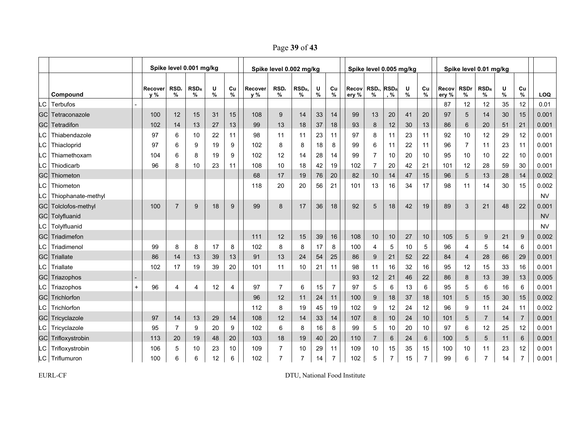Page **39** of **43**

|           |                       |     |                  |                | Spike level 0.001 mg/kg |           |                | Spike level 0.002 mg/kg<br>Spike level 0.005 mg/kg |                |                       |           |         |                |                              | Spike level 0.01 mg/kg |        |         |                |                  |                |           |                |           |
|-----------|-----------------------|-----|------------------|----------------|-------------------------|-----------|----------------|----------------------------------------------------|----------------|-----------------------|-----------|---------|----------------|------------------------------|------------------------|--------|---------|----------------|------------------|----------------|-----------|----------------|-----------|
|           | Compound              |     | Recover<br>$v\%$ | RSD,<br>%      | $RSD_R$<br>%            | U<br>$\%$ | Cu<br>$\%$     | Recover<br>v %                                     | RSD,<br>%      | RSD <sub>R</sub><br>% | U<br>$\%$ | Cu<br>% | Recov<br>ery % | $RSDn$ RSD <sub>R</sub><br>% | $, \%$                 | U<br>% | Cu<br>% | Recov<br>ery % | <b>RSDr</b><br>% | $RSD_R$<br>%   | U<br>$\%$ | Cu<br>$\%$     | LOQ       |
| -C        | Terbufos              |     |                  |                |                         |           |                |                                                    |                |                       |           |         |                |                              |                        |        |         | 87             | 12               | 12             | 35        | 12             | 0.01      |
| <b>GC</b> | Tetraconazole         |     | 100              | 12             | 15                      | 31        | 15             | 108                                                | 9              | 14                    | 33        | 14      | 99             | 13                           | 20                     | 41     | 20      | 97             | 5                | 14             | 30        | 15             | 0.001     |
| <b>GC</b> | Tetradifon            |     | 102              | 14             | 13                      | 27        | 13             | 99                                                 | 13             | 18                    | 37        | 18      | 93             | 8                            | 12                     | 30     | 13      | 86             | 6                | 20             | 51        | 21             | 0.001     |
| .C        | Thiabendazole         |     | 97               | 6              | 10                      | 22        | 11             | 98                                                 | 11             | 11                    | 23        | 11      | 97             | 8                            | 11                     | 23     | 11      | 92             | 10               | 12             | 29        | 12             | 0.001     |
| -C        | Thiacloprid           |     | 97               | 6              | 9                       | 19        | 9              | 102                                                | 8              | 8                     | 18        | 8       | 99             | 6                            | 11                     | 22     | 11      | 96             | $\overline{7}$   | 11             | 23        | 11             | 0.001     |
| -C        | Thiamethoxam          |     | 104              | 6              | 8                       | 19        | 9              | 102                                                | 12             | 14                    | 28        | 14      | 99             | $\overline{7}$               | 10                     | 20     | 10      | 95             | 10               | 10             | 22        | 10             | 0.001     |
| LC        | Thiodicarb            |     | 96               | 8              | 10                      | 23        | 11             | 108                                                | 10             | 18                    | 42        | 19      | 102            | $\overline{7}$               | 20                     | 42     | 21      | 101            | 12               | 28             | 59        | 30             | 0.001     |
| GC        | Thiometon             |     |                  |                |                         |           |                | 68                                                 | 17             | 19                    | 76        | 20      | 82             | 10                           | 14                     | 47     | 15      | 96             | 5                | 13             | 28        | 14             | 0.002     |
| LC        | Thiometon             |     |                  |                |                         |           |                | 118                                                | 20             | 20                    | 56        | 21      | 101            | 13                           | 16                     | 34     | 17      | 98             | 11               | 14             | 30        | 15             | 0.002     |
| LC        | Thiophanate-methyl    |     |                  |                |                         |           |                |                                                    |                |                       |           |         |                |                              |                        |        |         |                |                  |                |           |                | <b>NV</b> |
| <b>GC</b> | Tolclofos-methyl      |     | 100              | $\overline{7}$ | 9                       | 18        | 9              | 99                                                 | 8              | 17                    | 36        | 18      | 92             | 5                            | 18                     | 42     | 19      | 89             | 3                | 21             | 48        | 22             | 0.001     |
|           | <b>GC</b> Tolyfluanid |     |                  |                |                         |           |                |                                                    |                |                       |           |         |                |                              |                        |        |         |                |                  |                |           |                | <b>NV</b> |
| LC        | Tolylfluanid          |     |                  |                |                         |           |                |                                                    |                |                       |           |         |                |                              |                        |        |         |                |                  |                |           |                | <b>NV</b> |
| <b>GC</b> | Triadimefon           |     |                  |                |                         |           |                | 111                                                | 12             | 15                    | 39        | 16      | 108            | 10                           | 10                     | 27     | 10      | 105            | 5                | 9              | 21        | 9              | 0.002     |
| -C        | Triadimenol           |     | 99               | 8              | 8                       | 17        | 8              | 102                                                | 8              | 8                     | 17        | 8       | 100            | $\overline{4}$               | 5                      | 10     | 5       | 96             | $\overline{4}$   | 5              | 14        | 6              | 0.001     |
| <b>GC</b> | Triallate             |     | 86               | 14             | 13                      | 39        | 13             | 91                                                 | 13             | 24                    | 54        | 25      | 86             | 9                            | 21                     | 52     | 22      | 84             | $\overline{4}$   | 28             | 66        | 29             | 0.001     |
| -C        | Triallate             |     | 102              | 17             | 19                      | 39        | 20             | 101                                                | 11             | 10                    | 21        | 11      | 98             | 11                           | 16                     | 32     | 16      | 95             | 12               | 15             | 33        | 16             | 0.001     |
| GC        | Triazophos            |     |                  |                |                         |           |                |                                                    |                |                       |           |         | 93             | 12                           | 21                     | 46     | 22      | 86             | 8                | 13             | 39        | 13             | 0.005     |
| LC        | Triazophos            | $+$ | 96               | 4              | 4                       | 12        | $\overline{4}$ | 97                                                 | $\overline{7}$ | 6                     | 15        | 7       | 97             | 5                            | 6                      | 13     | 6       | 95             | 5                | 6              | 16        | 6              | 0.001     |
| <b>GC</b> | Trichlorfon           |     |                  |                |                         |           |                | 96                                                 | 12             | 11                    | 24        | 11      | 100            | 9                            | 18                     | 37     | 18      | 101            | 5                | 15             | 30        | 15             | 0.002     |
| -C        | Trichlorfon           |     |                  |                |                         |           |                | 112                                                | 8              | 19                    | 45        | 19      | 102            | 9                            | 12                     | 24     | 12      | 96             | 9                | 11             | 24        | 11             | 0.002     |
| GCI       | Tricyclazole          |     | 97               | 14             | 13                      | 29        | 14             | 108                                                | 12             | 14                    | 33        | 14      | 107            | 8                            | 10                     | 24     | 10      | 101            | 5                | $\overline{7}$ | 14        | $\overline{7}$ | 0.001     |
| -C        | Tricyclazole          |     | 95               | $\overline{7}$ | 9                       | 20        | 9              | 102                                                | 6              | 8                     | 16        | 8       | 99             | 5                            | 10                     | 20     | 10      | 97             | 6                | 12             | 25        | 12             | 0.001     |
| <b>GC</b> | Trifloxystrobin       |     | 113              | 20             | 19                      | 48        | 20             | 103                                                | 18             | 19                    | 40        | 20      | 110            | $\overline{7}$               | 6                      | 24     | 6       | 100            | 5                | 5              | 11        | $6\phantom{1}$ | 0.001     |
| LC.       | Trifloxystrobin       |     | 106              | 5              | 10                      | 23        | 10             | 109                                                | 7              | 10                    | 29        | 11      | 109            | 10                           | 15                     | 35     | 15      | 100            | 10               | 11             | 23        | 12             | 0.001     |
|           | LC Triflumuron        |     | 100              | 6              | 6                       | 12        | 6              | 102                                                | $\overline{7}$ | 7                     | 14        | 7       | 102            | 5                            | $\overline{7}$         | 15     | 7       | 99             | 6                |                | 14        | $\overline{7}$ | 0.001     |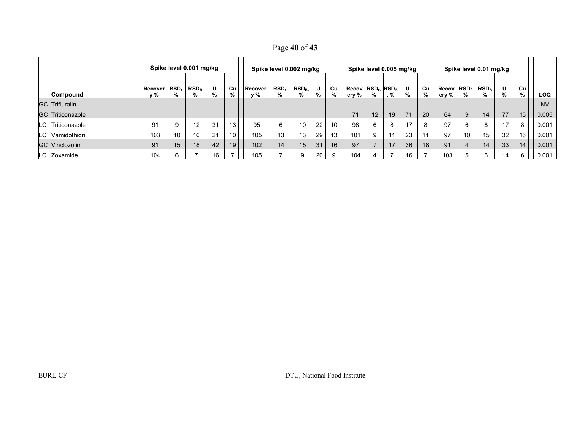| Page 40 of 43 |  |  |
|---------------|--|--|
|               |  |  |

| Spike level 0.001 mg/kg |  |                |           |                 | Spike level 0.002 mg/kg |                 |                |           |                       |        | Spike level 0.005 mg/kg |                       |                                   |     | Spike level 0.01 mg/kg |                 |                       |             |              |        |                 |           |
|-------------------------|--|----------------|-----------|-----------------|-------------------------|-----------------|----------------|-----------|-----------------------|--------|-------------------------|-----------------------|-----------------------------------|-----|------------------------|-----------------|-----------------------|-------------|--------------|--------|-----------------|-----------|
| Compound                |  | Recover<br>v % | RSD.<br>% | $RSD_R$<br>%    | U                       | Cu<br>%         | Recover<br>v % | RSD,<br>% | RSD <sub>R</sub><br>% | U<br>% | Cu                      | <b>Recov</b><br>ery % | RSD <sub>r</sub> RSD <sub>R</sub> | . % | U<br>%                 | Cu<br>%         | <b>Recov</b><br>ery % | <b>RSDr</b> | $RSD_R$<br>% | U<br>% | Cu<br>%         | LOQ       |
| <b>GCI Trifluralin</b>  |  |                |           |                 |                         |                 |                |           |                       |        |                         |                       |                                   |     |                        |                 |                       |             |              |        |                 | <b>NV</b> |
| <b>GC</b> Triticonazole |  |                |           |                 |                         |                 |                |           |                       |        |                         | 74                    | 12                                | 19  | 71                     | 20 <sup>1</sup> | 64                    | 9           | 14           | 77     | 15 <sub>1</sub> | 0.005     |
| _C   Triticonazole      |  | 91             | 9         | 12 <sup>2</sup> | 31                      | 13 <sub>1</sub> | 95             | 6         | 10                    | 22     | 10 <sup>°</sup>         | 98                    | 6                                 | 8   | 17                     | 8               | 97                    | n           | 8            | 17     | 8               | 0.001     |
| C Vamidothion           |  | 103            | 10        | 10              | 21                      | 10 <sup>°</sup> | 105            | 13        | 13                    | 29     | 13                      | 101                   | 9                                 | 11  | 23                     | 11              | 97                    | 10          | 15           | 32     | 16 <sub>1</sub> | 0.001     |
| <b>GC</b> Vinclozolin   |  | 91             | 15        | 18 <sup>°</sup> | 42                      | 19              | 102            | 14        | 15                    | 31     | 16                      | 97                    |                                   | 17  | 36                     | 18 <sub>1</sub> | 91                    |             | 14           | 33     | 14              | 0.001     |
| LC Zoxamide             |  | 104            |           |                 | 16                      |                 | 105            |           | 9                     | 20     | 9                       | 104                   |                                   |     | 16                     |                 | 103                   | ∽           |              | 14     | 6               | 0.001     |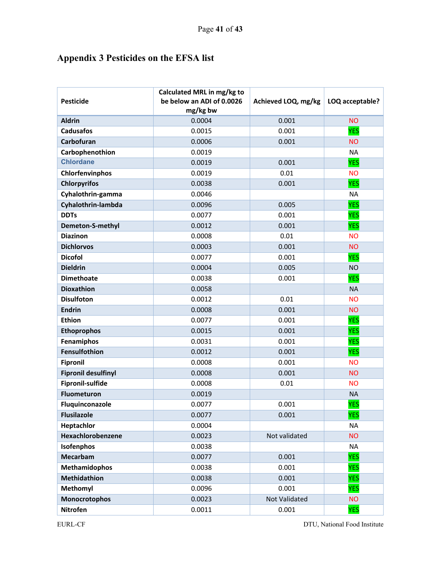## **Appendix 3 Pesticides on the EFSA list**

| <b>Pesticide</b>           | Calculated MRL in mg/kg to<br>be below an ADI of 0.0026<br>mg/kg bw | Achieved LOQ, mg/kg | LOQ acceptable? |
|----------------------------|---------------------------------------------------------------------|---------------------|-----------------|
| <b>Aldrin</b>              | 0.0004                                                              | 0.001               | <b>NO</b>       |
| <b>Cadusafos</b>           | 0.0015                                                              | 0.001               | <b>YES</b>      |
| Carbofuran                 | 0.0006                                                              | 0.001               | <b>NO</b>       |
| Carbophenothion            | 0.0019                                                              |                     | <b>NA</b>       |
| <b>Chlordane</b>           | 0.0019                                                              | 0.001               | <b>YES</b>      |
| Chlorfenvinphos            | 0.0019                                                              | 0.01                | <b>NO</b>       |
| <b>Chlorpyrifos</b>        | 0.0038                                                              | 0.001               | <b>YES</b>      |
| Cyhalothrin-gamma          | 0.0046                                                              |                     | <b>NA</b>       |
| Cyhalothrin-lambda         | 0.0096                                                              | 0.005               | <b>YES</b>      |
| <b>DDTs</b>                | 0.0077                                                              | 0.001               | <b>YES</b>      |
| Demeton-S-methyl           | 0.0012                                                              | 0.001               | <b>YES</b>      |
| <b>Diazinon</b>            | 0.0008                                                              | 0.01                | <b>NO</b>       |
| <b>Dichlorvos</b>          | 0.0003                                                              | 0.001               | <b>NO</b>       |
| <b>Dicofol</b>             | 0.0077                                                              | 0.001               | <b>YES</b>      |
| <b>Dieldrin</b>            | 0.0004                                                              | 0.005               | <b>NO</b>       |
| <b>Dimethoate</b>          | 0.0038                                                              | 0.001               | <b>YES</b>      |
| <b>Dioxathion</b>          | 0.0058                                                              |                     | <b>NA</b>       |
| <b>Disulfoton</b>          | 0.0012                                                              | 0.01                | <b>NO</b>       |
| <b>Endrin</b>              | 0.0008                                                              | 0.001               | <b>NO</b>       |
| <b>Ethion</b>              | 0.0077                                                              | 0.001               | <b>YES</b>      |
| <b>Ethoprophos</b>         | 0.0015                                                              | 0.001               | <b>YES</b>      |
| Fenamiphos                 | 0.0031                                                              | 0.001               | <b>YES</b>      |
| Fensulfothion              | 0.0012                                                              | 0.001               | <b>YES</b>      |
| <b>Fipronil</b>            | 0.0008                                                              | 0.001               | <b>NO</b>       |
| <b>Fipronil desulfinyl</b> | 0.0008                                                              | 0.001               | <b>NO</b>       |
| Fipronil-sulfide           | 0.0008                                                              | 0.01                | <b>NO</b>       |
| <b>Fluometuron</b>         | 0.0019                                                              |                     | <b>NA</b>       |
| Fluquinconazole            | 0.0077                                                              | 0.001               | <b>YES</b>      |
| <b>Flusilazole</b>         | 0.0077                                                              | 0.001               | <b>YES</b>      |
| Heptachlor                 | 0.0004                                                              |                     | <b>NA</b>       |
| Hexachlorobenzene          | 0.0023                                                              | Not validated       | <b>NO</b>       |
| Isofenphos                 | 0.0038                                                              |                     | <b>NA</b>       |
| Mecarbam                   | 0.0077                                                              | 0.001               | <b>YES</b>      |
| <b>Methamidophos</b>       | 0.0038                                                              | 0.001               | <b>YES</b>      |
| Methidathion               | 0.0038                                                              | 0.001               | <b>YES</b>      |
| Methomyl                   | 0.0096                                                              | 0.001               | <b>YES</b>      |
| <b>Monocrotophos</b>       | 0.0023                                                              | Not Validated       | <b>NO</b>       |
| <b>Nitrofen</b>            | 0.0011                                                              | 0.001               | <b>YES</b>      |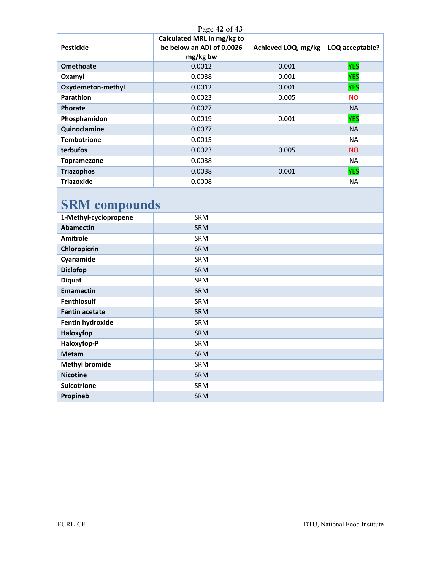| Page 42 of 43            |                                                                     |                     |                 |  |  |  |  |  |  |  |  |
|--------------------------|---------------------------------------------------------------------|---------------------|-----------------|--|--|--|--|--|--|--|--|
| <b>Pesticide</b>         | Calculated MRL in mg/kg to<br>be below an ADI of 0.0026<br>mg/kg bw | Achieved LOQ, mg/kg | LOQ acceptable? |  |  |  |  |  |  |  |  |
| <b>Omethoate</b>         | 0.0012                                                              | 0.001               | <b>YES</b>      |  |  |  |  |  |  |  |  |
| Oxamyl                   | 0.0038                                                              | 0.001               | <b>YES</b>      |  |  |  |  |  |  |  |  |
| <b>Oxydemeton-methyl</b> | 0.0012                                                              | 0.001               | <b>YES</b>      |  |  |  |  |  |  |  |  |
| <b>Parathion</b>         | 0.0023                                                              | 0.005               | <b>NO</b>       |  |  |  |  |  |  |  |  |
| <b>Phorate</b>           | 0.0027                                                              |                     | <b>NA</b>       |  |  |  |  |  |  |  |  |
| Phosphamidon             | 0.0019                                                              | 0.001               | <b>YES</b>      |  |  |  |  |  |  |  |  |
| Quinoclamine             | 0.0077                                                              |                     | <b>NA</b>       |  |  |  |  |  |  |  |  |
| <b>Tembotrione</b>       | 0.0015                                                              |                     | <b>NA</b>       |  |  |  |  |  |  |  |  |
| <b>terbufos</b>          | 0.0023                                                              | 0.005               | <b>NO</b>       |  |  |  |  |  |  |  |  |
| Topramezone              | 0.0038                                                              |                     | <b>NA</b>       |  |  |  |  |  |  |  |  |
| <b>Triazophos</b>        | 0.0038                                                              | 0.001               | <b>YES</b>      |  |  |  |  |  |  |  |  |
| <b>Triazoxide</b>        | 0.0008                                                              |                     | <b>NA</b>       |  |  |  |  |  |  |  |  |

## **SRM compounds**

| 1-Methyl-cyclopropene | SRM        |  |
|-----------------------|------------|--|
| <b>Abamectin</b>      | <b>SRM</b> |  |
| <b>Amitrole</b>       | SRM        |  |
| Chloropicrin          | <b>SRM</b> |  |
| Cyanamide             | SRM        |  |
| <b>Diclofop</b>       | <b>SRM</b> |  |
| <b>Diquat</b>         | SRM        |  |
| <b>Emamectin</b>      | <b>SRM</b> |  |
| <b>Fenthiosulf</b>    | SRM        |  |
| <b>Fentin acetate</b> | <b>SRM</b> |  |
| Fentin hydroxide      | SRM        |  |
| Haloxyfop             | <b>SRM</b> |  |
| Haloxyfop-P           | SRM        |  |
| <b>Metam</b>          | SRM        |  |
| <b>Methyl bromide</b> | SRM        |  |
| <b>Nicotine</b>       | <b>SRM</b> |  |
| <b>Sulcotrione</b>    | SRM        |  |
| Propineb              | <b>SRM</b> |  |
|                       |            |  |